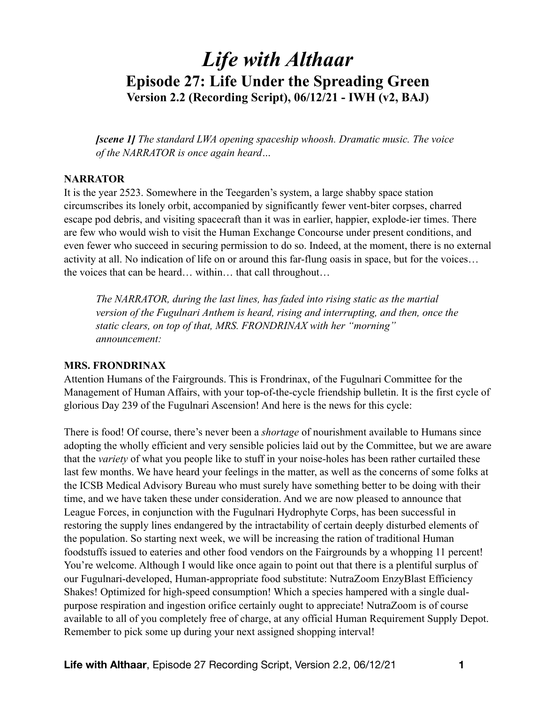# *Life with Althaar*  **Episode 27: Life Under the Spreading Green Version 2.2 (Recording Script), 06/12/21 - IWH (v2, BAJ)**

*[scene 1] The standard LWA opening spaceship whoosh. Dramatic music. The voice of the NARRATOR is once again heard…* 

#### **NARRATOR**

It is the year 2523. Somewhere in the Teegarden's system, a large shabby space station circumscribes its lonely orbit, accompanied by significantly fewer vent-biter corpses, charred escape pod debris, and visiting spacecraft than it was in earlier, happier, explode-ier times. There are few who would wish to visit the Human Exchange Concourse under present conditions, and even fewer who succeed in securing permission to do so. Indeed, at the moment, there is no external activity at all. No indication of life on or around this far-flung oasis in space, but for the voices… the voices that can be heard… within… that call throughout…

*The NARRATOR, during the last lines, has faded into rising static as the martial version of the Fugulnari Anthem is heard, rising and interrupting, and then, once the static clears, on top of that, MRS. FRONDRINAX with her "morning" announcement:* 

#### **MRS. FRONDRINAX**

Attention Humans of the Fairgrounds. This is Frondrinax, of the Fugulnari Committee for the Management of Human Affairs, with your top-of-the-cycle friendship bulletin. It is the first cycle of glorious Day 239 of the Fugulnari Ascension! And here is the news for this cycle:

There is food! Of course, there's never been a *shortage* of nourishment available to Humans since adopting the wholly efficient and very sensible policies laid out by the Committee, but we are aware that the *variety* of what you people like to stuff in your noise-holes has been rather curtailed these last few months. We have heard your feelings in the matter, as well as the concerns of some folks at the ICSB Medical Advisory Bureau who must surely have something better to be doing with their time, and we have taken these under consideration. And we are now pleased to announce that League Forces, in conjunction with the Fugulnari Hydrophyte Corps, has been successful in restoring the supply lines endangered by the intractability of certain deeply disturbed elements of the population. So starting next week, we will be increasing the ration of traditional Human foodstuffs issued to eateries and other food vendors on the Fairgrounds by a whopping 11 percent! You're welcome. Although I would like once again to point out that there is a plentiful surplus of our Fugulnari-developed, Human-appropriate food substitute: NutraZoom EnzyBlast Efficiency Shakes! Optimized for high-speed consumption! Which a species hampered with a single dualpurpose respiration and ingestion orifice certainly ought to appreciate! NutraZoom is of course available to all of you completely free of charge, at any official Human Requirement Supply Depot. Remember to pick some up during your next assigned shopping interval!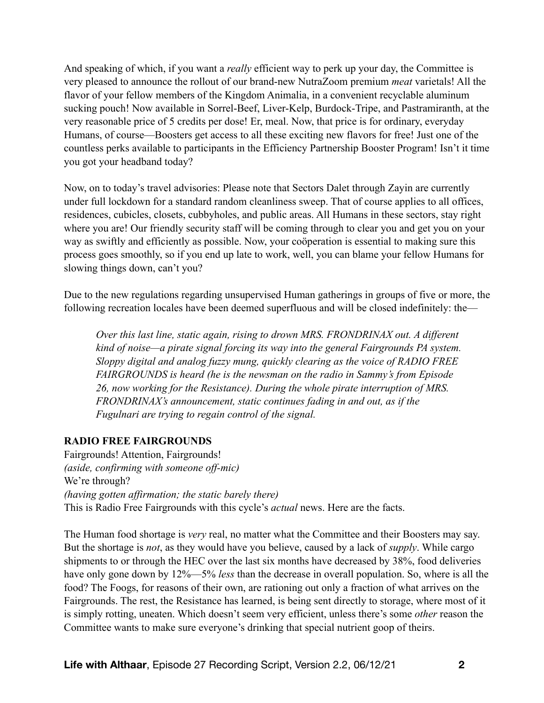And speaking of which, if you want a *really* efficient way to perk up your day, the Committee is very pleased to announce the rollout of our brand-new NutraZoom premium *meat* varietals! All the flavor of your fellow members of the Kingdom Animalia, in a convenient recyclable aluminum sucking pouch! Now available in Sorrel-Beef, Liver-Kelp, Burdock-Tripe, and Pastramiranth, at the very reasonable price of 5 credits per dose! Er, meal. Now, that price is for ordinary, everyday Humans, of course—Boosters get access to all these exciting new flavors for free! Just one of the countless perks available to participants in the Efficiency Partnership Booster Program! Isn't it time you got your headband today?

Now, on to today's travel advisories: Please note that Sectors Dalet through Zayin are currently under full lockdown for a standard random cleanliness sweep. That of course applies to all offices, residences, cubicles, closets, cubbyholes, and public areas. All Humans in these sectors, stay right where you are! Our friendly security staff will be coming through to clear you and get you on your way as swiftly and efficiently as possible. Now, your coöperation is essential to making sure this process goes smoothly, so if you end up late to work, well, you can blame your fellow Humans for slowing things down, can't you?

Due to the new regulations regarding unsupervised Human gatherings in groups of five or more, the following recreation locales have been deemed superfluous and will be closed indefinitely: the—

*Over this last line, static again, rising to drown MRS. FRONDRINAX out. A different kind of noise—a pirate signal forcing its way into the general Fairgrounds PA system. Sloppy digital and analog fuzzy mung, quickly clearing as the voice of RADIO FREE FAIRGROUNDS is heard (he is the newsman on the radio in Sammy's from Episode 26, now working for the Resistance). During the whole pirate interruption of MRS. FRONDRINAX's announcement, static continues fading in and out, as if the Fugulnari are trying to regain control of the signal.* 

#### **RADIO FREE FAIRGROUNDS**

Fairgrounds! Attention, Fairgrounds! *(aside, confirming with someone off-mic)*  We're through? *(having gotten affirmation; the static barely there)*  This is Radio Free Fairgrounds with this cycle's *actual* news. Here are the facts.

The Human food shortage is *very* real, no matter what the Committee and their Boosters may say. But the shortage is *not*, as they would have you believe, caused by a lack of *supply*. While cargo shipments to or through the HEC over the last six months have decreased by 38%, food deliveries have only gone down by 12%—5% *less* than the decrease in overall population. So, where is all the food? The Foogs, for reasons of their own, are rationing out only a fraction of what arrives on the Fairgrounds. The rest, the Resistance has learned, is being sent directly to storage, where most of it is simply rotting, uneaten. Which doesn't seem very efficient, unless there's some *other* reason the Committee wants to make sure everyone's drinking that special nutrient goop of theirs.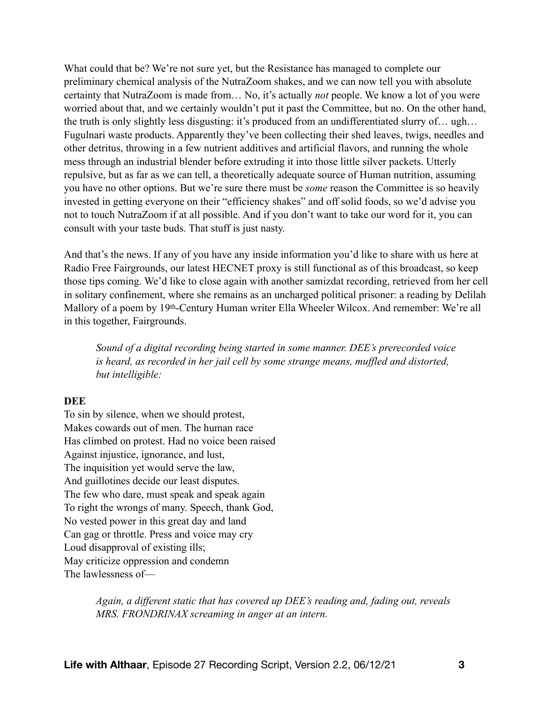What could that be? We're not sure yet, but the Resistance has managed to complete our preliminary chemical analysis of the NutraZoom shakes, and we can now tell you with absolute certainty that NutraZoom is made from… No, it's actually *not* people. We know a lot of you were worried about that, and we certainly wouldn't put it past the Committee, but no. On the other hand, the truth is only slightly less disgusting: it's produced from an undifferentiated slurry of… ugh… Fugulnari waste products. Apparently they've been collecting their shed leaves, twigs, needles and other detritus, throwing in a few nutrient additives and artificial flavors, and running the whole mess through an industrial blender before extruding it into those little silver packets. Utterly repulsive, but as far as we can tell, a theoretically adequate source of Human nutrition, assuming you have no other options. But we're sure there must be *some* reason the Committee is so heavily invested in getting everyone on their "efficiency shakes" and off solid foods, so we'd advise you not to touch NutraZoom if at all possible. And if you don't want to take our word for it, you can consult with your taste buds. That stuff is just nasty.

And that's the news. If any of you have any inside information you'd like to share with us here at Radio Free Fairgrounds, our latest HECNET proxy is still functional as of this broadcast, so keep those tips coming. We'd like to close again with another samizdat recording, retrieved from her cell in solitary confinement, where she remains as an uncharged political prisoner: a reading by Delilah Mallory of a poem by 19th-Century Human writer Ella Wheeler Wilcox. And remember: We're all in this together, Fairgrounds.

*Sound of a digital recording being started in some manner. DEE's prerecorded voice is heard, as recorded in her jail cell by some strange means, muffled and distorted, but intelligible:* 

#### **DEE**

To sin by silence, when we should protest, Makes cowards out of men. The human race Has climbed on protest. Had no voice been raised Against injustice, ignorance, and lust, The inquisition yet would serve the law, And guillotines decide our least disputes. The few who dare, must speak and speak again To right the wrongs of many. Speech, thank God, No vested power in this great day and land Can gag or throttle. Press and voice may cry Loud disapproval of existing ills; May criticize oppression and condemn The lawlessness of—

> *Again, a different static that has covered up DEE's reading and, fading out, reveals MRS. FRONDRINAX screaming in anger at an intern.*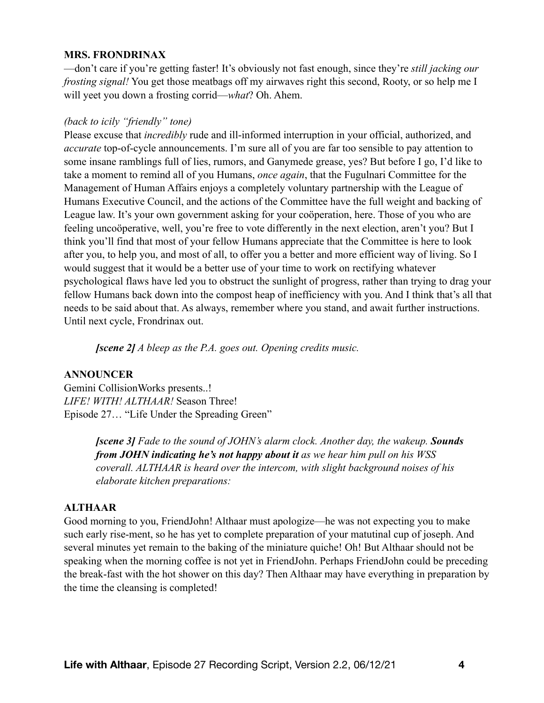#### **MRS. FRONDRINAX**

—don't care if you're getting faster! It's obviously not fast enough, since they're *still jacking our frosting signal!* You get those meatbags off my airwaves right this second, Rooty, or so help me I will yeet you down a frosting corrid—*what*? Oh. Ahem.

#### *(back to icily "friendly" tone)*

Please excuse that *incredibly* rude and ill-informed interruption in your official, authorized, and *accurate* top-of-cycle announcements. I'm sure all of you are far too sensible to pay attention to some insane ramblings full of lies, rumors, and Ganymede grease, yes? But before I go, I'd like to take a moment to remind all of you Humans, *once again*, that the Fugulnari Committee for the Management of Human Affairs enjoys a completely voluntary partnership with the League of Humans Executive Council, and the actions of the Committee have the full weight and backing of League law. It's your own government asking for your coöperation, here. Those of you who are feeling uncoöperative, well, you're free to vote differently in the next election, aren't you? But I think you'll find that most of your fellow Humans appreciate that the Committee is here to look after you, to help you, and most of all, to offer you a better and more efficient way of living. So I would suggest that it would be a better use of your time to work on rectifying whatever psychological flaws have led you to obstruct the sunlight of progress, rather than trying to drag your fellow Humans back down into the compost heap of inefficiency with you. And I think that's all that needs to be said about that. As always, remember where you stand, and await further instructions. Until next cycle, Frondrinax out.

*[scene 2] A bleep as the P.A. goes out. Opening credits music.* 

#### **ANNOUNCER**

Gemini CollisionWorks presents..! *LIFE! WITH! ALTHAAR!* Season Three! Episode 27… "Life Under the Spreading Green"

> *[scene 3] Fade to the sound of JOHN's alarm clock. Another day, the wakeup. Sounds from JOHN indicating he's not happy about it as we hear him pull on his WSS coverall. ALTHAAR is heard over the intercom, with slight background noises of his elaborate kitchen preparations:*

#### **ALTHAAR**

Good morning to you, FriendJohn! Althaar must apologize—he was not expecting you to make such early rise-ment, so he has yet to complete preparation of your matutinal cup of joseph. And several minutes yet remain to the baking of the miniature quiche! Oh! But Althaar should not be speaking when the morning coffee is not yet in FriendJohn. Perhaps FriendJohn could be preceding the break-fast with the hot shower on this day? Then Althaar may have everything in preparation by the time the cleansing is completed!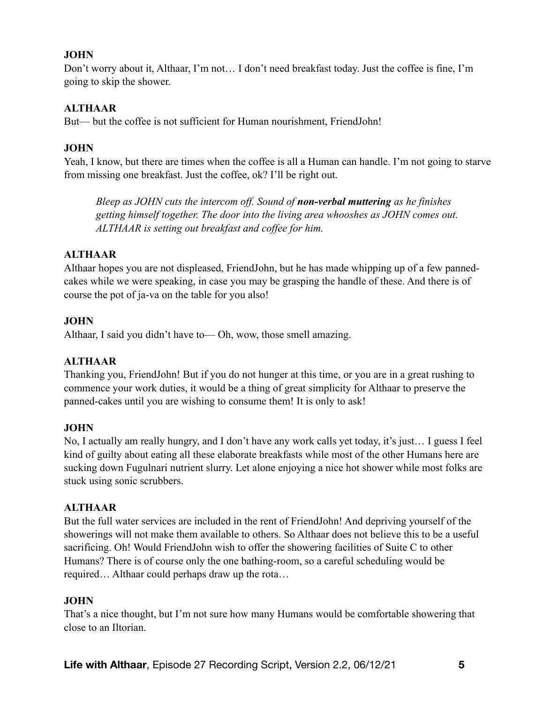## **JOHN**

Don't worry about it, Althaar, I'm not… I don't need breakfast today. Just the coffee is fine, I'm going to skip the shower.

#### **ALTHAAR**

But— but the coffee is not sufficient for Human nourishment, FriendJohn!

## **JOHN**

Yeah, I know, but there are times when the coffee is all a Human can handle. I'm not going to starve from missing one breakfast. Just the coffee, ok? I'll be right out.

*Bleep as JOHN cuts the intercom off. Sound of non-verbal muttering as he finishes getting himself together. The door into the living area whooshes as JOHN comes out. ALTHAAR is setting out breakfast and coffee for him.*

## **ALTHAAR**

Althaar hopes you are not displeased, FriendJohn, but he has made whipping up of a few pannedcakes while we were speaking, in case you may be grasping the handle of these. And there is of course the pot of ja-va on the table for you also!

## **JOHN**

Althaar, I said you didn't have to— Oh, wow, those smell amazing.

# **ALTHAAR**

Thanking you, FriendJohn! But if you do not hunger at this time, or you are in a great rushing to commence your work duties, it would be a thing of great simplicity for Althaar to preserve the panned-cakes until you are wishing to consume them! It is only to ask!

#### **JOHN**

No, I actually am really hungry, and I don't have any work calls yet today, it's just… I guess I feel kind of guilty about eating all these elaborate breakfasts while most of the other Humans here are sucking down Fugulnari nutrient slurry. Let alone enjoying a nice hot shower while most folks are stuck using sonic scrubbers.

#### **ALTHAAR**

But the full water services are included in the rent of FriendJohn! And depriving yourself of the showerings will not make them available to others. So Althaar does not believe this to be a useful sacrificing. Oh! Would FriendJohn wish to offer the showering facilities of Suite C to other Humans? There is of course only the one bathing-room, so a careful scheduling would be required… Althaar could perhaps draw up the rota…

#### **JOHN**

That's a nice thought, but I'm not sure how many Humans would be comfortable showering that close to an Iltorian.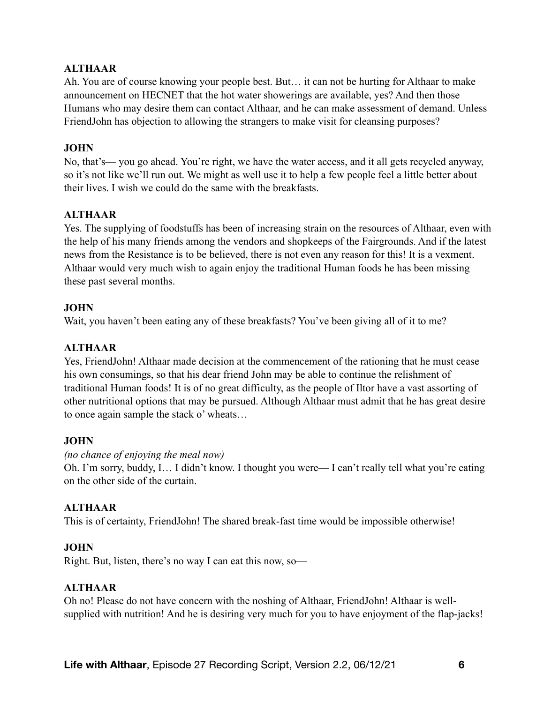## **ALTHAAR**

Ah. You are of course knowing your people best. But… it can not be hurting for Althaar to make announcement on HECNET that the hot water showerings are available, yes? And then those Humans who may desire them can contact Althaar, and he can make assessment of demand. Unless FriendJohn has objection to allowing the strangers to make visit for cleansing purposes?

#### **JOHN**

No, that's— you go ahead. You're right, we have the water access, and it all gets recycled anyway, so it's not like we'll run out. We might as well use it to help a few people feel a little better about their lives. I wish we could do the same with the breakfasts.

#### **ALTHAAR**

Yes. The supplying of foodstuffs has been of increasing strain on the resources of Althaar, even with the help of his many friends among the vendors and shopkeeps of the Fairgrounds. And if the latest news from the Resistance is to be believed, there is not even any reason for this! It is a vexment. Althaar would very much wish to again enjoy the traditional Human foods he has been missing these past several months.

#### **JOHN**

Wait, you haven't been eating any of these breakfasts? You've been giving all of it to me?

## **ALTHAAR**

Yes, FriendJohn! Althaar made decision at the commencement of the rationing that he must cease his own consumings, so that his dear friend John may be able to continue the relishment of traditional Human foods! It is of no great difficulty, as the people of Iltor have a vast assorting of other nutritional options that may be pursued. Although Althaar must admit that he has great desire to once again sample the stack o' wheats…

#### **JOHN**

#### *(no chance of enjoying the meal now)*

Oh. I'm sorry, buddy, I… I didn't know. I thought you were— I can't really tell what you're eating on the other side of the curtain.

#### **ALTHAAR**

This is of certainty, FriendJohn! The shared break-fast time would be impossible otherwise!

#### **JOHN**

Right. But, listen, there's no way I can eat this now, so—

#### **ALTHAAR**

Oh no! Please do not have concern with the noshing of Althaar, FriendJohn! Althaar is wellsupplied with nutrition! And he is desiring very much for you to have enjoyment of the flap-jacks!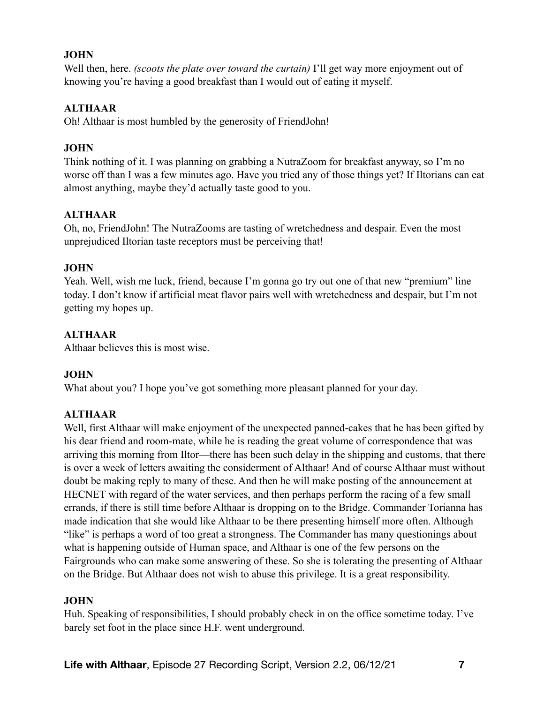# **JOHN**

Well then, here. *(scoots the plate over toward the curtain)* I'll get way more enjoyment out of knowing you're having a good breakfast than I would out of eating it myself.

# **ALTHAAR**

Oh! Althaar is most humbled by the generosity of FriendJohn!

## **JOHN**

Think nothing of it. I was planning on grabbing a NutraZoom for breakfast anyway, so I'm no worse off than I was a few minutes ago. Have you tried any of those things yet? If Iltorians can eat almost anything, maybe they'd actually taste good to you.

# **ALTHAAR**

Oh, no, FriendJohn! The NutraZooms are tasting of wretchedness and despair. Even the most unprejudiced Iltorian taste receptors must be perceiving that!

## **JOHN**

Yeah. Well, wish me luck, friend, because I'm gonna go try out one of that new "premium" line today. I don't know if artificial meat flavor pairs well with wretchedness and despair, but I'm not getting my hopes up.

# **ALTHAAR**

Althaar believes this is most wise.

# **JOHN**

What about you? I hope you've got something more pleasant planned for your day.

# **ALTHAAR**

Well, first Althaar will make enjoyment of the unexpected panned-cakes that he has been gifted by his dear friend and room-mate, while he is reading the great volume of correspondence that was arriving this morning from Iltor—there has been such delay in the shipping and customs, that there is over a week of letters awaiting the considerment of Althaar! And of course Althaar must without doubt be making reply to many of these. And then he will make posting of the announcement at HECNET with regard of the water services, and then perhaps perform the racing of a few small errands, if there is still time before Althaar is dropping on to the Bridge. Commander Torianna has made indication that she would like Althaar to be there presenting himself more often. Although "like" is perhaps a word of too great a strongness. The Commander has many questionings about what is happening outside of Human space, and Althaar is one of the few persons on the Fairgrounds who can make some answering of these. So she is tolerating the presenting of Althaar on the Bridge. But Althaar does not wish to abuse this privilege. It is a great responsibility.

# **JOHN**

Huh. Speaking of responsibilities, I should probably check in on the office sometime today. I've barely set foot in the place since H.F. went underground.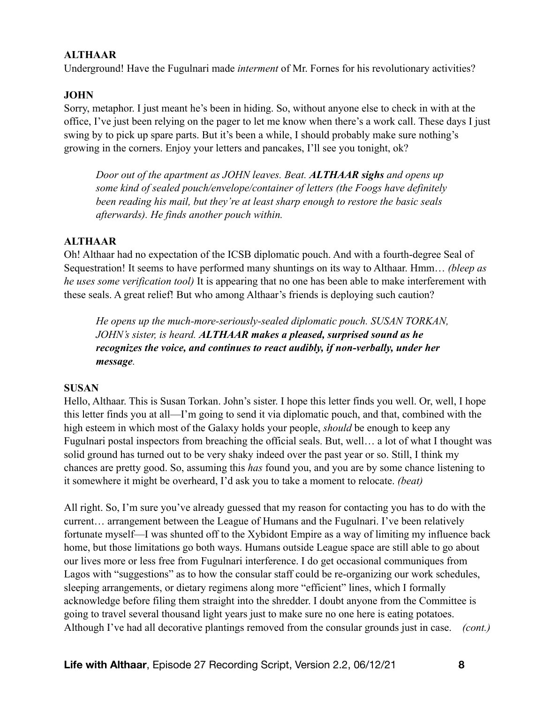## **ALTHAAR**

Underground! Have the Fugulnari made *interment* of Mr. Fornes for his revolutionary activities?

## **JOHN**

Sorry, metaphor. I just meant he's been in hiding. So, without anyone else to check in with at the office, I've just been relying on the pager to let me know when there's a work call. These days I just swing by to pick up spare parts. But it's been a while, I should probably make sure nothing's growing in the corners. Enjoy your letters and pancakes, I'll see you tonight, ok?

*Door out of the apartment as JOHN leaves. Beat. ALTHAAR sighs and opens up some kind of sealed pouch/envelope/container of letters (the Foogs have definitely been reading his mail, but they're at least sharp enough to restore the basic seals afterwards). He finds another pouch within.* 

## **ALTHAAR**

Oh! Althaar had no expectation of the ICSB diplomatic pouch. And with a fourth-degree Seal of Sequestration! It seems to have performed many shuntings on its way to Althaar. Hmm… *(bleep as he uses some verification tool)* It is appearing that no one has been able to make interferement with these seals. A great relief! But who among Althaar's friends is deploying such caution?

*He opens up the much-more-seriously-sealed diplomatic pouch. SUSAN TORKAN, JOHN's sister, is heard. ALTHAAR makes a pleased, surprised sound as he recognizes the voice, and continues to react audibly, if non-verbally, under her message.* 

#### **SUSAN**

Hello, Althaar. This is Susan Torkan. John's sister. I hope this letter finds you well. Or, well, I hope this letter finds you at all—I'm going to send it via diplomatic pouch, and that, combined with the high esteem in which most of the Galaxy holds your people, *should* be enough to keep any Fugulnari postal inspectors from breaching the official seals. But, well… a lot of what I thought was solid ground has turned out to be very shaky indeed over the past year or so. Still, I think my chances are pretty good. So, assuming this *has* found you, and you are by some chance listening to it somewhere it might be overheard, I'd ask you to take a moment to relocate. *(beat)*

All right. So, I'm sure you've already guessed that my reason for contacting you has to do with the current… arrangement between the League of Humans and the Fugulnari. I've been relatively fortunate myself—I was shunted off to the Xybidont Empire as a way of limiting my influence back home, but those limitations go both ways. Humans outside League space are still able to go about our lives more or less free from Fugulnari interference. I do get occasional communiques from Lagos with "suggestions" as to how the consular staff could be re-organizing our work schedules, sleeping arrangements, or dietary regimens along more "efficient" lines, which I formally acknowledge before filing them straight into the shredder. I doubt anyone from the Committee is going to travel several thousand light years just to make sure no one here is eating potatoes. Although I've had all decorative plantings removed from the consular grounds just in case. *(cont.)*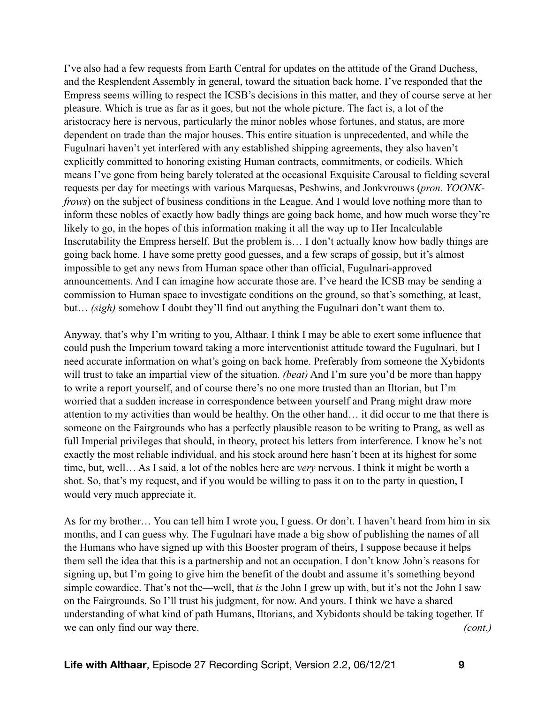I've also had a few requests from Earth Central for updates on the attitude of the Grand Duchess, and the Resplendent Assembly in general, toward the situation back home. I've responded that the Empress seems willing to respect the ICSB's decisions in this matter, and they of course serve at her pleasure. Which is true as far as it goes, but not the whole picture. The fact is, a lot of the aristocracy here is nervous, particularly the minor nobles whose fortunes, and status, are more dependent on trade than the major houses. This entire situation is unprecedented, and while the Fugulnari haven't yet interfered with any established shipping agreements, they also haven't explicitly committed to honoring existing Human contracts, commitments, or codicils. Which means I've gone from being barely tolerated at the occasional Exquisite Carousal to fielding several requests per day for meetings with various Marquesas, Peshwins, and Jonkvrouws (*pron. YOONKfrows*) on the subject of business conditions in the League. And I would love nothing more than to inform these nobles of exactly how badly things are going back home, and how much worse they're likely to go, in the hopes of this information making it all the way up to Her Incalculable Inscrutability the Empress herself. But the problem is… I don't actually know how badly things are going back home. I have some pretty good guesses, and a few scraps of gossip, but it's almost impossible to get any news from Human space other than official, Fugulnari-approved announcements. And I can imagine how accurate those are. I've heard the ICSB may be sending a commission to Human space to investigate conditions on the ground, so that's something, at least, but… *(sigh)* somehow I doubt they'll find out anything the Fugulnari don't want them to.

Anyway, that's why I'm writing to you, Althaar. I think I may be able to exert some influence that could push the Imperium toward taking a more interventionist attitude toward the Fugulnari, but I need accurate information on what's going on back home. Preferably from someone the Xybidonts will trust to take an impartial view of the situation. *(beat)* And I'm sure you'd be more than happy to write a report yourself, and of course there's no one more trusted than an Iltorian, but I'm worried that a sudden increase in correspondence between yourself and Prang might draw more attention to my activities than would be healthy. On the other hand… it did occur to me that there is someone on the Fairgrounds who has a perfectly plausible reason to be writing to Prang, as well as full Imperial privileges that should, in theory, protect his letters from interference. I know he's not exactly the most reliable individual, and his stock around here hasn't been at its highest for some time, but, well… As I said, a lot of the nobles here are *very* nervous. I think it might be worth a shot. So, that's my request, and if you would be willing to pass it on to the party in question, I would very much appreciate it.

As for my brother… You can tell him I wrote you, I guess. Or don't. I haven't heard from him in six months, and I can guess why. The Fugulnari have made a big show of publishing the names of all the Humans who have signed up with this Booster program of theirs, I suppose because it helps them sell the idea that this is a partnership and not an occupation. I don't know John's reasons for signing up, but I'm going to give him the benefit of the doubt and assume it's something beyond simple cowardice. That's not the—well, that *is* the John I grew up with, but it's not the John I saw on the Fairgrounds. So I'll trust his judgment, for now. And yours. I think we have a shared understanding of what kind of path Humans, Iltorians, and Xybidonts should be taking together. If we can only find our way there. *(cont.)*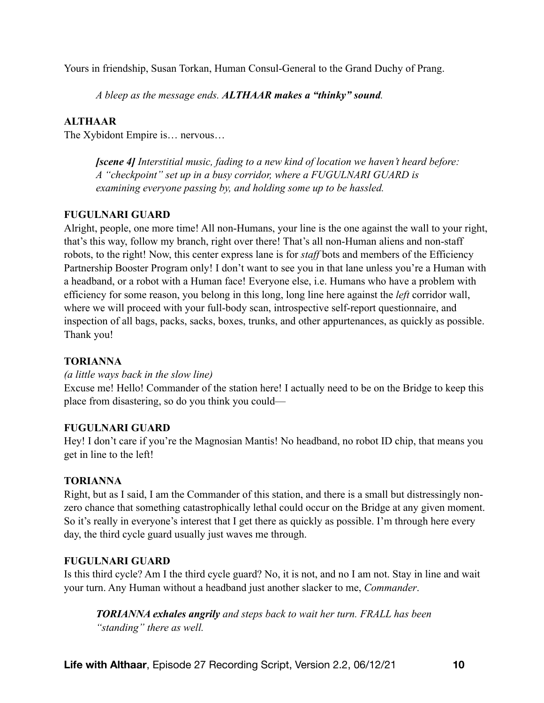Yours in friendship, Susan Torkan, Human Consul-General to the Grand Duchy of Prang.

*A bleep as the message ends. ALTHAAR makes a "thinky" sound.* 

## **ALTHAAR**

The Xybidont Empire is… nervous…

*[scene 4] Interstitial music, fading to a new kind of location we haven't heard before: A "checkpoint" set up in a busy corridor, where a FUGULNARI GUARD is examining everyone passing by, and holding some up to be hassled.* 

## **FUGULNARI GUARD**

Alright, people, one more time! All non-Humans, your line is the one against the wall to your right, that's this way, follow my branch, right over there! That's all non-Human aliens and non-staff robots, to the right! Now, this center express lane is for *staff* bots and members of the Efficiency Partnership Booster Program only! I don't want to see you in that lane unless you're a Human with a headband, or a robot with a Human face! Everyone else, i.e. Humans who have a problem with efficiency for some reason, you belong in this long, long line here against the *left* corridor wall, where we will proceed with your full-body scan, introspective self-report questionnaire, and inspection of all bags, packs, sacks, boxes, trunks, and other appurtenances, as quickly as possible. Thank you!

#### **TORIANNA**

#### *(a little ways back in the slow line)*

Excuse me! Hello! Commander of the station here! I actually need to be on the Bridge to keep this place from disastering, so do you think you could—

#### **FUGULNARI GUARD**

Hey! I don't care if you're the Magnosian Mantis! No headband, no robot ID chip, that means you get in line to the left!

#### **TORIANNA**

Right, but as I said, I am the Commander of this station, and there is a small but distressingly nonzero chance that something catastrophically lethal could occur on the Bridge at any given moment. So it's really in everyone's interest that I get there as quickly as possible. I'm through here every day, the third cycle guard usually just waves me through.

#### **FUGULNARI GUARD**

Is this third cycle? Am I the third cycle guard? No, it is not, and no I am not. Stay in line and wait your turn. Any Human without a headband just another slacker to me, *Commander*.

*TORIANNA exhales angrily and steps back to wait her turn. FRALL has been "standing" there as well.*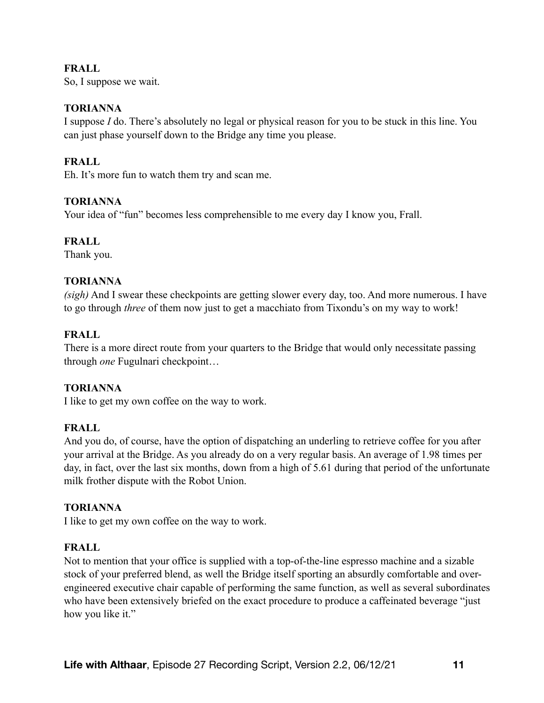## **FRALL**

So, I suppose we wait.

#### **TORIANNA**

I suppose *I* do. There's absolutely no legal or physical reason for you to be stuck in this line. You can just phase yourself down to the Bridge any time you please.

# **FRALL**

Eh. It's more fun to watch them try and scan me.

#### **TORIANNA**

Your idea of "fun" becomes less comprehensible to me every day I know you, Frall.

#### **FRALL**

Thank you.

#### **TORIANNA**

*(sigh)* And I swear these checkpoints are getting slower every day, too. And more numerous. I have to go through *three* of them now just to get a macchiato from Tixondu's on my way to work!

## **FRALL**

There is a more direct route from your quarters to the Bridge that would only necessitate passing through *one* Fugulnari checkpoint…

#### **TORIANNA**

I like to get my own coffee on the way to work.

#### **FRALL**

And you do, of course, have the option of dispatching an underling to retrieve coffee for you after your arrival at the Bridge. As you already do on a very regular basis. An average of 1.98 times per day, in fact, over the last six months, down from a high of 5.61 during that period of the unfortunate milk frother dispute with the Robot Union.

#### **TORIANNA**

I like to get my own coffee on the way to work.

#### **FRALL**

Not to mention that your office is supplied with a top-of-the-line espresso machine and a sizable stock of your preferred blend, as well the Bridge itself sporting an absurdly comfortable and overengineered executive chair capable of performing the same function, as well as several subordinates who have been extensively briefed on the exact procedure to produce a caffeinated beverage "just how you like it."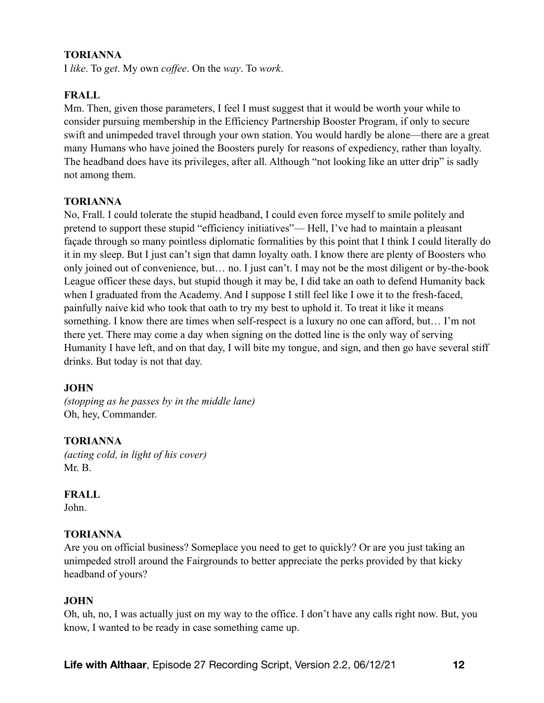## **TORIANNA**

I *like*. To *get*. My own *coffee*. On the *way*. To *work*.

## **FRALL**

Mm. Then, given those parameters, I feel I must suggest that it would be worth your while to consider pursuing membership in the Efficiency Partnership Booster Program, if only to secure swift and unimpeded travel through your own station. You would hardly be alone—there are a great many Humans who have joined the Boosters purely for reasons of expediency, rather than loyalty. The headband does have its privileges, after all. Although "not looking like an utter drip" is sadly not among them.

#### **TORIANNA**

No, Frall. I could tolerate the stupid headband, I could even force myself to smile politely and pretend to support these stupid "efficiency initiatives"— Hell, I've had to maintain a pleasant façade through so many pointless diplomatic formalities by this point that I think I could literally do it in my sleep. But I just can't sign that damn loyalty oath. I know there are plenty of Boosters who only joined out of convenience, but… no. I just can't. I may not be the most diligent or by-the-book League officer these days, but stupid though it may be, I did take an oath to defend Humanity back when I graduated from the Academy. And I suppose I still feel like I owe it to the fresh-faced, painfully naive kid who took that oath to try my best to uphold it. To treat it like it means something. I know there are times when self-respect is a luxury no one can afford, but… I'm not there yet. There may come a day when signing on the dotted line is the only way of serving Humanity I have left, and on that day, I will bite my tongue, and sign, and then go have several stiff drinks. But today is not that day.

#### **JOHN**

*(stopping as he passes by in the middle lane)*  Oh, hey, Commander.

#### **TORIANNA**

*(acting cold, in light of his cover)*  Mr. B.

#### **FRALL**

John.

#### **TORIANNA**

Are you on official business? Someplace you need to get to quickly? Or are you just taking an unimpeded stroll around the Fairgrounds to better appreciate the perks provided by that kicky headband of yours?

#### **JOHN**

Oh, uh, no, I was actually just on my way to the office. I don't have any calls right now. But, you know, I wanted to be ready in case something came up.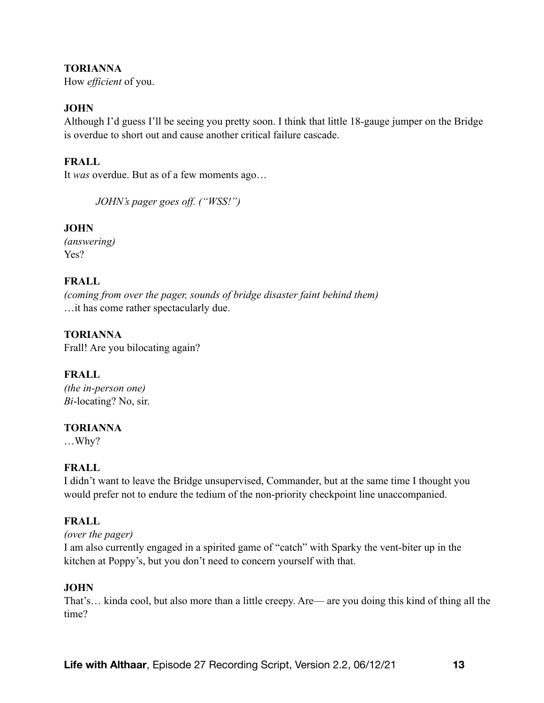#### **TORIANNA**

How *efficient* of you.

## **JOHN**

Although I'd guess I'll be seeing you pretty soon. I think that little 18-gauge jumper on the Bridge is overdue to short out and cause another critical failure cascade.

# **FRALL**

It *was* overdue. But as of a few moments ago…

*JOHN's pager goes off. ("WSS!")* 

## **JOHN**

*(answering)*  Yes?

## **FRALL**

*(coming from over the pager, sounds of bridge disaster faint behind them)*  …it has come rather spectacularly due.

# **TORIANNA**

Frall! Are you bilocating again?

# **FRALL**

*(the in-person one) Bi*-locating? No, sir.

#### **TORIANNA**

…Why?

# **FRALL**

I didn't want to leave the Bridge unsupervised, Commander, but at the same time I thought you would prefer not to endure the tedium of the non-priority checkpoint line unaccompanied.

# **FRALL**

*(over the pager)* 

I am also currently engaged in a spirited game of "catch" with Sparky the vent-biter up in the kitchen at Poppy's, but you don't need to concern yourself with that.

#### **JOHN**

That's… kinda cool, but also more than a little creepy. Are— are you doing this kind of thing all the time?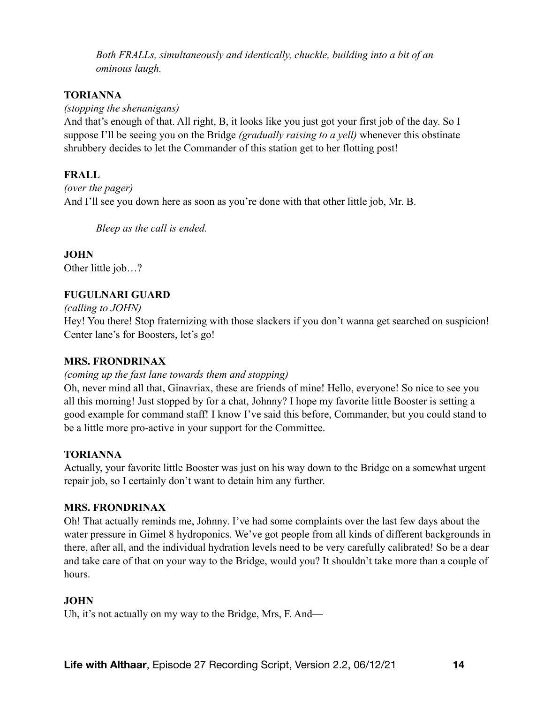*Both FRALLs, simultaneously and identically, chuckle, building into a bit of an ominous laugh.* 

## **TORIANNA**

*(stopping the shenanigans)* 

And that's enough of that. All right, B, it looks like you just got your first job of the day. So I suppose I'll be seeing you on the Bridge *(gradually raising to a yell)* whenever this obstinate shrubbery decides to let the Commander of this station get to her flotting post!

# **FRALL**

*(over the pager)*  And I'll see you down here as soon as you're done with that other little job, Mr. B.

*Bleep as the call is ended.* 

**JOHN**  Other little job…?

# **FUGULNARI GUARD**

*(calling to JOHN)* 

Hey! You there! Stop fraternizing with those slackers if you don't wanna get searched on suspicion! Center lane's for Boosters, let's go!

# **MRS. FRONDRINAX**

*(coming up the fast lane towards them and stopping)* 

Oh, never mind all that, Ginavriax, these are friends of mine! Hello, everyone! So nice to see you all this morning! Just stopped by for a chat, Johnny? I hope my favorite little Booster is setting a good example for command staff! I know I've said this before, Commander, but you could stand to be a little more pro-active in your support for the Committee.

# **TORIANNA**

Actually, your favorite little Booster was just on his way down to the Bridge on a somewhat urgent repair job, so I certainly don't want to detain him any further.

# **MRS. FRONDRINAX**

Oh! That actually reminds me, Johnny. I've had some complaints over the last few days about the water pressure in Gimel 8 hydroponics. We've got people from all kinds of different backgrounds in there, after all, and the individual hydration levels need to be very carefully calibrated! So be a dear and take care of that on your way to the Bridge, would you? It shouldn't take more than a couple of hours.

# **JOHN**

Uh, it's not actually on my way to the Bridge, Mrs, F. And—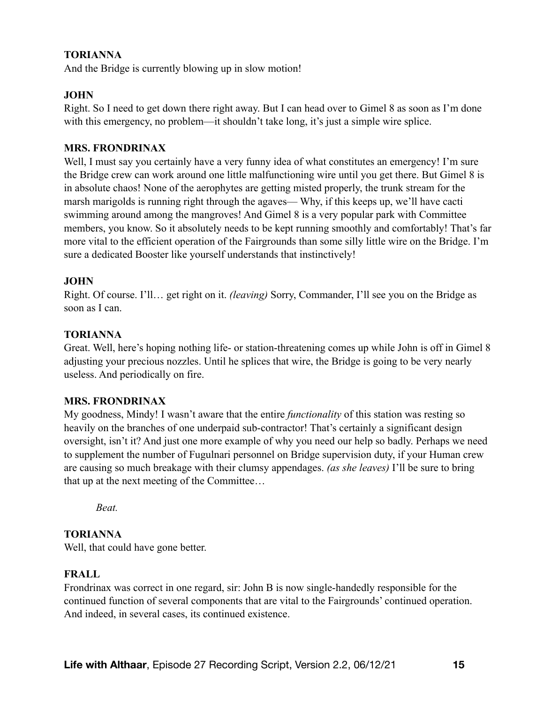## **TORIANNA**

And the Bridge is currently blowing up in slow motion!

#### **JOHN**

Right. So I need to get down there right away. But I can head over to Gimel 8 as soon as I'm done with this emergency, no problem—it shouldn't take long, it's just a simple wire splice.

#### **MRS. FRONDRINAX**

Well, I must say you certainly have a very funny idea of what constitutes an emergency! I'm sure the Bridge crew can work around one little malfunctioning wire until you get there. But Gimel 8 is in absolute chaos! None of the aerophytes are getting misted properly, the trunk stream for the marsh marigolds is running right through the agaves— Why, if this keeps up, we'll have cacti swimming around among the mangroves! And Gimel 8 is a very popular park with Committee members, you know. So it absolutely needs to be kept running smoothly and comfortably! That's far more vital to the efficient operation of the Fairgrounds than some silly little wire on the Bridge. I'm sure a dedicated Booster like yourself understands that instinctively!

#### **JOHN**

Right. Of course. I'll… get right on it. *(leaving)* Sorry, Commander, I'll see you on the Bridge as soon as I can.

#### **TORIANNA**

Great. Well, here's hoping nothing life- or station-threatening comes up while John is off in Gimel 8 adjusting your precious nozzles. Until he splices that wire, the Bridge is going to be very nearly useless. And periodically on fire.

#### **MRS. FRONDRINAX**

My goodness, Mindy! I wasn't aware that the entire *functionality* of this station was resting so heavily on the branches of one underpaid sub-contractor! That's certainly a significant design oversight, isn't it? And just one more example of why you need our help so badly. Perhaps we need to supplement the number of Fugulnari personnel on Bridge supervision duty, if your Human crew are causing so much breakage with their clumsy appendages. *(as she leaves)* I'll be sure to bring that up at the next meeting of the Committee…

*Beat.* 

#### **TORIANNA**

Well, that could have gone better.

#### **FRALL**

Frondrinax was correct in one regard, sir: John B is now single-handedly responsible for the continued function of several components that are vital to the Fairgrounds' continued operation. And indeed, in several cases, its continued existence.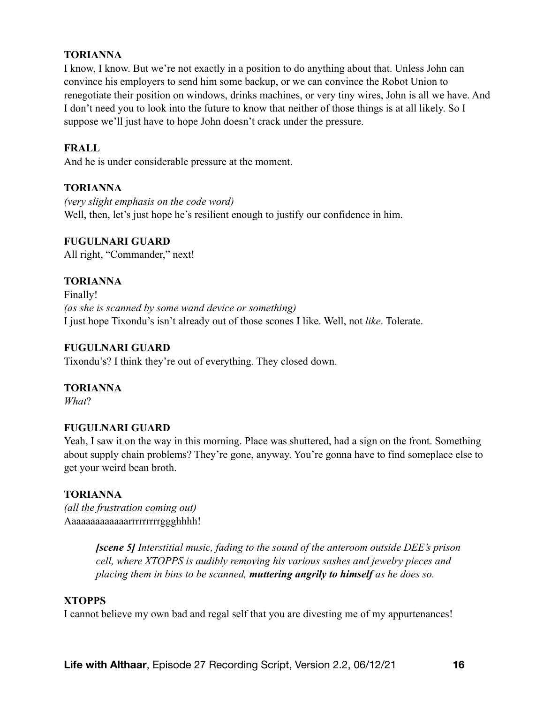#### **TORIANNA**

I know, I know. But we're not exactly in a position to do anything about that. Unless John can convince his employers to send him some backup, or we can convince the Robot Union to renegotiate their position on windows, drinks machines, or very tiny wires, John is all we have. And I don't need you to look into the future to know that neither of those things is at all likely. So I suppose we'll just have to hope John doesn't crack under the pressure.

#### **FRALL**

And he is under considerable pressure at the moment.

#### **TORIANNA**

*(very slight emphasis on the code word)*  Well, then, let's just hope he's resilient enough to justify our confidence in him.

#### **FUGULNARI GUARD**

All right, "Commander," next!

## **TORIANNA**

Finally! *(as she is scanned by some wand device or something)*  I just hope Tixondu's isn't already out of those scones I like. Well, not *like*. Tolerate.

## **FUGULNARI GUARD**

Tixondu's? I think they're out of everything. They closed down.

#### **TORIANNA**

*What*?

#### **FUGULNARI GUARD**

Yeah, I saw it on the way in this morning. Place was shuttered, had a sign on the front. Something about supply chain problems? They're gone, anyway. You're gonna have to find someplace else to get your weird bean broth.

#### **TORIANNA**

*(all the frustration coming out)*  Aaaaaaaaaaaaarrrrrrrrrggghhhh!

> *[scene 5] Interstitial music, fading to the sound of the anteroom outside DEE's prison cell, where XTOPPS is audibly removing his various sashes and jewelry pieces and placing them in bins to be scanned, muttering angrily to himself as he does so.*

#### **XTOPPS**

I cannot believe my own bad and regal self that you are divesting me of my appurtenances!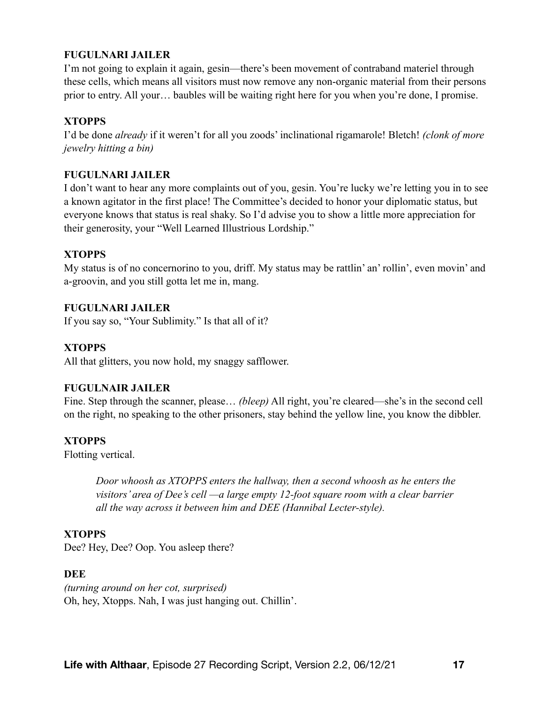#### **FUGULNARI JAILER**

I'm not going to explain it again, gesin—there's been movement of contraband materiel through these cells, which means all visitors must now remove any non-organic material from their persons prior to entry. All your… baubles will be waiting right here for you when you're done, I promise.

## **XTOPPS**

I'd be done *already* if it weren't for all you zoods' inclinational rigamarole! Bletch! *(clonk of more jewelry hitting a bin)*

#### **FUGULNARI JAILER**

I don't want to hear any more complaints out of you, gesin. You're lucky we're letting you in to see a known agitator in the first place! The Committee's decided to honor your diplomatic status, but everyone knows that status is real shaky. So I'd advise you to show a little more appreciation for their generosity, your "Well Learned Illustrious Lordship."

## **XTOPPS**

My status is of no concernorino to you, driff. My status may be rattlin' an' rollin', even movin' and a-groovin, and you still gotta let me in, mang.

## **FUGULNARI JAILER**

If you say so, "Your Sublimity." Is that all of it?

## **XTOPPS**

All that glitters, you now hold, my snaggy safflower.

#### **FUGULNAIR JAILER**

Fine. Step through the scanner, please… *(bleep)* All right, you're cleared—she's in the second cell on the right, no speaking to the other prisoners, stay behind the yellow line, you know the dibbler.

#### **XTOPPS**

Flotting vertical.

*Door whoosh as XTOPPS enters the hallway, then a second whoosh as he enters the visitors' area of Dee's cell —a large empty 12-foot square room with a clear barrier all the way across it between him and DEE (Hannibal Lecter-style).* 

#### **XTOPPS**

Dee? Hey, Dee? Oop. You asleep there?

#### **DEE**

*(turning around on her cot, surprised)*  Oh, hey, Xtopps. Nah, I was just hanging out. Chillin'.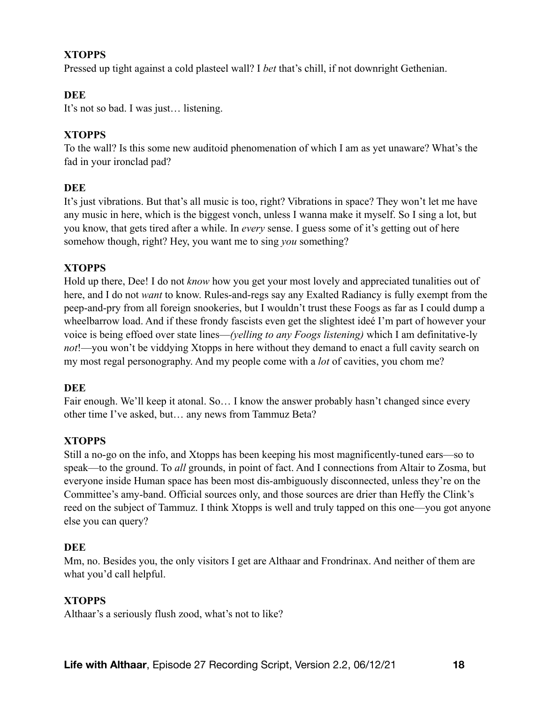## **XTOPPS**

Pressed up tight against a cold plasteel wall? I *bet* that's chill, if not downright Gethenian.

## **DEE**

It's not so bad. I was just… listening.

#### **XTOPPS**

To the wall? Is this some new auditoid phenomenation of which I am as yet unaware? What's the fad in your ironclad pad?

#### **DEE**

It's just vibrations. But that's all music is too, right? Vibrations in space? They won't let me have any music in here, which is the biggest vonch, unless I wanna make it myself. So I sing a lot, but you know, that gets tired after a while. In *every* sense. I guess some of it's getting out of here somehow though, right? Hey, you want me to sing *you* something?

## **XTOPPS**

Hold up there, Dee! I do not *know* how you get your most lovely and appreciated tunalities out of here, and I do not *want* to know. Rules-and-regs say any Exalted Radiancy is fully exempt from the peep-and-pry from all foreign snookeries, but I wouldn't trust these Foogs as far as I could dump a wheelbarrow load. And if these frondy fascists even get the slightest ideé I'm part of however your voice is being effoed over state lines—*(yelling to any Foogs listening)* which I am definitative-ly *not*!—you won't be viddying Xtopps in here without they demand to enact a full cavity search on my most regal personography. And my people come with a *lot* of cavities, you chom me?

#### **DEE**

Fair enough. We'll keep it atonal. So... I know the answer probably hasn't changed since every other time I've asked, but… any news from Tammuz Beta?

#### **XTOPPS**

Still a no-go on the info, and Xtopps has been keeping his most magnificently-tuned ears—so to speak—to the ground. To *all* grounds, in point of fact. And I connections from Altair to Zosma, but everyone inside Human space has been most dis-ambiguously disconnected, unless they're on the Committee's amy-band. Official sources only, and those sources are drier than Heffy the Clink's reed on the subject of Tammuz. I think Xtopps is well and truly tapped on this one—you got anyone else you can query?

#### **DEE**

Mm, no. Besides you, the only visitors I get are Althaar and Frondrinax. And neither of them are what you'd call helpful.

#### **XTOPPS**

Althaar's a seriously flush zood, what's not to like?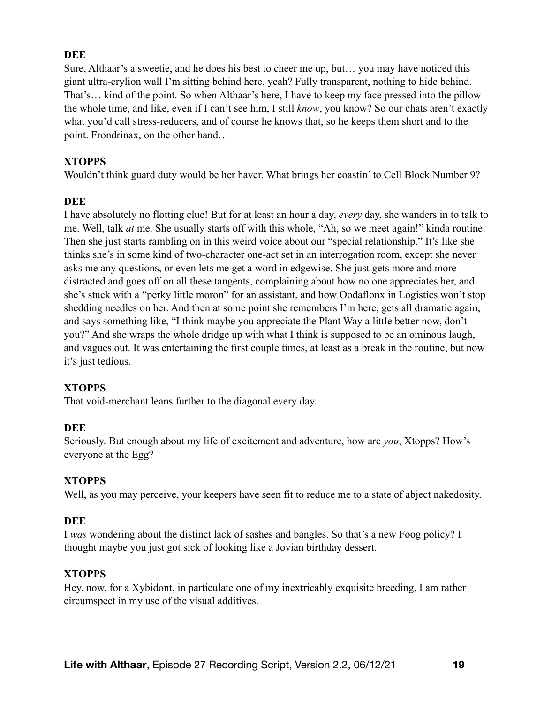#### **DEE**

Sure, Althaar's a sweetie, and he does his best to cheer me up, but… you may have noticed this giant ultra-crylion wall I'm sitting behind here, yeah? Fully transparent, nothing to hide behind. That's… kind of the point. So when Althaar's here, I have to keep my face pressed into the pillow the whole time, and like, even if I can't see him, I still *know*, you know? So our chats aren't exactly what you'd call stress-reducers, and of course he knows that, so he keeps them short and to the point. Frondrinax, on the other hand…

## **XTOPPS**

Wouldn't think guard duty would be her haver. What brings her coastin' to Cell Block Number 9?

#### **DEE**

I have absolutely no flotting clue! But for at least an hour a day, *every* day, she wanders in to talk to me. Well, talk *at* me. She usually starts off with this whole, "Ah, so we meet again!" kinda routine. Then she just starts rambling on in this weird voice about our "special relationship." It's like she thinks she's in some kind of two-character one-act set in an interrogation room, except she never asks me any questions, or even lets me get a word in edgewise. She just gets more and more distracted and goes off on all these tangents, complaining about how no one appreciates her, and she's stuck with a "perky little moron" for an assistant, and how Oodaflonx in Logistics won't stop shedding needles on her. And then at some point she remembers I'm here, gets all dramatic again, and says something like, "I think maybe you appreciate the Plant Way a little better now, don't you?" And she wraps the whole dridge up with what I think is supposed to be an ominous laugh, and vagues out. It was entertaining the first couple times, at least as a break in the routine, but now it's just tedious.

# **XTOPPS**

That void-merchant leans further to the diagonal every day.

#### **DEE**

Seriously. But enough about my life of excitement and adventure, how are *you*, Xtopps? How's everyone at the Egg?

#### **XTOPPS**

Well, as you may perceive, your keepers have seen fit to reduce me to a state of abject nakedosity.

#### **DEE**

I *was* wondering about the distinct lack of sashes and bangles. So that's a new Foog policy? I thought maybe you just got sick of looking like a Jovian birthday dessert.

#### **XTOPPS**

Hey, now, for a Xybidont, in particulate one of my inextricably exquisite breeding, I am rather circumspect in my use of the visual additives.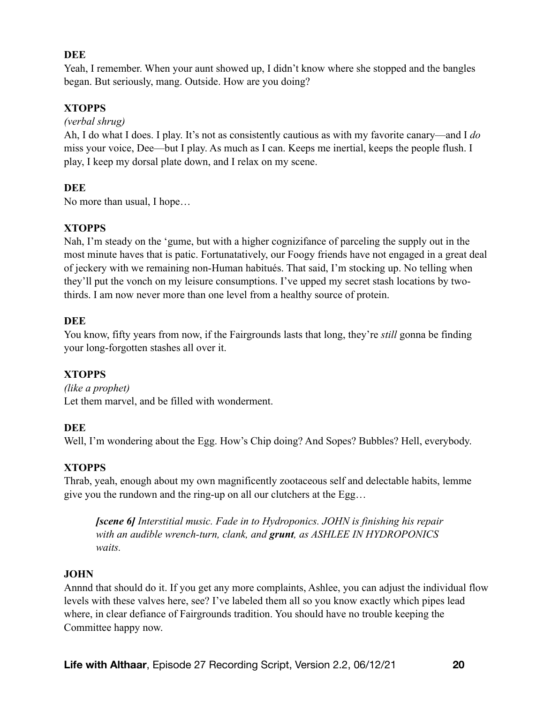## **DEE**

Yeah, I remember. When your aunt showed up, I didn't know where she stopped and the bangles began. But seriously, mang. Outside. How are you doing?

# **XTOPPS**

*(verbal shrug)* 

Ah, I do what I does. I play. It's not as consistently cautious as with my favorite canary—and I *do* miss your voice, Dee—but I play. As much as I can. Keeps me inertial, keeps the people flush. I play, I keep my dorsal plate down, and I relax on my scene.

## **DEE**

No more than usual, I hope…

## **XTOPPS**

Nah, I'm steady on the 'gume, but with a higher cognizifance of parceling the supply out in the most minute haves that is patic. Fortunatatively, our Foogy friends have not engaged in a great deal of jeckery with we remaining non-Human habitués. That said, I'm stocking up. No telling when they'll put the vonch on my leisure consumptions. I've upped my secret stash locations by twothirds. I am now never more than one level from a healthy source of protein.

## **DEE**

You know, fifty years from now, if the Fairgrounds lasts that long, they're *still* gonna be finding your long-forgotten stashes all over it.

# **XTOPPS**

*(like a prophet)*  Let them marvel, and be filled with wonderment.

#### **DEE**

Well, I'm wondering about the Egg. How's Chip doing? And Sopes? Bubbles? Hell, everybody.

# **XTOPPS**

Thrab, yeah, enough about my own magnificently zootaceous self and delectable habits, lemme give you the rundown and the ring-up on all our clutchers at the Egg…

*[scene 6] Interstitial music. Fade in to Hydroponics. JOHN is finishing his repair with an audible wrench-turn, clank, and grunt, as ASHLEE IN HYDROPONICS waits.* 

#### **JOHN**

Annnd that should do it. If you get any more complaints, Ashlee, you can adjust the individual flow levels with these valves here, see? I've labeled them all so you know exactly which pipes lead where, in clear defiance of Fairgrounds tradition. You should have no trouble keeping the Committee happy now.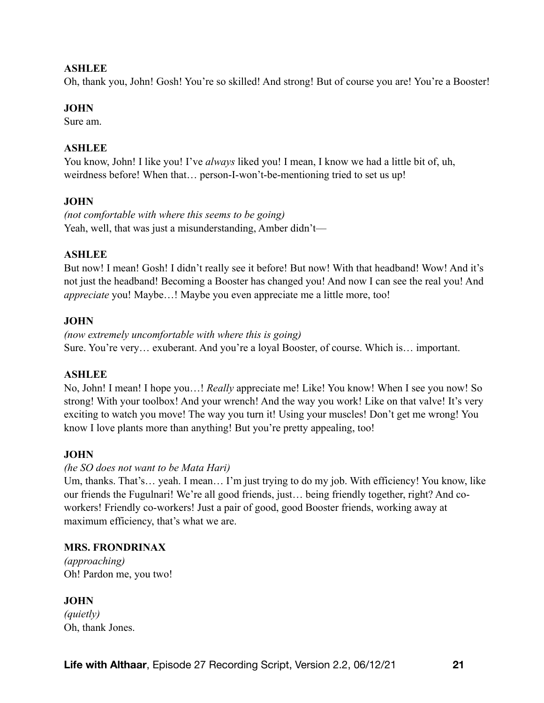#### **ASHLEE**

Oh, thank you, John! Gosh! You're so skilled! And strong! But of course you are! You're a Booster!

#### **JOHN**

Sure am.

## **ASHLEE**

You know, John! I like you! I've *always* liked you! I mean, I know we had a little bit of, uh, weirdness before! When that… person-I-won't-be-mentioning tried to set us up!

# **JOHN**

*(not comfortable with where this seems to be going)*  Yeah, well, that was just a misunderstanding, Amber didn't—

## **ASHLEE**

But now! I mean! Gosh! I didn't really see it before! But now! With that headband! Wow! And it's not just the headband! Becoming a Booster has changed you! And now I can see the real you! And *appreciate* you! Maybe…! Maybe you even appreciate me a little more, too!

# **JOHN**

*(now extremely uncomfortable with where this is going)*  Sure. You're very… exuberant. And you're a loyal Booster, of course. Which is… important.

#### **ASHLEE**

No, John! I mean! I hope you…! *Really* appreciate me! Like! You know! When I see you now! So strong! With your toolbox! And your wrench! And the way you work! Like on that valve! It's very exciting to watch you move! The way you turn it! Using your muscles! Don't get me wrong! You know I love plants more than anything! But you're pretty appealing, too!

# **JOHN**

#### *(he SO does not want to be Mata Hari)*

Um, thanks. That's… yeah. I mean… I'm just trying to do my job. With efficiency! You know, like our friends the Fugulnari! We're all good friends, just… being friendly together, right? And coworkers! Friendly co-workers! Just a pair of good, good Booster friends, working away at maximum efficiency, that's what we are.

#### **MRS. FRONDRINAX**

*(approaching)*  Oh! Pardon me, you two!

# **JOHN**

*(quietly)*  Oh, thank Jones.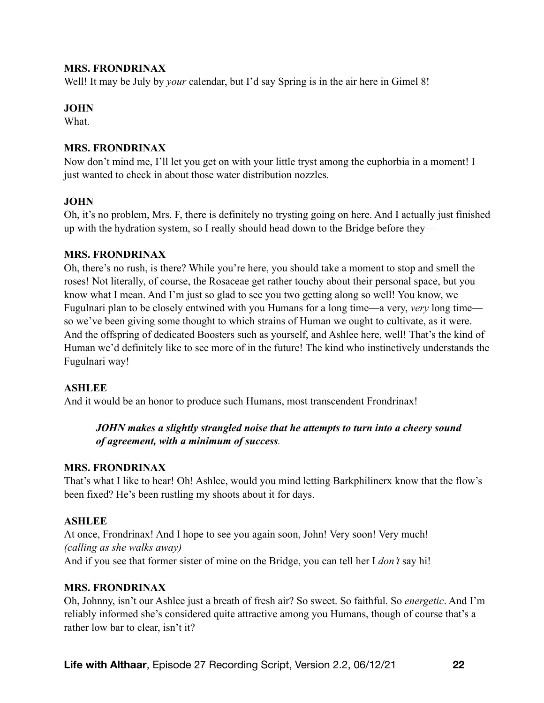#### **MRS. FRONDRINAX**

Well! It may be July by *your* calendar, but I'd say Spring is in the air here in Gimel 8!

#### **JOHN**

**What** 

#### **MRS. FRONDRINAX**

Now don't mind me, I'll let you get on with your little tryst among the euphorbia in a moment! I just wanted to check in about those water distribution nozzles.

#### **JOHN**

Oh, it's no problem, Mrs. F, there is definitely no trysting going on here. And I actually just finished up with the hydration system, so I really should head down to the Bridge before they—

#### **MRS. FRONDRINAX**

Oh, there's no rush, is there? While you're here, you should take a moment to stop and smell the roses! Not literally, of course, the Rosaceae get rather touchy about their personal space, but you know what I mean. And I'm just so glad to see you two getting along so well! You know, we Fugulnari plan to be closely entwined with you Humans for a long time—a very, *very* long time so we've been giving some thought to which strains of Human we ought to cultivate, as it were. And the offspring of dedicated Boosters such as yourself, and Ashlee here, well! That's the kind of Human we'd definitely like to see more of in the future! The kind who instinctively understands the Fugulnari way!

#### **ASHLEE**

And it would be an honor to produce such Humans, most transcendent Frondrinax!

# *JOHN makes a slightly strangled noise that he attempts to turn into a cheery sound of agreement, with a minimum of success.*

#### **MRS. FRONDRINAX**

That's what I like to hear! Oh! Ashlee, would you mind letting Barkphilinerx know that the flow's been fixed? He's been rustling my shoots about it for days.

#### **ASHLEE**

At once, Frondrinax! And I hope to see you again soon, John! Very soon! Very much! *(calling as she walks away)*  And if you see that former sister of mine on the Bridge, you can tell her I *don't* say hi!

#### **MRS. FRONDRINAX**

Oh, Johnny, isn't our Ashlee just a breath of fresh air? So sweet. So faithful. So *energetic*. And I'm reliably informed she's considered quite attractive among you Humans, though of course that's a rather low bar to clear, isn't it?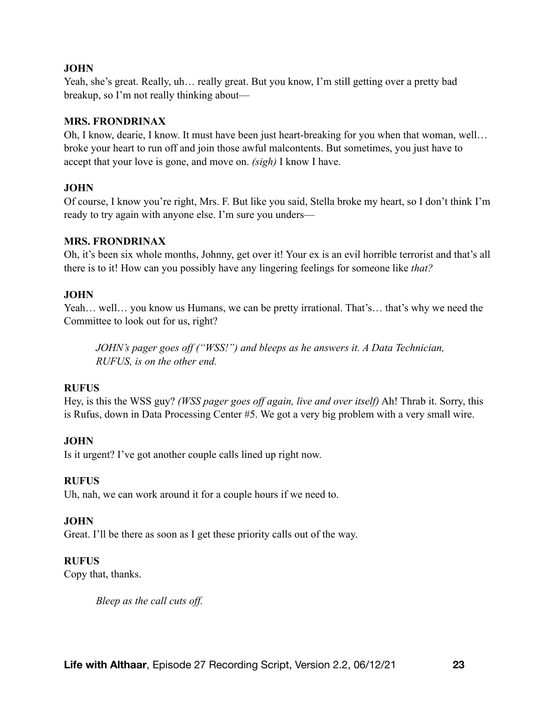#### **JOHN**

Yeah, she's great. Really, uh… really great. But you know, I'm still getting over a pretty bad breakup, so I'm not really thinking about—

#### **MRS. FRONDRINAX**

Oh, I know, dearie, I know. It must have been just heart-breaking for you when that woman, well… broke your heart to run off and join those awful malcontents. But sometimes, you just have to accept that your love is gone, and move on. *(sigh)* I know I have.

# **JOHN**

Of course, I know you're right, Mrs. F. But like you said, Stella broke my heart, so I don't think I'm ready to try again with anyone else. I'm sure you unders—

## **MRS. FRONDRINAX**

Oh, it's been six whole months, Johnny, get over it! Your ex is an evil horrible terrorist and that's all there is to it! How can you possibly have any lingering feelings for someone like *that?*

## **JOHN**

Yeah... well... you know us Humans, we can be pretty irrational. That's... that's why we need the Committee to look out for us, right?

*JOHN's pager goes off ("WSS!") and bleeps as he answers it. A Data Technician, RUFUS, is on the other end.* 

# **RUFUS**

Hey, is this the WSS guy? *(WSS pager goes off again, live and over itself)* Ah! Thrab it. Sorry, this is Rufus, down in Data Processing Center #5. We got a very big problem with a very small wire.

# **JOHN**

Is it urgent? I've got another couple calls lined up right now.

#### **RUFUS**

Uh, nah, we can work around it for a couple hours if we need to.

# **JOHN**

Great. I'll be there as soon as I get these priority calls out of the way.

#### **RUFUS**

Copy that, thanks.

*Bleep as the call cuts off.*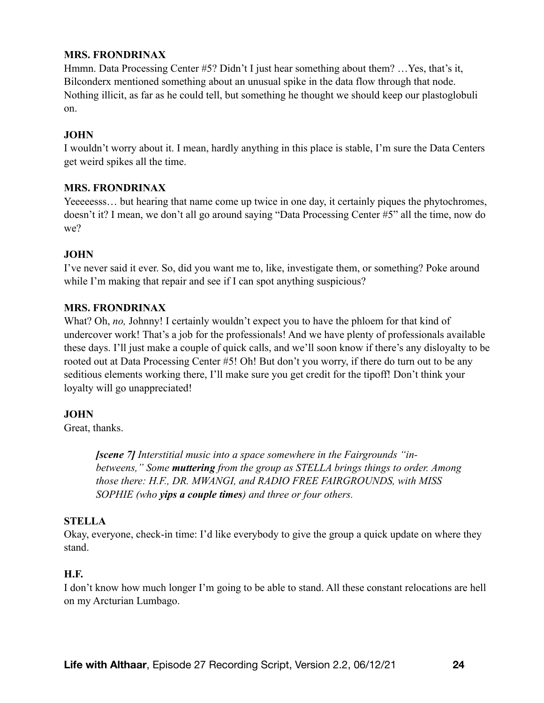## **MRS. FRONDRINAX**

Hmmn. Data Processing Center #5? Didn't I just hear something about them? …Yes, that's it, Bilconderx mentioned something about an unusual spike in the data flow through that node. Nothing illicit, as far as he could tell, but something he thought we should keep our plastoglobuli on.

#### **JOHN**

I wouldn't worry about it. I mean, hardly anything in this place is stable, I'm sure the Data Centers get weird spikes all the time.

#### **MRS. FRONDRINAX**

Yeeeeesss… but hearing that name come up twice in one day, it certainly piques the phytochromes, doesn't it? I mean, we don't all go around saying "Data Processing Center #5" all the time, now do we?

## **JOHN**

I've never said it ever. So, did you want me to, like, investigate them, or something? Poke around while I'm making that repair and see if I can spot anything suspicious?

## **MRS. FRONDRINAX**

What? Oh, *no*, Johnny! I certainly wouldn't expect you to have the phloem for that kind of undercover work! That's a job for the professionals! And we have plenty of professionals available these days. I'll just make a couple of quick calls, and we'll soon know if there's any disloyalty to be rooted out at Data Processing Center #5! Oh! But don't you worry, if there do turn out to be any seditious elements working there, I'll make sure you get credit for the tipoff! Don't think your loyalty will go unappreciated!

#### **JOHN**

Great, thanks.

*[scene 7] Interstitial music into a space somewhere in the Fairgrounds "inbetweens," Some muttering from the group as STELLA brings things to order. Among those there: H.F., DR. MWANGI, and RADIO FREE FAIRGROUNDS, with MISS SOPHIE (who yips a couple times) and three or four others.* 

#### **STELLA**

Okay, everyone, check-in time: I'd like everybody to give the group a quick update on where they stand.

#### **H.F.**

I don't know how much longer I'm going to be able to stand. All these constant relocations are hell on my Arcturian Lumbago.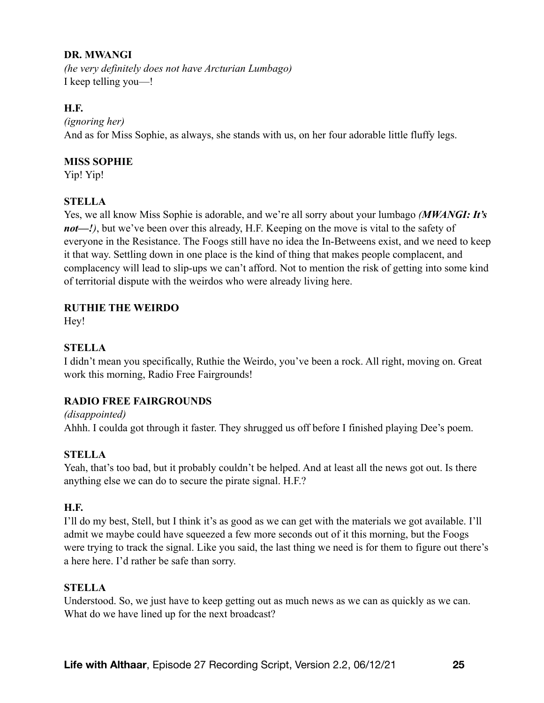## **DR. MWANGI**

*(he very definitely does not have Arcturian Lumbago)*  I keep telling you—!

## **H.F.**

*(ignoring her)*  And as for Miss Sophie, as always, she stands with us, on her four adorable little fluffy legs.

## **MISS SOPHIE**

Yip! Yip!

## **STELLA**

Yes, we all know Miss Sophie is adorable, and we're all sorry about your lumbago *(MWANGI: It's not—!*), but we've been over this already, H.F. Keeping on the move is vital to the safety of everyone in the Resistance. The Foogs still have no idea the In-Betweens exist, and we need to keep it that way. Settling down in one place is the kind of thing that makes people complacent, and complacency will lead to slip-ups we can't afford. Not to mention the risk of getting into some kind of territorial dispute with the weirdos who were already living here.

## **RUTHIE THE WEIRDO**

Hey!

# **STELLA**

I didn't mean you specifically, Ruthie the Weirdo, you've been a rock. All right, moving on. Great work this morning, Radio Free Fairgrounds!

# **RADIO FREE FAIRGROUNDS**

*(disappointed)*  Ahhh. I coulda got through it faster. They shrugged us off before I finished playing Dee's poem.

#### **STELLA**

Yeah, that's too bad, but it probably couldn't be helped. And at least all the news got out. Is there anything else we can do to secure the pirate signal. H.F.?

#### **H.F.**

I'll do my best, Stell, but I think it's as good as we can get with the materials we got available. I'll admit we maybe could have squeezed a few more seconds out of it this morning, but the Foogs were trying to track the signal. Like you said, the last thing we need is for them to figure out there's a here here. I'd rather be safe than sorry.

#### **STELLA**

Understood. So, we just have to keep getting out as much news as we can as quickly as we can. What do we have lined up for the next broadcast?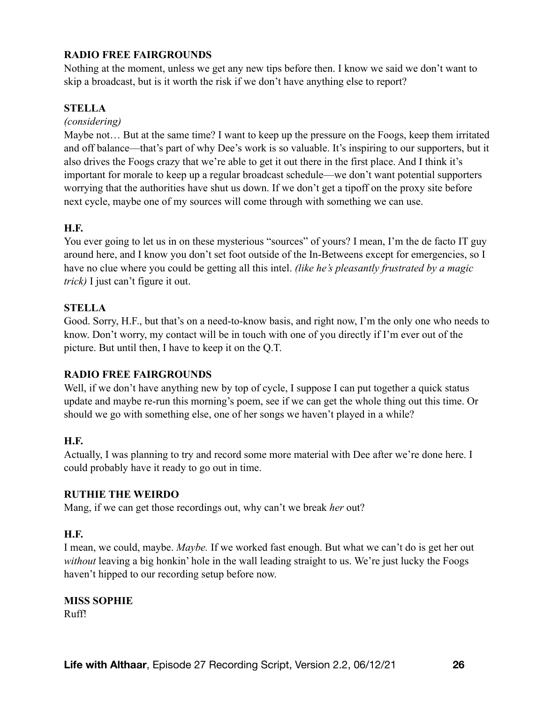# **RADIO FREE FAIRGROUNDS**

Nothing at the moment, unless we get any new tips before then. I know we said we don't want to skip a broadcast, but is it worth the risk if we don't have anything else to report?

#### **STELLA**

#### *(considering)*

Maybe not… But at the same time? I want to keep up the pressure on the Foogs, keep them irritated and off balance—that's part of why Dee's work is so valuable. It's inspiring to our supporters, but it also drives the Foogs crazy that we're able to get it out there in the first place. And I think it's important for morale to keep up a regular broadcast schedule—we don't want potential supporters worrying that the authorities have shut us down. If we don't get a tipoff on the proxy site before next cycle, maybe one of my sources will come through with something we can use.

#### **H.F.**

You ever going to let us in on these mysterious "sources" of yours? I mean, I'm the de facto IT guy around here, and I know you don't set foot outside of the In-Betweens except for emergencies, so I have no clue where you could be getting all this intel. *(like he's pleasantly frustrated by a magic trick)* I just can't figure it out.

#### **STELLA**

Good. Sorry, H.F., but that's on a need-to-know basis, and right now, I'm the only one who needs to know. Don't worry, my contact will be in touch with one of you directly if I'm ever out of the picture. But until then, I have to keep it on the Q.T.

#### **RADIO FREE FAIRGROUNDS**

Well, if we don't have anything new by top of cycle, I suppose I can put together a quick status update and maybe re-run this morning's poem, see if we can get the whole thing out this time. Or should we go with something else, one of her songs we haven't played in a while?

#### **H.F.**

Actually, I was planning to try and record some more material with Dee after we're done here. I could probably have it ready to go out in time.

#### **RUTHIE THE WEIRDO**

Mang, if we can get those recordings out, why can't we break *her* out?

#### **H.F.**

I mean, we could, maybe. *Maybe.* If we worked fast enough. But what we can't do is get her out *without* leaving a big honkin' hole in the wall leading straight to us. We're just lucky the Foogs haven't hipped to our recording setup before now.

# **MISS SOPHIE**

Ruff!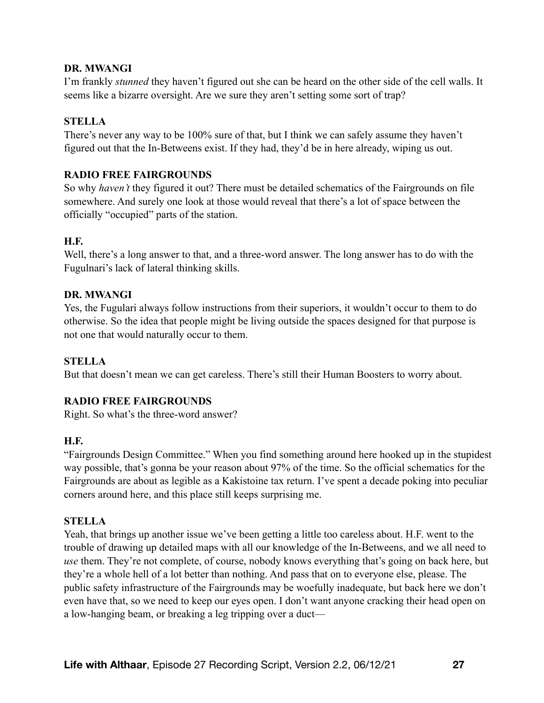#### **DR. MWANGI**

I'm frankly *stunned* they haven't figured out she can be heard on the other side of the cell walls. It seems like a bizarre oversight. Are we sure they aren't setting some sort of trap?

## **STELLA**

There's never any way to be 100% sure of that, but I think we can safely assume they haven't figured out that the In-Betweens exist. If they had, they'd be in here already, wiping us out.

#### **RADIO FREE FAIRGROUNDS**

So why *haven't* they figured it out? There must be detailed schematics of the Fairgrounds on file somewhere. And surely one look at those would reveal that there's a lot of space between the officially "occupied" parts of the station.

## **H.F.**

Well, there's a long answer to that, and a three-word answer. The long answer has to do with the Fugulnari's lack of lateral thinking skills.

#### **DR. MWANGI**

Yes, the Fugulari always follow instructions from their superiors, it wouldn't occur to them to do otherwise. So the idea that people might be living outside the spaces designed for that purpose is not one that would naturally occur to them.

# **STELLA**

But that doesn't mean we can get careless. There's still their Human Boosters to worry about.

# **RADIO FREE FAIRGROUNDS**

Right. So what's the three-word answer?

#### **H.F.**

"Fairgrounds Design Committee." When you find something around here hooked up in the stupidest way possible, that's gonna be your reason about 97% of the time. So the official schematics for the Fairgrounds are about as legible as a Kakistoine tax return. I've spent a decade poking into peculiar corners around here, and this place still keeps surprising me.

#### **STELLA**

Yeah, that brings up another issue we've been getting a little too careless about. H.F. went to the trouble of drawing up detailed maps with all our knowledge of the In-Betweens, and we all need to *use* them. They're not complete, of course, nobody knows everything that's going on back here, but they're a whole hell of a lot better than nothing. And pass that on to everyone else, please. The public safety infrastructure of the Fairgrounds may be woefully inadequate, but back here we don't even have that, so we need to keep our eyes open. I don't want anyone cracking their head open on a low-hanging beam, or breaking a leg tripping over a duct—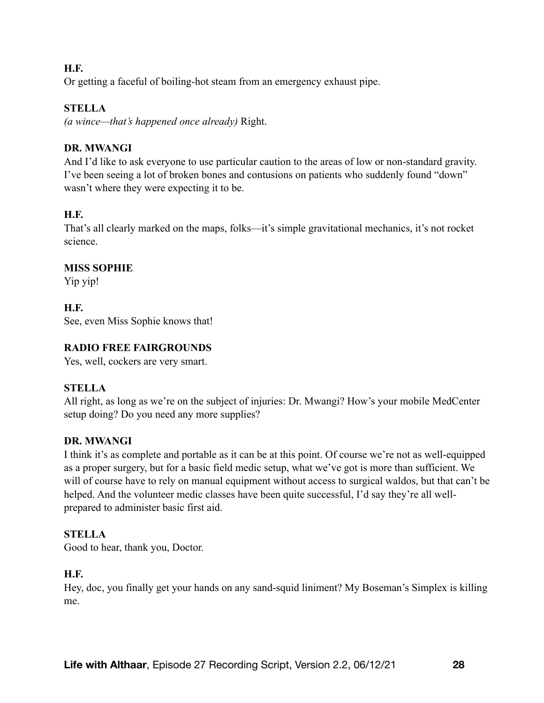## **H.F.**

Or getting a faceful of boiling-hot steam from an emergency exhaust pipe.

# **STELLA**

*(a wince—that's happened once already)* Right.

## **DR. MWANGI**

And I'd like to ask everyone to use particular caution to the areas of low or non-standard gravity. I've been seeing a lot of broken bones and contusions on patients who suddenly found "down" wasn't where they were expecting it to be.

# **H.F.**

That's all clearly marked on the maps, folks—it's simple gravitational mechanics, it's not rocket science.

## **MISS SOPHIE**

Yip yip!

# **H.F.**

See, even Miss Sophie knows that!

## **RADIO FREE FAIRGROUNDS**

Yes, well, cockers are very smart.

# **STELLA**

All right, as long as we're on the subject of injuries: Dr. Mwangi? How's your mobile MedCenter setup doing? Do you need any more supplies?

#### **DR. MWANGI**

I think it's as complete and portable as it can be at this point. Of course we're not as well-equipped as a proper surgery, but for a basic field medic setup, what we've got is more than sufficient. We will of course have to rely on manual equipment without access to surgical waldos, but that can't be helped. And the volunteer medic classes have been quite successful, I'd say they're all wellprepared to administer basic first aid.

# **STELLA**

Good to hear, thank you, Doctor.

# **H.F.**

Hey, doc, you finally get your hands on any sand-squid liniment? My Boseman's Simplex is killing me.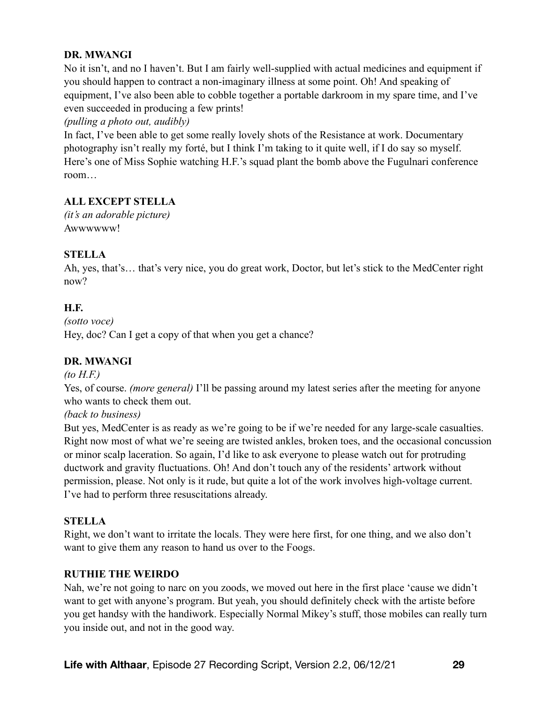# **DR. MWANGI**

No it isn't, and no I haven't. But I am fairly well-supplied with actual medicines and equipment if you should happen to contract a non-imaginary illness at some point. Oh! And speaking of equipment, I've also been able to cobble together a portable darkroom in my spare time, and I've even succeeded in producing a few prints!

#### *(pulling a photo out, audibly)*

In fact, I've been able to get some really lovely shots of the Resistance at work. Documentary photography isn't really my forté, but I think I'm taking to it quite well, if I do say so myself. Here's one of Miss Sophie watching H.F.'s squad plant the bomb above the Fugulnari conference room…

# **ALL EXCEPT STELLA**

*(it's an adorable picture)*  Awwwwww!

## **STELLA**

Ah, yes, that's… that's very nice, you do great work, Doctor, but let's stick to the MedCenter right now?

## **H.F.**

*(sotto voce)*  Hey, doc? Can I get a copy of that when you get a chance?

# **DR. MWANGI**

#### *(to H.F.)*

Yes, of course. *(more general)* I'll be passing around my latest series after the meeting for anyone who wants to check them out.

#### *(back to business)*

But yes, MedCenter is as ready as we're going to be if we're needed for any large-scale casualties. Right now most of what we're seeing are twisted ankles, broken toes, and the occasional concussion or minor scalp laceration. So again, I'd like to ask everyone to please watch out for protruding ductwork and gravity fluctuations. Oh! And don't touch any of the residents' artwork without permission, please. Not only is it rude, but quite a lot of the work involves high-voltage current. I've had to perform three resuscitations already.

#### **STELLA**

Right, we don't want to irritate the locals. They were here first, for one thing, and we also don't want to give them any reason to hand us over to the Foogs.

#### **RUTHIE THE WEIRDO**

Nah, we're not going to narc on you zoods, we moved out here in the first place 'cause we didn't want to get with anyone's program. But yeah, you should definitely check with the artiste before you get handsy with the handiwork. Especially Normal Mikey's stuff, those mobiles can really turn you inside out, and not in the good way.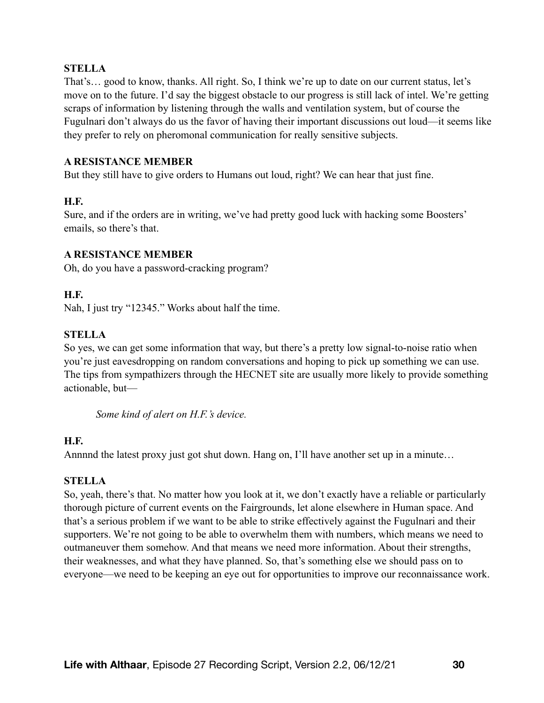#### **STELLA**

That's… good to know, thanks. All right. So, I think we're up to date on our current status, let's move on to the future. I'd say the biggest obstacle to our progress is still lack of intel. We're getting scraps of information by listening through the walls and ventilation system, but of course the Fugulnari don't always do us the favor of having their important discussions out loud—it seems like they prefer to rely on pheromonal communication for really sensitive subjects.

#### **A RESISTANCE MEMBER**

But they still have to give orders to Humans out loud, right? We can hear that just fine.

#### **H.F.**

Sure, and if the orders are in writing, we've had pretty good luck with hacking some Boosters' emails, so there's that.

#### **A RESISTANCE MEMBER**

Oh, do you have a password-cracking program?

#### **H.F.**

Nah, I just try "12345." Works about half the time.

#### **STELLA**

So yes, we can get some information that way, but there's a pretty low signal-to-noise ratio when you're just eavesdropping on random conversations and hoping to pick up something we can use. The tips from sympathizers through the HECNET site are usually more likely to provide something actionable, but—

*Some kind of alert on H.F.'s device.* 

#### **H.F.**

Annnnd the latest proxy just got shut down. Hang on, I'll have another set up in a minute…

# **STELLA**

So, yeah, there's that. No matter how you look at it, we don't exactly have a reliable or particularly thorough picture of current events on the Fairgrounds, let alone elsewhere in Human space. And that's a serious problem if we want to be able to strike effectively against the Fugulnari and their supporters. We're not going to be able to overwhelm them with numbers, which means we need to outmaneuver them somehow. And that means we need more information. About their strengths, their weaknesses, and what they have planned. So, that's something else we should pass on to everyone—we need to be keeping an eye out for opportunities to improve our reconnaissance work.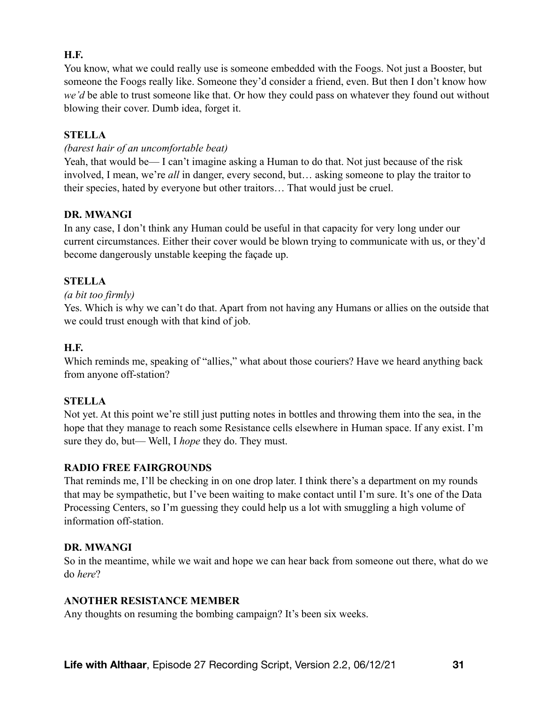# **H.F.**

You know, what we could really use is someone embedded with the Foogs. Not just a Booster, but someone the Foogs really like. Someone they'd consider a friend, even. But then I don't know how *we'd* be able to trust someone like that. Or how they could pass on whatever they found out without blowing their cover. Dumb idea, forget it.

#### **STELLA**

#### *(barest hair of an uncomfortable beat)*

Yeah, that would be— I can't imagine asking a Human to do that. Not just because of the risk involved, I mean, we're *all* in danger, every second, but… asking someone to play the traitor to their species, hated by everyone but other traitors… That would just be cruel.

#### **DR. MWANGI**

In any case, I don't think any Human could be useful in that capacity for very long under our current circumstances. Either their cover would be blown trying to communicate with us, or they'd become dangerously unstable keeping the façade up.

## **STELLA**

#### *(a bit too firmly)*

Yes. Which is why we can't do that. Apart from not having any Humans or allies on the outside that we could trust enough with that kind of job.

#### **H.F.**

Which reminds me, speaking of "allies," what about those couriers? Have we heard anything back from anyone off-station?

#### **STELLA**

Not yet. At this point we're still just putting notes in bottles and throwing them into the sea, in the hope that they manage to reach some Resistance cells elsewhere in Human space. If any exist. I'm sure they do, but— Well, I *hope* they do. They must.

#### **RADIO FREE FAIRGROUNDS**

That reminds me, I'll be checking in on one drop later. I think there's a department on my rounds that may be sympathetic, but I've been waiting to make contact until I'm sure. It's one of the Data Processing Centers, so I'm guessing they could help us a lot with smuggling a high volume of information off-station.

#### **DR. MWANGI**

So in the meantime, while we wait and hope we can hear back from someone out there, what do we do *here*?

#### **ANOTHER RESISTANCE MEMBER**

Any thoughts on resuming the bombing campaign? It's been six weeks.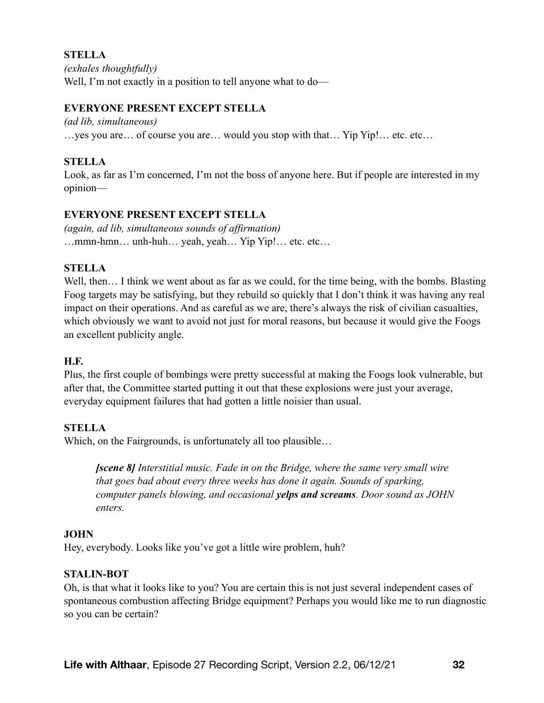**STELLA**  *(exhales thoughtfully)*  Well, I'm not exactly in a position to tell anyone what to do—

#### **EVERYONE PRESENT EXCEPT STELLA**

*(ad lib, simultaneous)* 

…yes you are… of course you are… would you stop with that… Yip Yip!… etc. etc…

## **STELLA**

Look, as far as I'm concerned, I'm not the boss of anyone here. But if people are interested in my opinion—

## **EVERYONE PRESENT EXCEPT STELLA**

*(again, ad lib, simultaneous sounds of affirmation)*  …mmn-hmn… unh-huh… yeah, yeah… Yip Yip!… etc. etc…

#### **STELLA**

Well, then… I think we went about as far as we could, for the time being, with the bombs. Blasting Foog targets may be satisfying, but they rebuild so quickly that I don't think it was having any real impact on their operations. And as careful as we are, there's always the risk of civilian casualties, which obviously we want to avoid not just for moral reasons, but because it would give the Foogs an excellent publicity angle.

#### **H.F.**

Plus, the first couple of bombings were pretty successful at making the Foogs look vulnerable, but after that, the Committee started putting it out that these explosions were just your average, everyday equipment failures that had gotten a little noisier than usual.

#### **STELLA**

Which, on the Fairgrounds, is unfortunately all too plausible...

*[scene 8] Interstitial music. Fade in on the Bridge, where the same very small wire that goes bad about every three weeks has done it again. Sounds of sparking, computer panels blowing, and occasional yelps and screams. Door sound as JOHN enters.* 

#### **JOHN**

Hey, everybody. Looks like you've got a little wire problem, huh?

#### **STALIN-BOT**

Oh, is that what it looks like to you? You are certain this is not just several independent cases of spontaneous combustion affecting Bridge equipment? Perhaps you would like me to run diagnostic so you can be certain?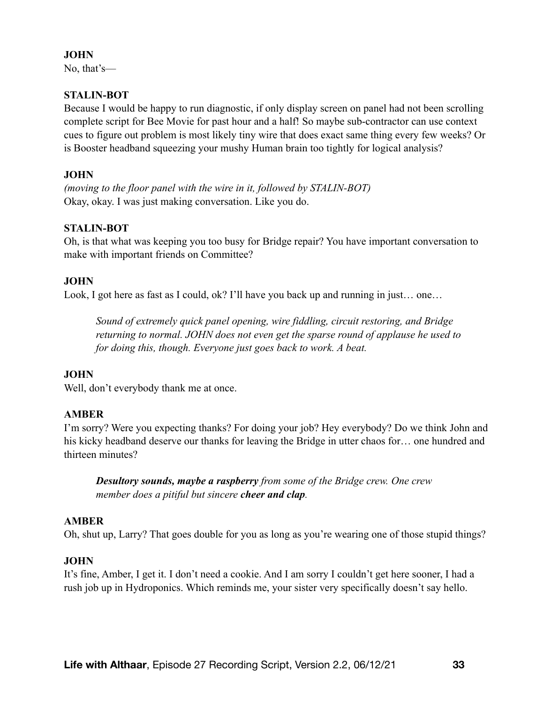#### **JOHN**

No, that's—

# **STALIN-BOT**

Because I would be happy to run diagnostic, if only display screen on panel had not been scrolling complete script for Bee Movie for past hour and a half! So maybe sub-contractor can use context cues to figure out problem is most likely tiny wire that does exact same thing every few weeks? Or is Booster headband squeezing your mushy Human brain too tightly for logical analysis?

#### **JOHN**

*(moving to the floor panel with the wire in it, followed by STALIN-BOT)*  Okay, okay. I was just making conversation. Like you do.

## **STALIN-BOT**

Oh, is that what was keeping you too busy for Bridge repair? You have important conversation to make with important friends on Committee?

## **JOHN**

Look, I got here as fast as I could, ok? I'll have you back up and running in just... one...

*Sound of extremely quick panel opening, wire fiddling, circuit restoring, and Bridge returning to normal. JOHN does not even get the sparse round of applause he used to for doing this, though. Everyone just goes back to work. A beat.* 

#### **JOHN**

Well, don't everybody thank me at once.

#### **AMBER**

I'm sorry? Were you expecting thanks? For doing your job? Hey everybody? Do we think John and his kicky headband deserve our thanks for leaving the Bridge in utter chaos for... one hundred and thirteen minutes?

*Desultory sounds, maybe a raspberry from some of the Bridge crew. One crew member does a pitiful but sincere cheer and clap.* 

#### **AMBER**

Oh, shut up, Larry? That goes double for you as long as you're wearing one of those stupid things?

#### **JOHN**

It's fine, Amber, I get it. I don't need a cookie. And I am sorry I couldn't get here sooner, I had a rush job up in Hydroponics. Which reminds me, your sister very specifically doesn't say hello.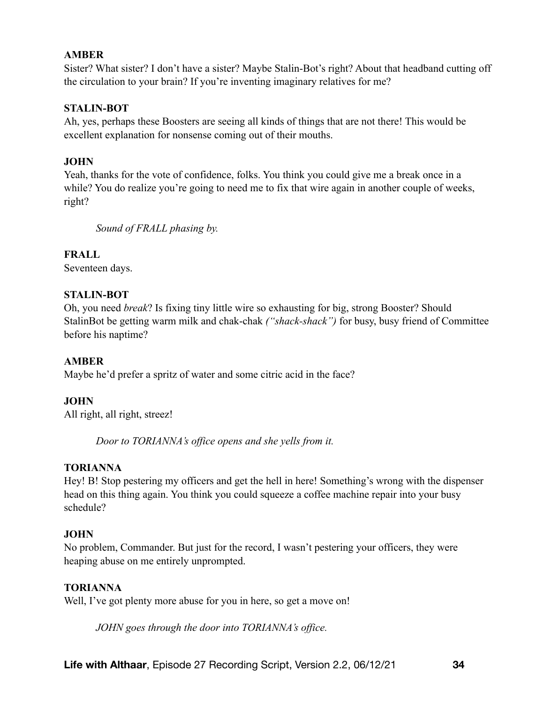## **AMBER**

Sister? What sister? I don't have a sister? Maybe Stalin-Bot's right? About that headband cutting off the circulation to your brain? If you're inventing imaginary relatives for me?

#### **STALIN-BOT**

Ah, yes, perhaps these Boosters are seeing all kinds of things that are not there! This would be excellent explanation for nonsense coming out of their mouths.

## **JOHN**

Yeah, thanks for the vote of confidence, folks. You think you could give me a break once in a while? You do realize you're going to need me to fix that wire again in another couple of weeks, right?

*Sound of FRALL phasing by.* 

**FRALL** 

Seventeen days.

## **STALIN-BOT**

Oh, you need *break*? Is fixing tiny little wire so exhausting for big, strong Booster? Should StalinBot be getting warm milk and chak-chak *("shack-shack")* for busy, busy friend of Committee before his naptime?

#### **AMBER**

Maybe he'd prefer a spritz of water and some citric acid in the face?

#### **JOHN**

All right, all right, streez!

*Door to TORIANNA's office opens and she yells from it.* 

#### **TORIANNA**

Hey! B! Stop pestering my officers and get the hell in here! Something's wrong with the dispenser head on this thing again. You think you could squeeze a coffee machine repair into your busy schedule?

#### **JOHN**

No problem, Commander. But just for the record, I wasn't pestering your officers, they were heaping abuse on me entirely unprompted.

#### **TORIANNA**

Well, I've got plenty more abuse for you in here, so get a move on!

*JOHN goes through the door into TORIANNA's office.*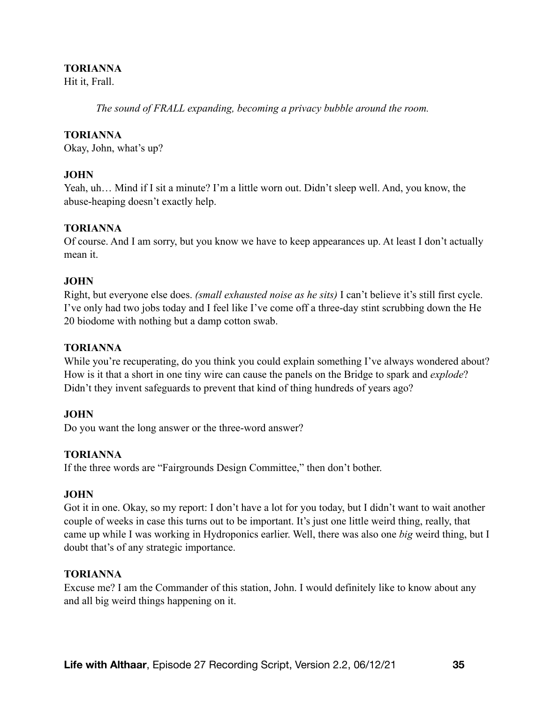#### **TORIANNA**

Hit it, Frall.

*The sound of FRALL expanding, becoming a privacy bubble around the room.* 

#### **TORIANNA**

Okay, John, what's up?

#### **JOHN**

Yeah, uh… Mind if I sit a minute? I'm a little worn out. Didn't sleep well. And, you know, the abuse-heaping doesn't exactly help.

#### **TORIANNA**

Of course. And I am sorry, but you know we have to keep appearances up. At least I don't actually mean it.

#### **JOHN**

Right, but everyone else does. *(small exhausted noise as he sits)* I can't believe it's still first cycle. I've only had two jobs today and I feel like I've come off a three-day stint scrubbing down the He 20 biodome with nothing but a damp cotton swab.

# **TORIANNA**

While you're recuperating, do you think you could explain something I've always wondered about? How is it that a short in one tiny wire can cause the panels on the Bridge to spark and *explode*? Didn't they invent safeguards to prevent that kind of thing hundreds of years ago?

# **JOHN**

Do you want the long answer or the three-word answer?

#### **TORIANNA**

If the three words are "Fairgrounds Design Committee," then don't bother.

#### **JOHN**

Got it in one. Okay, so my report: I don't have a lot for you today, but I didn't want to wait another couple of weeks in case this turns out to be important. It's just one little weird thing, really, that came up while I was working in Hydroponics earlier. Well, there was also one *big* weird thing, but I doubt that's of any strategic importance.

#### **TORIANNA**

Excuse me? I am the Commander of this station, John. I would definitely like to know about any and all big weird things happening on it.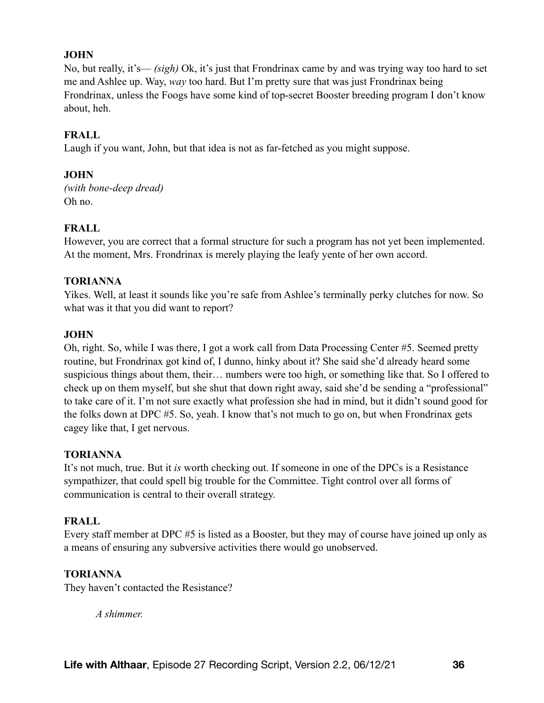## **JOHN**

No, but really, it's— *(sigh)* Ok, it's just that Frondrinax came by and was trying way too hard to set me and Ashlee up. Way, *way* too hard. But I'm pretty sure that was just Frondrinax being Frondrinax, unless the Foogs have some kind of top-secret Booster breeding program I don't know about, heh.

## **FRALL**

Laugh if you want, John, but that idea is not as far-fetched as you might suppose.

#### **JOHN**

*(with bone-deep dread)*  Oh no.

# **FRALL**

However, you are correct that a formal structure for such a program has not yet been implemented. At the moment, Mrs. Frondrinax is merely playing the leafy yente of her own accord.

#### **TORIANNA**

Yikes. Well, at least it sounds like you're safe from Ashlee's terminally perky clutches for now. So what was it that you did want to report?

## **JOHN**

Oh, right. So, while I was there, I got a work call from Data Processing Center #5. Seemed pretty routine, but Frondrinax got kind of, I dunno, hinky about it? She said she'd already heard some suspicious things about them, their… numbers were too high, or something like that. So I offered to check up on them myself, but she shut that down right away, said she'd be sending a "professional" to take care of it. I'm not sure exactly what profession she had in mind, but it didn't sound good for the folks down at DPC #5. So, yeah. I know that's not much to go on, but when Frondrinax gets cagey like that, I get nervous.

#### **TORIANNA**

It's not much, true. But it *is* worth checking out. If someone in one of the DPCs is a Resistance sympathizer, that could spell big trouble for the Committee. Tight control over all forms of communication is central to their overall strategy.

#### **FRALL**

Every staff member at DPC #5 is listed as a Booster, but they may of course have joined up only as a means of ensuring any subversive activities there would go unobserved.

#### **TORIANNA**

They haven't contacted the Resistance?

*A shimmer.*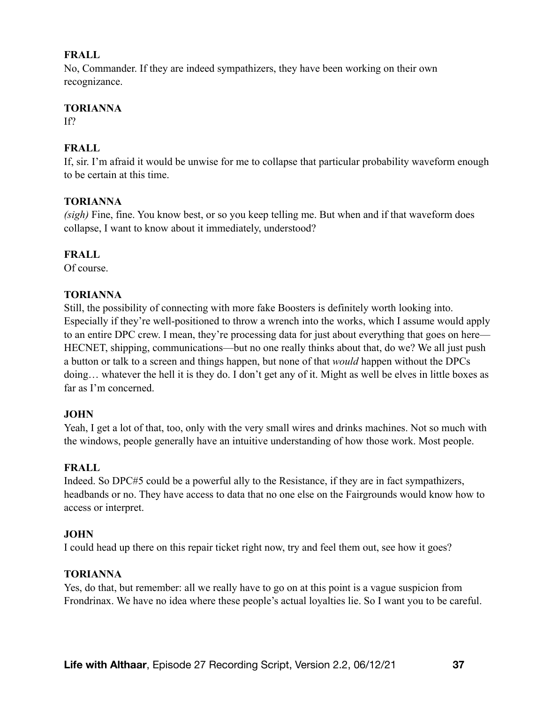#### **FRALL**

No, Commander. If they are indeed sympathizers, they have been working on their own recognizance.

## **TORIANNA**

 $IP$ 

## **FRALL**

If, sir. I'm afraid it would be unwise for me to collapse that particular probability waveform enough to be certain at this time.

## **TORIANNA**

*(sigh)* Fine, fine. You know best, or so you keep telling me. But when and if that waveform does collapse, I want to know about it immediately, understood?

## **FRALL**

Of course.

## **TORIANNA**

Still, the possibility of connecting with more fake Boosters is definitely worth looking into. Especially if they're well-positioned to throw a wrench into the works, which I assume would apply to an entire DPC crew. I mean, they're processing data for just about everything that goes on here— HECNET, shipping, communications—but no one really thinks about that, do we? We all just push a button or talk to a screen and things happen, but none of that *would* happen without the DPCs doing… whatever the hell it is they do. I don't get any of it. Might as well be elves in little boxes as far as I'm concerned.

## **JOHN**

Yeah, I get a lot of that, too, only with the very small wires and drinks machines. Not so much with the windows, people generally have an intuitive understanding of how those work. Most people.

## **FRALL**

Indeed. So DPC#5 could be a powerful ally to the Resistance, if they are in fact sympathizers, headbands or no. They have access to data that no one else on the Fairgrounds would know how to access or interpret.

## **JOHN**

I could head up there on this repair ticket right now, try and feel them out, see how it goes?

## **TORIANNA**

Yes, do that, but remember: all we really have to go on at this point is a vague suspicion from Frondrinax. We have no idea where these people's actual loyalties lie. So I want you to be careful.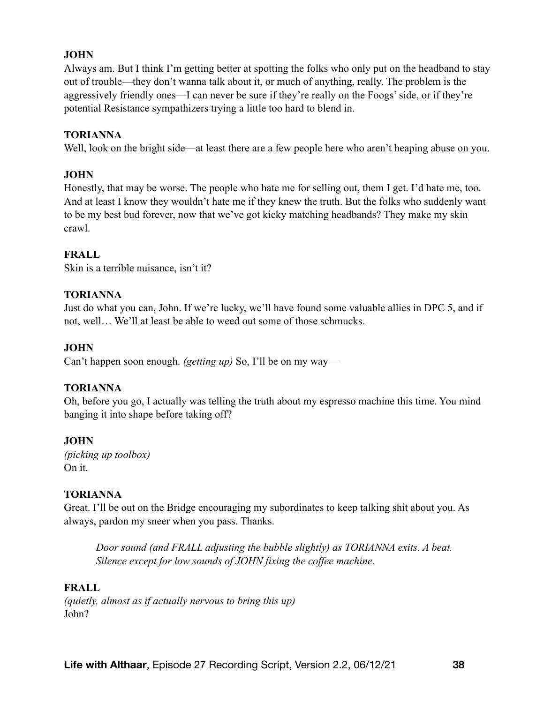Always am. But I think I'm getting better at spotting the folks who only put on the headband to stay out of trouble—they don't wanna talk about it, or much of anything, really. The problem is the aggressively friendly ones—I can never be sure if they're really on the Foogs' side, or if they're potential Resistance sympathizers trying a little too hard to blend in.

#### **TORIANNA**

Well, look on the bright side—at least there are a few people here who aren't heaping abuse on you.

### **JOHN**

Honestly, that may be worse. The people who hate me for selling out, them I get. I'd hate me, too. And at least I know they wouldn't hate me if they knew the truth. But the folks who suddenly want to be my best bud forever, now that we've got kicky matching headbands? They make my skin crawl.

### **FRALL**

Skin is a terrible nuisance, isn't it?

### **TORIANNA**

Just do what you can, John. If we're lucky, we'll have found some valuable allies in DPC 5, and if not, well… We'll at least be able to weed out some of those schmucks.

### **JOHN**

Can't happen soon enough. *(getting up)* So, I'll be on my way—

## **TORIANNA**

Oh, before you go, I actually was telling the truth about my espresso machine this time. You mind banging it into shape before taking off?

#### **JOHN**

*(picking up toolbox)*  On it.

## **TORIANNA**

Great. I'll be out on the Bridge encouraging my subordinates to keep talking shit about you. As always, pardon my sneer when you pass. Thanks.

*Door sound (and FRALL adjusting the bubble slightly) as TORIANNA exits. A beat. Silence except for low sounds of JOHN fixing the coffee machine.* 

#### **FRALL**

*(quietly, almost as if actually nervous to bring this up)*  John?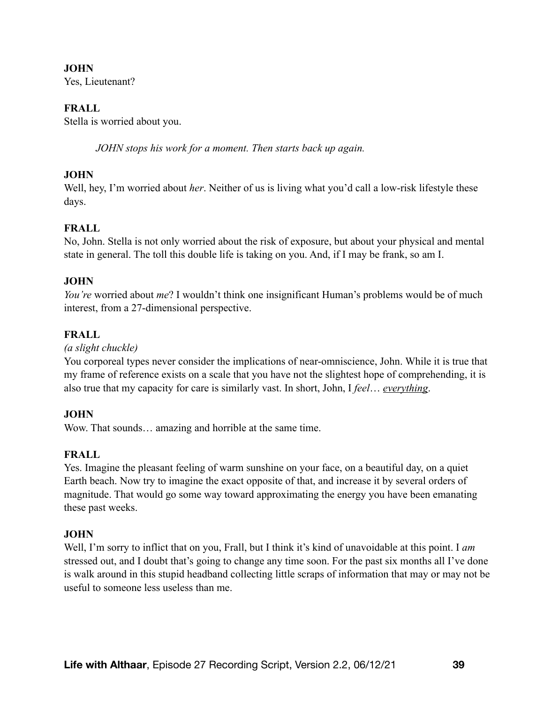Yes, Lieutenant?

#### **FRALL**

Stella is worried about you.

*JOHN stops his work for a moment. Then starts back up again.* 

#### **JOHN**

Well, hey, I'm worried about *her*. Neither of us is living what you'd call a low-risk lifestyle these days.

## **FRALL**

No, John. Stella is not only worried about the risk of exposure, but about your physical and mental state in general. The toll this double life is taking on you. And, if I may be frank, so am I.

### **JOHN**

*You're* worried about *me*? I wouldn't think one insignificant Human's problems would be of much interest, from a 27-dimensional perspective.

### **FRALL**

*(a slight chuckle)* 

You corporeal types never consider the implications of near-omniscience, John. While it is true that my frame of reference exists on a scale that you have not the slightest hope of comprehending, it is also true that my capacity for care is similarly vast. In short, John, I *feel*… *everything*.

#### **JOHN**

Wow. That sounds… amazing and horrible at the same time.

## **FRALL**

Yes. Imagine the pleasant feeling of warm sunshine on your face, on a beautiful day, on a quiet Earth beach. Now try to imagine the exact opposite of that, and increase it by several orders of magnitude. That would go some way toward approximating the energy you have been emanating these past weeks.

#### **JOHN**

Well, I'm sorry to inflict that on you, Frall, but I think it's kind of unavoidable at this point. I *am* stressed out, and I doubt that's going to change any time soon. For the past six months all I've done is walk around in this stupid headband collecting little scraps of information that may or may not be useful to someone less useless than me.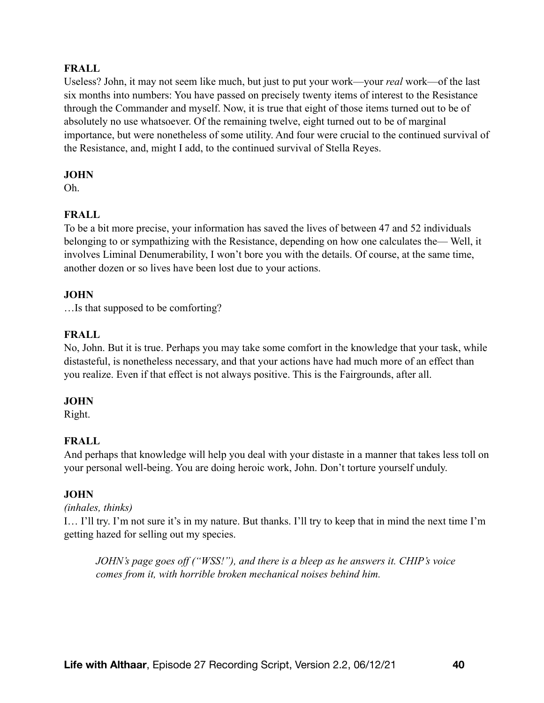### **FRALL**

Useless? John, it may not seem like much, but just to put your work—your *real* work—of the last six months into numbers: You have passed on precisely twenty items of interest to the Resistance through the Commander and myself. Now, it is true that eight of those items turned out to be of absolutely no use whatsoever. Of the remaining twelve, eight turned out to be of marginal importance, but were nonetheless of some utility. And four were crucial to the continued survival of the Resistance, and, might I add, to the continued survival of Stella Reyes.

#### **JOHN**

Oh.

## **FRALL**

To be a bit more precise, your information has saved the lives of between 47 and 52 individuals belonging to or sympathizing with the Resistance, depending on how one calculates the— Well, it involves Liminal Denumerability, I won't bore you with the details. Of course, at the same time, another dozen or so lives have been lost due to your actions.

### **JOHN**

…Is that supposed to be comforting?

## **FRALL**

No, John. But it is true. Perhaps you may take some comfort in the knowledge that your task, while distasteful, is nonetheless necessary, and that your actions have had much more of an effect than you realize. Even if that effect is not always positive. This is the Fairgrounds, after all.

## **JOHN**

Right.

## **FRALL**

And perhaps that knowledge will help you deal with your distaste in a manner that takes less toll on your personal well-being. You are doing heroic work, John. Don't torture yourself unduly.

## **JOHN**

## *(inhales, thinks)*

I… I'll try. I'm not sure it's in my nature. But thanks. I'll try to keep that in mind the next time I'm getting hazed for selling out my species.

*JOHN's page goes off ("WSS!"), and there is a bleep as he answers it. CHIP's voice comes from it, with horrible broken mechanical noises behind him.*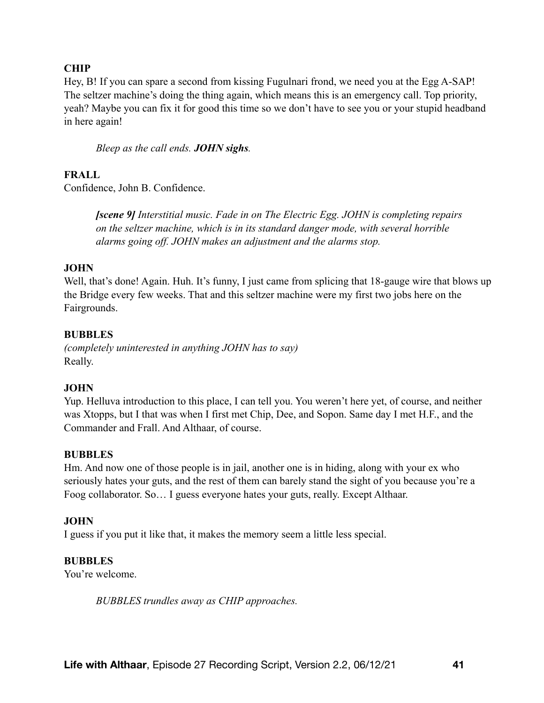### **CHIP**

Hey, B! If you can spare a second from kissing Fugulnari frond, we need you at the Egg A-SAP! The seltzer machine's doing the thing again, which means this is an emergency call. Top priority, yeah? Maybe you can fix it for good this time so we don't have to see you or your stupid headband in here again!

*Bleep as the call ends. JOHN sighs.* 

#### **FRALL**

Confidence, John B. Confidence.

*[scene 9] Interstitial music. Fade in on The Electric Egg. JOHN is completing repairs on the seltzer machine, which is in its standard danger mode, with several horrible alarms going off. JOHN makes an adjustment and the alarms stop.* 

#### **JOHN**

Well, that's done! Again. Huh. It's funny, I just came from splicing that 18-gauge wire that blows up the Bridge every few weeks. That and this seltzer machine were my first two jobs here on the Fairgrounds.

#### **BUBBLES**

*(completely uninterested in anything JOHN has to say)*  Really.

#### **JOHN**

Yup. Helluva introduction to this place, I can tell you. You weren't here yet, of course, and neither was Xtopps, but I that was when I first met Chip, Dee, and Sopon. Same day I met H.F., and the Commander and Frall. And Althaar, of course.

#### **BUBBLES**

Hm. And now one of those people is in jail, another one is in hiding, along with your ex who seriously hates your guts, and the rest of them can barely stand the sight of you because you're a Foog collaborator. So… I guess everyone hates your guts, really. Except Althaar.

#### **JOHN**

I guess if you put it like that, it makes the memory seem a little less special.

#### **BUBBLES**

You're welcome.

*BUBBLES trundles away as CHIP approaches.*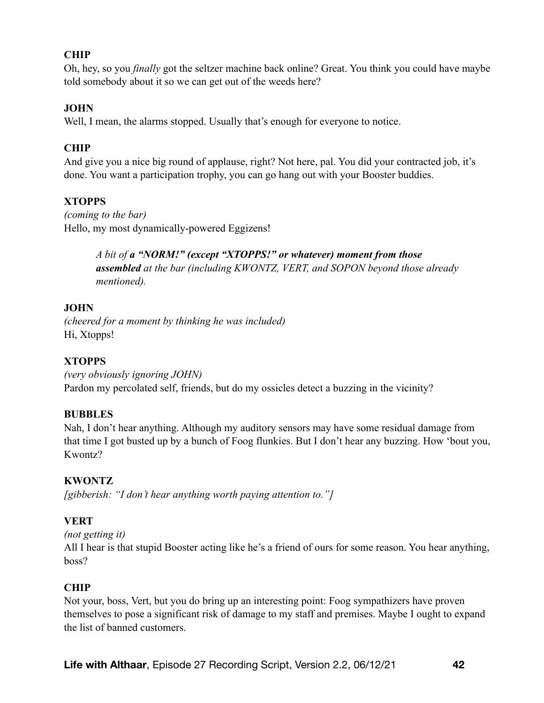## **CHIP**

Oh, hey, so you *finally* got the seltzer machine back online? Great. You think you could have maybe told somebody about it so we can get out of the weeds here?

#### **JOHN**

Well, I mean, the alarms stopped. Usually that's enough for everyone to notice.

## **CHIP**

And give you a nice big round of applause, right? Not here, pal. You did your contracted job, it's done. You want a participation trophy, you can go hang out with your Booster buddies.

## **XTOPPS**

*(coming to the bar)*  Hello, my most dynamically-powered Eggizens!

> *A bit of a "NORM!" (except "XTOPPS!" or whatever) moment from those assembled at the bar (including KWONTZ, VERT, and SOPON beyond those already mentioned).*

### **JOHN**

*(cheered for a moment by thinking he was included)*  Hi, Xtopps!

## **XTOPPS**

*(very obviously ignoring JOHN)*  Pardon my percolated self, friends, but do my ossicles detect a buzzing in the vicinity?

#### **BUBBLES**

Nah, I don't hear anything. Although my auditory sensors may have some residual damage from that time I got busted up by a bunch of Foog flunkies. But I don't hear any buzzing. How 'bout you, Kwontz?

## **KWONTZ**

*[gibberish: "I don't hear anything worth paying attention to."]* 

## **VERT**

*(not getting it)* 

All I hear is that stupid Booster acting like he's a friend of ours for some reason. You hear anything, boss?

#### **CHIP**

Not your, boss, Vert, but you do bring up an interesting point: Foog sympathizers have proven themselves to pose a significant risk of damage to my staff and premises. Maybe I ought to expand the list of banned customers.

**Life with Althaar**, Episode 27 Recording Script, Version 2.2, 06/12/21 **42**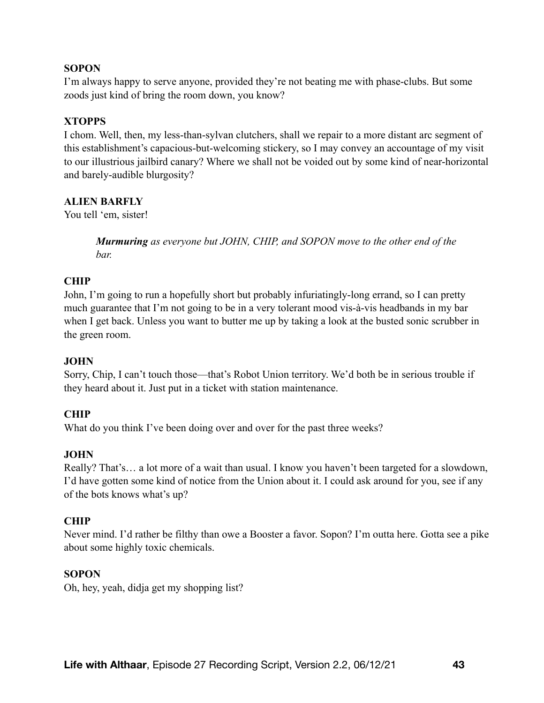### **SOPON**

I'm always happy to serve anyone, provided they're not beating me with phase-clubs. But some zoods just kind of bring the room down, you know?

### **XTOPPS**

I chom. Well, then, my less-than-sylvan clutchers, shall we repair to a more distant arc segment of this establishment's capacious-but-welcoming stickery, so I may convey an accountage of my visit to our illustrious jailbird canary? Where we shall not be voided out by some kind of near-horizontal and barely-audible blurgosity?

### **ALIEN BARFLY**

You tell 'em, sister!

*Murmuring as everyone but JOHN, CHIP, and SOPON move to the other end of the bar.* 

### **CHIP**

John, I'm going to run a hopefully short but probably infuriatingly-long errand, so I can pretty much guarantee that I'm not going to be in a very tolerant mood vis-à-vis headbands in my bar when I get back. Unless you want to butter me up by taking a look at the busted sonic scrubber in the green room.

#### **JOHN**

Sorry, Chip, I can't touch those—that's Robot Union territory. We'd both be in serious trouble if they heard about it. Just put in a ticket with station maintenance.

#### **CHIP**

What do you think I've been doing over and over for the past three weeks?

#### **JOHN**

Really? That's… a lot more of a wait than usual. I know you haven't been targeted for a slowdown, I'd have gotten some kind of notice from the Union about it. I could ask around for you, see if any of the bots knows what's up?

#### **CHIP**

Never mind. I'd rather be filthy than owe a Booster a favor. Sopon? I'm outta here. Gotta see a pike about some highly toxic chemicals.

#### **SOPON**

Oh, hey, yeah, didja get my shopping list?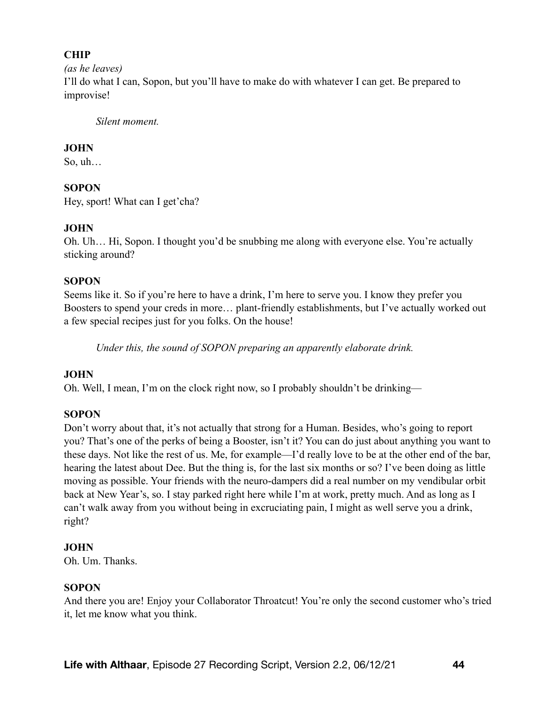## **CHIP**

*(as he leaves)* 

I'll do what I can, Sopon, but you'll have to make do with whatever I can get. Be prepared to improvise!

*Silent moment.* 

# **JOHN**

So, uh…

# **SOPON**

Hey, sport! What can I get'cha?

# **JOHN**

Oh. Uh… Hi, Sopon. I thought you'd be snubbing me along with everyone else. You're actually sticking around?

# **SOPON**

Seems like it. So if you're here to have a drink, I'm here to serve you. I know they prefer you Boosters to spend your creds in more… plant-friendly establishments, but I've actually worked out a few special recipes just for you folks. On the house!

*Under this, the sound of SOPON preparing an apparently elaborate drink.* 

# **JOHN**

Oh. Well, I mean, I'm on the clock right now, so I probably shouldn't be drinking—

# **SOPON**

Don't worry about that, it's not actually that strong for a Human. Besides, who's going to report you? That's one of the perks of being a Booster, isn't it? You can do just about anything you want to these days. Not like the rest of us. Me, for example—I'd really love to be at the other end of the bar, hearing the latest about Dee. But the thing is, for the last six months or so? I've been doing as little moving as possible. Your friends with the neuro-dampers did a real number on my vendibular orbit back at New Year's, so. I stay parked right here while I'm at work, pretty much. And as long as I can't walk away from you without being in excruciating pain, I might as well serve you a drink, right?

# **JOHN**

Oh. Um. Thanks.

# **SOPON**

And there you are! Enjoy your Collaborator Throatcut! You're only the second customer who's tried it, let me know what you think.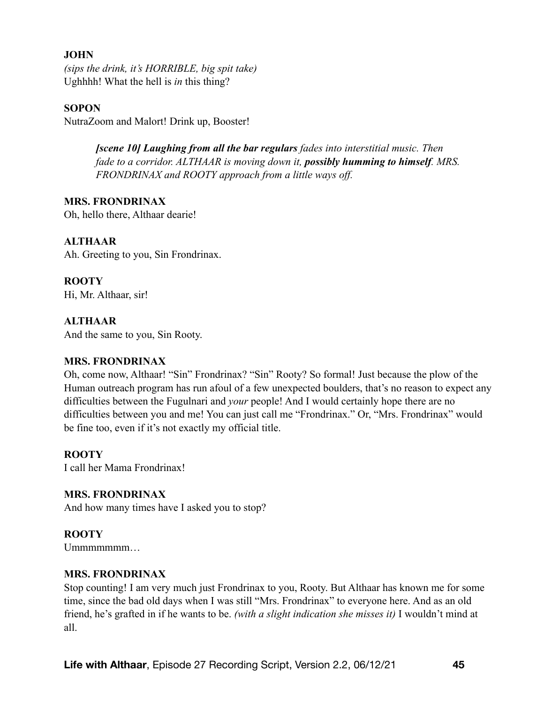*(sips the drink, it's HORRIBLE, big spit take)*  Ughhhh! What the hell is *in* this thing?

#### **SOPON**

NutraZoom and Malort! Drink up, Booster!

*[scene 10] Laughing from all the bar regulars fades into interstitial music. Then fade to a corridor. ALTHAAR is moving down it, possibly humming to himself. MRS. FRONDRINAX and ROOTY approach from a little ways off.* 

**MRS. FRONDRINAX**  Oh, hello there, Althaar dearie!

#### **ALTHAAR**

Ah. Greeting to you, Sin Frondrinax.

#### **ROOTY**

Hi, Mr. Althaar, sir!

#### **ALTHAAR**

And the same to you, Sin Rooty.

#### **MRS. FRONDRINAX**

Oh, come now, Althaar! "Sin" Frondrinax? "Sin" Rooty? So formal! Just because the plow of the Human outreach program has run afoul of a few unexpected boulders, that's no reason to expect any difficulties between the Fugulnari and *your* people! And I would certainly hope there are no difficulties between you and me! You can just call me "Frondrinax." Or, "Mrs. Frondrinax" would be fine too, even if it's not exactly my official title.

#### **ROOTY**

I call her Mama Frondrinax!

#### **MRS. FRONDRINAX**

And how many times have I asked you to stop?

#### **ROOTY**

Ummmmmm...

#### **MRS. FRONDRINAX**

Stop counting! I am very much just Frondrinax to you, Rooty. But Althaar has known me for some time, since the bad old days when I was still "Mrs. Frondrinax" to everyone here. And as an old friend, he's grafted in if he wants to be. *(with a slight indication she misses it)* I wouldn't mind at all.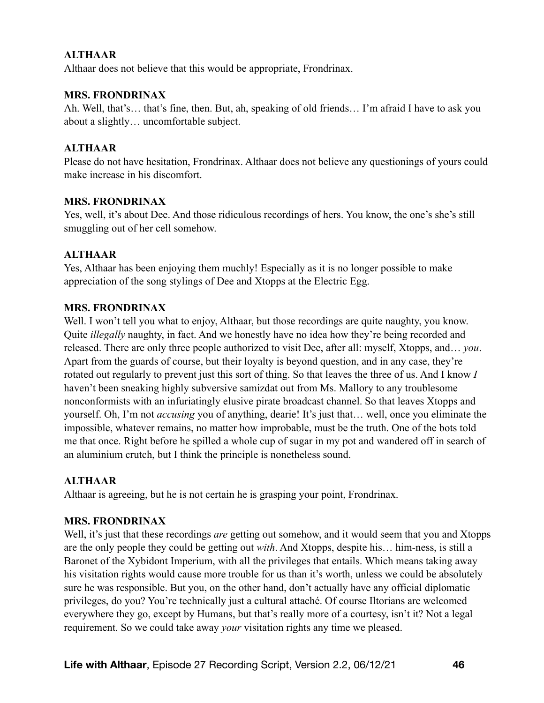### **ALTHAAR**

Althaar does not believe that this would be appropriate, Frondrinax.

#### **MRS. FRONDRINAX**

Ah. Well, that's… that's fine, then. But, ah, speaking of old friends… I'm afraid I have to ask you about a slightly… uncomfortable subject.

#### **ALTHAAR**

Please do not have hesitation, Frondrinax. Althaar does not believe any questionings of yours could make increase in his discomfort.

#### **MRS. FRONDRINAX**

Yes, well, it's about Dee. And those ridiculous recordings of hers. You know, the one's she's still smuggling out of her cell somehow.

#### **ALTHAAR**

Yes, Althaar has been enjoying them muchly! Especially as it is no longer possible to make appreciation of the song stylings of Dee and Xtopps at the Electric Egg.

#### **MRS. FRONDRINAX**

Well. I won't tell you what to enjoy, Althaar, but those recordings are quite naughty, you know. Quite *illegally* naughty, in fact. And we honestly have no idea how they're being recorded and released. There are only three people authorized to visit Dee, after all: myself, Xtopps, and… *you*. Apart from the guards of course, but their loyalty is beyond question, and in any case, they're rotated out regularly to prevent just this sort of thing. So that leaves the three of us. And I know *I* haven't been sneaking highly subversive samizdat out from Ms. Mallory to any troublesome nonconformists with an infuriatingly elusive pirate broadcast channel. So that leaves Xtopps and yourself. Oh, I'm not *accusing* you of anything, dearie! It's just that… well, once you eliminate the impossible, whatever remains, no matter how improbable, must be the truth. One of the bots told me that once. Right before he spilled a whole cup of sugar in my pot and wandered off in search of an aluminium crutch, but I think the principle is nonetheless sound.

#### **ALTHAAR**

Althaar is agreeing, but he is not certain he is grasping your point, Frondrinax.

#### **MRS. FRONDRINAX**

Well, it's just that these recordings *are* getting out somehow, and it would seem that you and Xtopps are the only people they could be getting out *with*. And Xtopps, despite his… him-ness, is still a Baronet of the Xybidont Imperium, with all the privileges that entails. Which means taking away his visitation rights would cause more trouble for us than it's worth, unless we could be absolutely sure he was responsible. But you, on the other hand, don't actually have any official diplomatic privileges, do you? You're technically just a cultural attaché. Of course Iltorians are welcomed everywhere they go, except by Humans, but that's really more of a courtesy, isn't it? Not a legal requirement. So we could take away *your* visitation rights any time we pleased.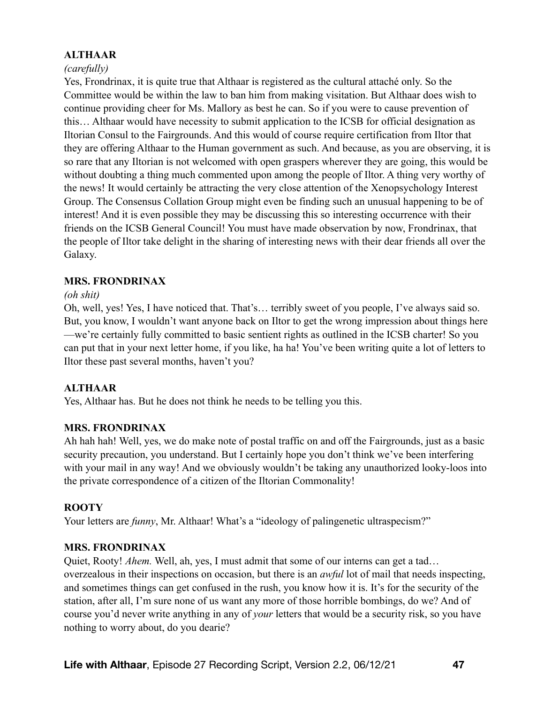## **ALTHAAR**

### *(carefully)*

Yes, Frondrinax, it is quite true that Althaar is registered as the cultural attaché only. So the Committee would be within the law to ban him from making visitation. But Althaar does wish to continue providing cheer for Ms. Mallory as best he can. So if you were to cause prevention of this… Althaar would have necessity to submit application to the ICSB for official designation as Iltorian Consul to the Fairgrounds. And this would of course require certification from Iltor that they are offering Althaar to the Human government as such. And because, as you are observing, it is so rare that any Iltorian is not welcomed with open graspers wherever they are going, this would be without doubting a thing much commented upon among the people of Iltor. A thing very worthy of the news! It would certainly be attracting the very close attention of the Xenopsychology Interest Group. The Consensus Collation Group might even be finding such an unusual happening to be of interest! And it is even possible they may be discussing this so interesting occurrence with their friends on the ICSB General Council! You must have made observation by now, Frondrinax, that the people of Iltor take delight in the sharing of interesting news with their dear friends all over the Galaxy.

#### **MRS. FRONDRINAX**

#### *(oh shit)*

Oh, well, yes! Yes, I have noticed that. That's… terribly sweet of you people, I've always said so. But, you know, I wouldn't want anyone back on Iltor to get the wrong impression about things here —we're certainly fully committed to basic sentient rights as outlined in the ICSB charter! So you can put that in your next letter home, if you like, ha ha! You've been writing quite a lot of letters to Iltor these past several months, haven't you?

#### **ALTHAAR**

Yes, Althaar has. But he does not think he needs to be telling you this.

#### **MRS. FRONDRINAX**

Ah hah hah! Well, yes, we do make note of postal traffic on and off the Fairgrounds, just as a basic security precaution, you understand. But I certainly hope you don't think we've been interfering with your mail in any way! And we obviously wouldn't be taking any unauthorized looky-loos into the private correspondence of a citizen of the Iltorian Commonality!

#### **ROOTY**

Your letters are *funny*, Mr. Althaar! What's a "ideology of palingenetic ultraspecism?"

#### **MRS. FRONDRINAX**

Quiet, Rooty! *Ahem.* Well, ah, yes, I must admit that some of our interns can get a tad… overzealous in their inspections on occasion, but there is an *awful* lot of mail that needs inspecting, and sometimes things can get confused in the rush, you know how it is. It's for the security of the station, after all, I'm sure none of us want any more of those horrible bombings, do we? And of course you'd never write anything in any of *your* letters that would be a security risk, so you have nothing to worry about, do you dearie?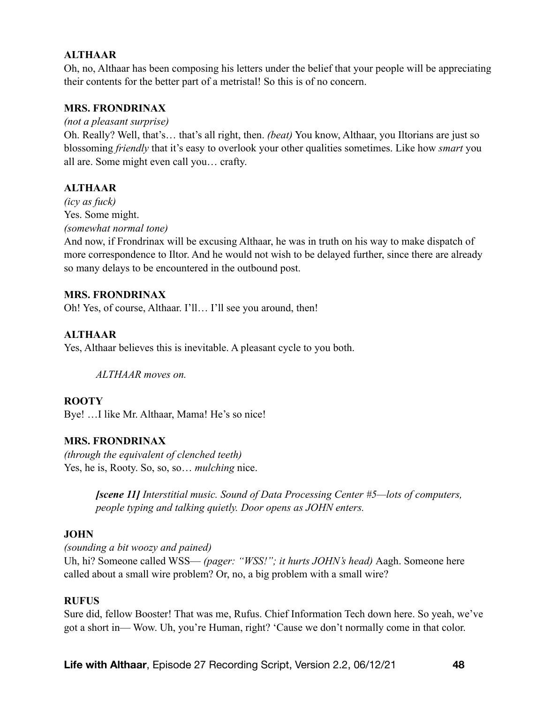## **ALTHAAR**

Oh, no, Althaar has been composing his letters under the belief that your people will be appreciating their contents for the better part of a metristal! So this is of no concern.

#### **MRS. FRONDRINAX**

*(not a pleasant surprise)* 

Oh. Really? Well, that's… that's all right, then. *(beat)* You know, Althaar, you Iltorians are just so blossoming *friendly* that it's easy to overlook your other qualities sometimes. Like how *smart* you all are. Some might even call you… crafty.

#### **ALTHAAR**

*(icy as fuck)*  Yes. Some might. *(somewhat normal tone)* 

And now, if Frondrinax will be excusing Althaar, he was in truth on his way to make dispatch of more correspondence to Iltor. And he would not wish to be delayed further, since there are already so many delays to be encountered in the outbound post.

#### **MRS. FRONDRINAX**

Oh! Yes, of course, Althaar. I'll… I'll see you around, then!

#### **ALTHAAR**

Yes, Althaar believes this is inevitable. A pleasant cycle to you both.

*ALTHAAR moves on.* 

#### **ROOTY**

Bye! …I like Mr. Althaar, Mama! He's so nice!

#### **MRS. FRONDRINAX**

*(through the equivalent of clenched teeth)*  Yes, he is, Rooty. So, so, so… *mulching* nice.

> *[scene 11] Interstitial music. Sound of Data Processing Center #5—lots of computers, people typing and talking quietly. Door opens as JOHN enters.*

#### **JOHN**

*(sounding a bit woozy and pained)* 

Uh, hi? Someone called WSS— *(pager: "WSS!"; it hurts JOHN's head)* Aagh. Someone here called about a small wire problem? Or, no, a big problem with a small wire?

#### **RUFUS**

Sure did, fellow Booster! That was me, Rufus. Chief Information Tech down here. So yeah, we've got a short in— Wow. Uh, you're Human, right? 'Cause we don't normally come in that color.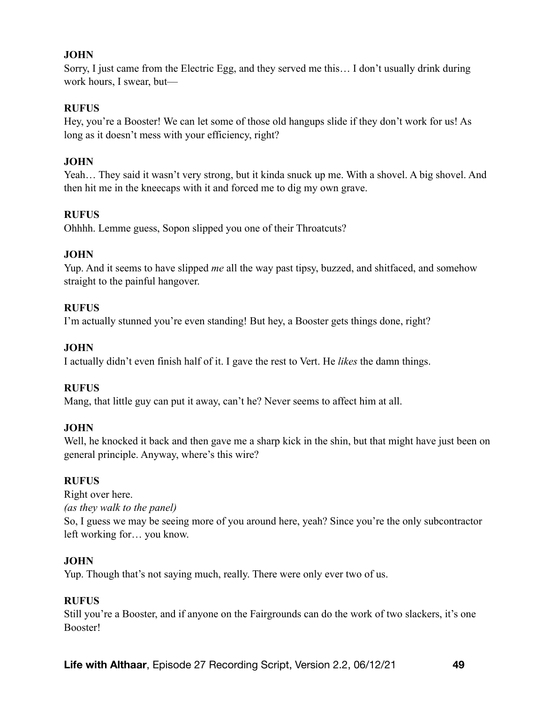Sorry, I just came from the Electric Egg, and they served me this… I don't usually drink during work hours, I swear, but—

#### **RUFUS**

Hey, you're a Booster! We can let some of those old hangups slide if they don't work for us! As long as it doesn't mess with your efficiency, right?

### **JOHN**

Yeah… They said it wasn't very strong, but it kinda snuck up me. With a shovel. A big shovel. And then hit me in the kneecaps with it and forced me to dig my own grave.

### **RUFUS**

Ohhhh. Lemme guess, Sopon slipped you one of their Throatcuts?

## **JOHN**

Yup. And it seems to have slipped *me* all the way past tipsy, buzzed, and shitfaced, and somehow straight to the painful hangover.

### **RUFUS**

I'm actually stunned you're even standing! But hey, a Booster gets things done, right?

### **JOHN**

I actually didn't even finish half of it. I gave the rest to Vert. He *likes* the damn things.

#### **RUFUS**

Mang, that little guy can put it away, can't he? Never seems to affect him at all.

#### **JOHN**

Well, he knocked it back and then gave me a sharp kick in the shin, but that might have just been on general principle. Anyway, where's this wire?

#### **RUFUS**

Right over here. *(as they walk to the panel)*  So, I guess we may be seeing more of you around here, yeah? Since you're the only subcontractor left working for… you know.

## **JOHN**

Yup. Though that's not saying much, really. There were only ever two of us.

#### **RUFUS**

Still you're a Booster, and if anyone on the Fairgrounds can do the work of two slackers, it's one Booster!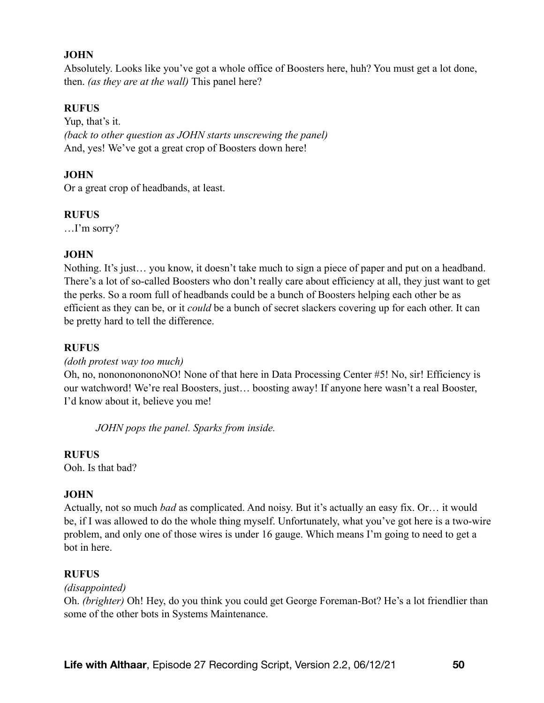Absolutely. Looks like you've got a whole office of Boosters here, huh? You must get a lot done, then. *(as they are at the wall)* This panel here?

#### **RUFUS**

Yup, that's it. *(back to other question as JOHN starts unscrewing the panel)*  And, yes! We've got a great crop of Boosters down here!

### **JOHN**

Or a great crop of headbands, at least.

#### **RUFUS**

…I'm sorry?

### **JOHN**

Nothing. It's just… you know, it doesn't take much to sign a piece of paper and put on a headband. There's a lot of so-called Boosters who don't really care about efficiency at all, they just want to get the perks. So a room full of headbands could be a bunch of Boosters helping each other be as efficient as they can be, or it *could* be a bunch of secret slackers covering up for each other. It can be pretty hard to tell the difference.

#### **RUFUS**

*(doth protest way too much)* 

Oh, no, nonononononoNO! None of that here in Data Processing Center #5! No, sir! Efficiency is our watchword! We're real Boosters, just… boosting away! If anyone here wasn't a real Booster, I'd know about it, believe you me!

*JOHN pops the panel. Sparks from inside.* 

#### **RUFUS**

Ooh. Is that bad?

#### **JOHN**

Actually, not so much *bad* as complicated. And noisy. But it's actually an easy fix. Or… it would be, if I was allowed to do the whole thing myself. Unfortunately, what you've got here is a two-wire problem, and only one of those wires is under 16 gauge. Which means I'm going to need to get a bot in here.

#### **RUFUS**

#### *(disappointed)*

Oh. *(brighter)* Oh! Hey, do you think you could get George Foreman-Bot? He's a lot friendlier than some of the other bots in Systems Maintenance.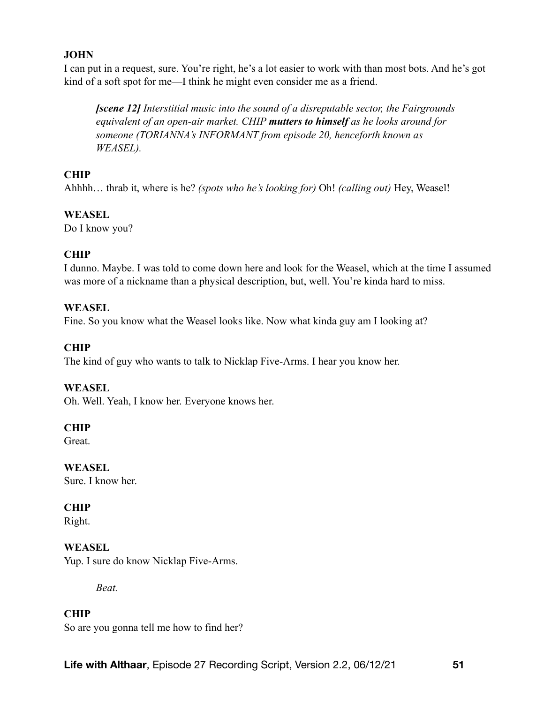I can put in a request, sure. You're right, he's a lot easier to work with than most bots. And he's got kind of a soft spot for me—I think he might even consider me as a friend.

*[scene 12] Interstitial music into the sound of a disreputable sector, the Fairgrounds equivalent of an open-air market. CHIP mutters to himself as he looks around for someone (TORIANNA's INFORMANT from episode 20, henceforth known as WEASEL).* 

## **CHIP**

Ahhhh… thrab it, where is he? *(spots who he's looking for)* Oh! *(calling out)* Hey, Weasel!

### **WEASEL**

Do I know you?

## **CHIP**

I dunno. Maybe. I was told to come down here and look for the Weasel, which at the time I assumed was more of a nickname than a physical description, but, well. You're kinda hard to miss.

### **WEASEL**

Fine. So you know what the Weasel looks like. Now what kinda guy am I looking at?

## **CHIP**

The kind of guy who wants to talk to Nicklap Five-Arms. I hear you know her.

#### **WEASEL**

Oh. Well. Yeah, I know her. Everyone knows her.

#### **CHIP**

**Great** 

**WEASEL**  Sure. I know her.

## **CHIP**

Right.

## **WEASEL**

Yup. I sure do know Nicklap Five-Arms.

*Beat.* 

# **CHIP**

So are you gonna tell me how to find her?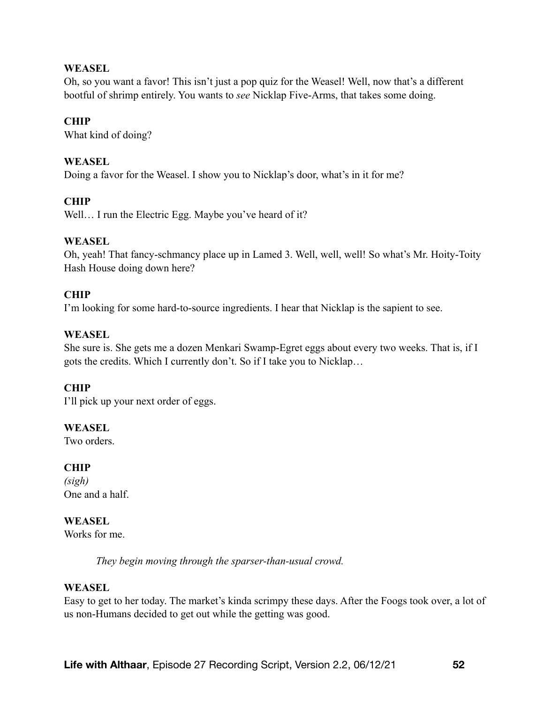#### **WEASEL**

Oh, so you want a favor! This isn't just a pop quiz for the Weasel! Well, now that's a different bootful of shrimp entirely. You wants to *see* Nicklap Five-Arms, that takes some doing.

## **CHIP**

What kind of doing?

## **WEASEL**

Doing a favor for the Weasel. I show you to Nicklap's door, what's in it for me?

## **CHIP**

Well... I run the Electric Egg. Maybe you've heard of it?

### **WEASEL**

Oh, yeah! That fancy-schmancy place up in Lamed 3. Well, well, well! So what's Mr. Hoity-Toity Hash House doing down here?

### **CHIP**

I'm looking for some hard-to-source ingredients. I hear that Nicklap is the sapient to see.

### **WEASEL**

She sure is. She gets me a dozen Menkari Swamp-Egret eggs about every two weeks. That is, if I gots the credits. Which I currently don't. So if I take you to Nicklap…

## **CHIP**

I'll pick up your next order of eggs.

#### **WEASEL**

Two orders.

#### **CHIP**

*(sigh)*  One and a half.

## **WEASEL**

Works for me.

*They begin moving through the sparser-than-usual crowd.* 

#### **WEASEL**

Easy to get to her today. The market's kinda scrimpy these days. After the Foogs took over, a lot of us non-Humans decided to get out while the getting was good.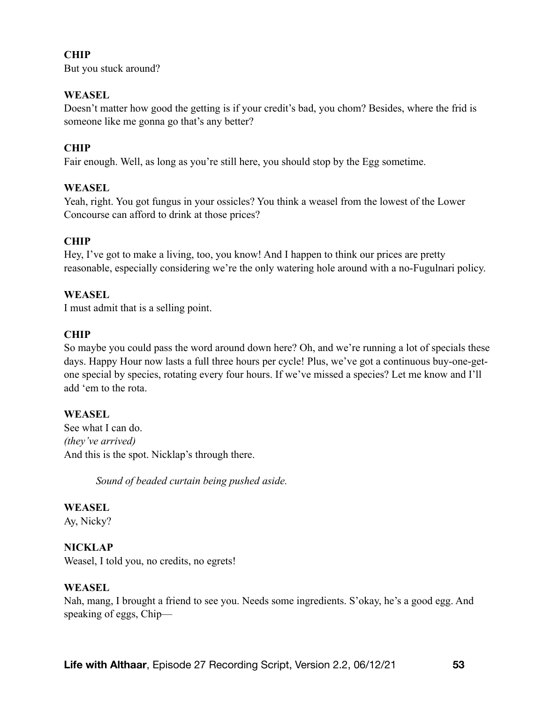## **CHIP**

But you stuck around?

### **WEASEL**

Doesn't matter how good the getting is if your credit's bad, you chom? Besides, where the frid is someone like me gonna go that's any better?

### **CHIP**

Fair enough. Well, as long as you're still here, you should stop by the Egg sometime.

### **WEASEL**

Yeah, right. You got fungus in your ossicles? You think a weasel from the lowest of the Lower Concourse can afford to drink at those prices?

## **CHIP**

Hey, I've got to make a living, too, you know! And I happen to think our prices are pretty reasonable, especially considering we're the only watering hole around with a no-Fugulnari policy.

#### **WEASEL**

I must admit that is a selling point.

### **CHIP**

So maybe you could pass the word around down here? Oh, and we're running a lot of specials these days. Happy Hour now lasts a full three hours per cycle! Plus, we've got a continuous buy-one-getone special by species, rotating every four hours. If we've missed a species? Let me know and I'll add 'em to the rota.

## **WEASEL**

See what I can do. *(they've arrived)*  And this is the spot. Nicklap's through there.

*Sound of beaded curtain being pushed aside.* 

#### **WEASEL**

Ay, Nicky?

## **NICKLAP**

Weasel, I told you, no credits, no egrets!

#### **WEASEL**

Nah, mang, I brought a friend to see you. Needs some ingredients. S'okay, he's a good egg. And speaking of eggs, Chip—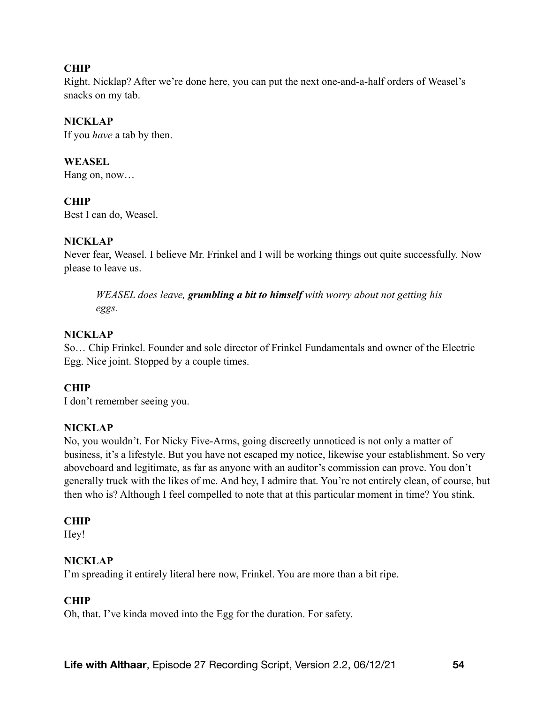### **CHIP**

Right. Nicklap? After we're done here, you can put the next one-and-a-half orders of Weasel's snacks on my tab.

### **NICKLAP**

If you *have* a tab by then.

#### **WEASEL**

Hang on, now…

### **CHIP**

Best I can do, Weasel.

### **NICKLAP**

Never fear, Weasel. I believe Mr. Frinkel and I will be working things out quite successfully. Now please to leave us.

*WEASEL does leave, grumbling a bit to himself with worry about not getting his eggs.* 

### **NICKLAP**

So… Chip Frinkel. Founder and sole director of Frinkel Fundamentals and owner of the Electric Egg. Nice joint. Stopped by a couple times.

## **CHIP**

I don't remember seeing you.

#### **NICKLAP**

No, you wouldn't. For Nicky Five-Arms, going discreetly unnoticed is not only a matter of business, it's a lifestyle. But you have not escaped my notice, likewise your establishment. So very aboveboard and legitimate, as far as anyone with an auditor's commission can prove. You don't generally truck with the likes of me. And hey, I admire that. You're not entirely clean, of course, but then who is? Although I feel compelled to note that at this particular moment in time? You stink.

#### **CHIP**

Hey!

#### **NICKLAP**

I'm spreading it entirely literal here now, Frinkel. You are more than a bit ripe.

#### **CHIP**

Oh, that. I've kinda moved into the Egg for the duration. For safety.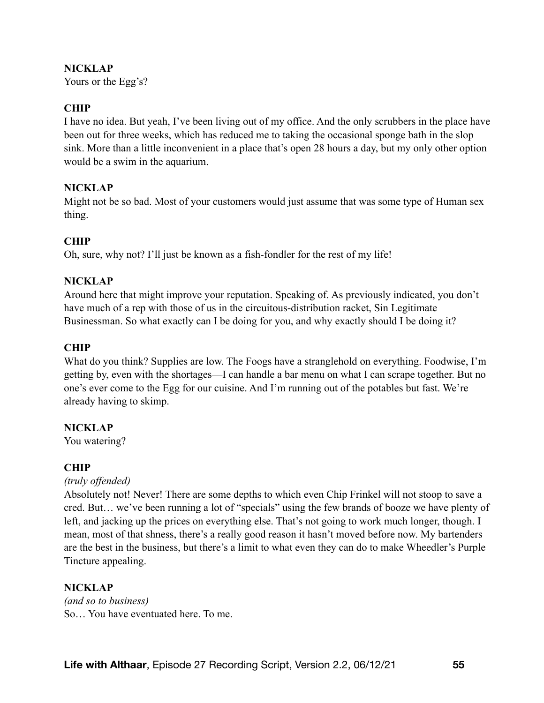#### **NICKLAP**

Yours or the Egg's?

### **CHIP**

I have no idea. But yeah, I've been living out of my office. And the only scrubbers in the place have been out for three weeks, which has reduced me to taking the occasional sponge bath in the slop sink. More than a little inconvenient in a place that's open 28 hours a day, but my only other option would be a swim in the aquarium.

### **NICKLAP**

Might not be so bad. Most of your customers would just assume that was some type of Human sex thing.

### **CHIP**

Oh, sure, why not? I'll just be known as a fish-fondler for the rest of my life!

#### **NICKLAP**

Around here that might improve your reputation. Speaking of. As previously indicated, you don't have much of a rep with those of us in the circuitous-distribution racket, Sin Legitimate Businessman. So what exactly can I be doing for you, and why exactly should I be doing it?

### **CHIP**

What do you think? Supplies are low. The Foogs have a stranglehold on everything. Foodwise, I'm getting by, even with the shortages—I can handle a bar menu on what I can scrape together. But no one's ever come to the Egg for our cuisine. And I'm running out of the potables but fast. We're already having to skimp.

#### **NICKLAP**

You watering?

#### **CHIP**

#### *(truly offended)*

Absolutely not! Never! There are some depths to which even Chip Frinkel will not stoop to save a cred. But… we've been running a lot of "specials" using the few brands of booze we have plenty of left, and jacking up the prices on everything else. That's not going to work much longer, though. I mean, most of that shness, there's a really good reason it hasn't moved before now. My bartenders are the best in the business, but there's a limit to what even they can do to make Wheedler's Purple Tincture appealing.

#### **NICKLAP**

*(and so to business)*  So… You have eventuated here. To me.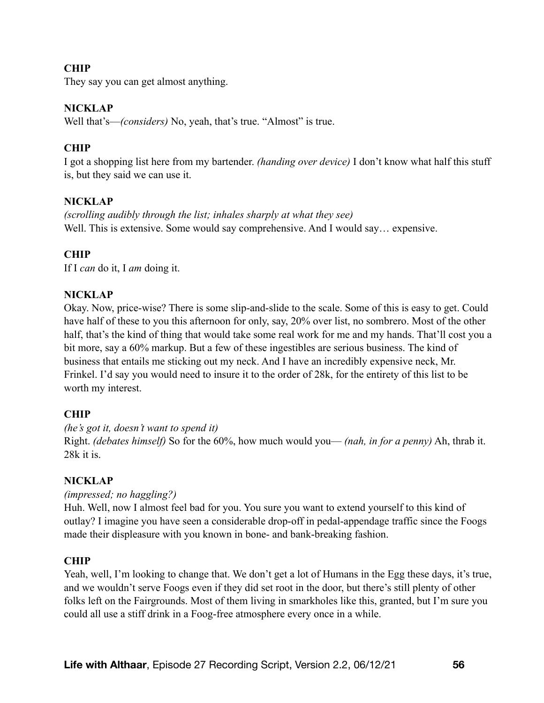## **CHIP**

They say you can get almost anything.

#### **NICKLAP**

Well that's—*(considers)* No, yeah, that's true. "Almost" is true.

#### **CHIP**

I got a shopping list here from my bartender. *(handing over device)* I don't know what half this stuff is, but they said we can use it.

#### **NICKLAP**

*(scrolling audibly through the list; inhales sharply at what they see)*  Well. This is extensive. Some would say comprehensive. And I would say… expensive.

### **CHIP**

If I *can* do it, I *am* doing it.

#### **NICKLAP**

Okay. Now, price-wise? There is some slip-and-slide to the scale. Some of this is easy to get. Could have half of these to you this afternoon for only, say, 20% over list, no sombrero. Most of the other half, that's the kind of thing that would take some real work for me and my hands. That'll cost you a bit more, say a 60% markup. But a few of these ingestibles are serious business. The kind of business that entails me sticking out my neck. And I have an incredibly expensive neck, Mr. Frinkel. I'd say you would need to insure it to the order of 28k, for the entirety of this list to be worth my interest.

#### **CHIP**

*(he's got it, doesn't want to spend it)*  Right. *(debates himself)* So for the 60%, how much would you— *(nah, in for a penny)* Ah, thrab it. 28k it is.

#### **NICKLAP**

*(impressed; no haggling?)* 

Huh. Well, now I almost feel bad for you. You sure you want to extend yourself to this kind of outlay? I imagine you have seen a considerable drop-off in pedal-appendage traffic since the Foogs made their displeasure with you known in bone- and bank-breaking fashion.

#### **CHIP**

Yeah, well, I'm looking to change that. We don't get a lot of Humans in the Egg these days, it's true, and we wouldn't serve Foogs even if they did set root in the door, but there's still plenty of other folks left on the Fairgrounds. Most of them living in smarkholes like this, granted, but I'm sure you could all use a stiff drink in a Foog-free atmosphere every once in a while.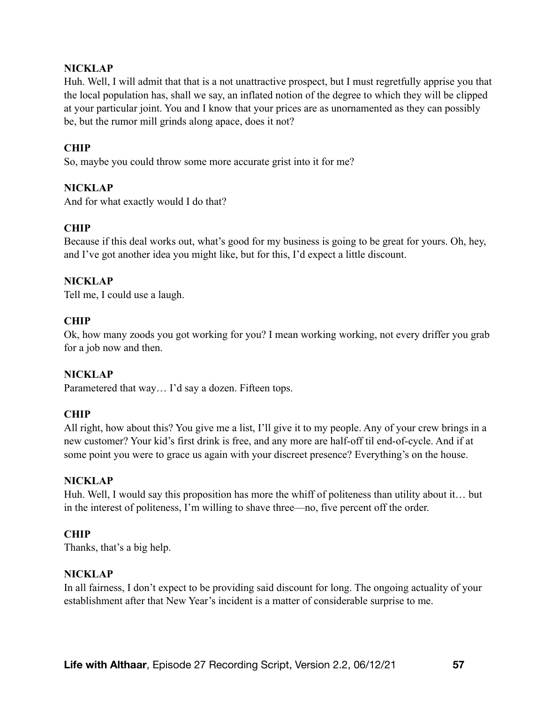#### **NICKLAP**

Huh. Well, I will admit that that is a not unattractive prospect, but I must regretfully apprise you that the local population has, shall we say, an inflated notion of the degree to which they will be clipped at your particular joint. You and I know that your prices are as unornamented as they can possibly be, but the rumor mill grinds along apace, does it not?

### **CHIP**

So, maybe you could throw some more accurate grist into it for me?

### **NICKLAP**

And for what exactly would I do that?

### **CHIP**

Because if this deal works out, what's good for my business is going to be great for yours. Oh, hey, and I've got another idea you might like, but for this, I'd expect a little discount.

#### **NICKLAP**

Tell me, I could use a laugh.

#### **CHIP**

Ok, how many zoods you got working for you? I mean working working, not every driffer you grab for a job now and then.

#### **NICKLAP**

Parametered that way… I'd say a dozen. Fifteen tops.

#### **CHIP**

All right, how about this? You give me a list, I'll give it to my people. Any of your crew brings in a new customer? Your kid's first drink is free, and any more are half-off til end-of-cycle. And if at some point you were to grace us again with your discreet presence? Everything's on the house.

#### **NICKLAP**

Huh. Well, I would say this proposition has more the whiff of politeness than utility about it… but in the interest of politeness, I'm willing to shave three—no, five percent off the order.

#### **CHIP**

Thanks, that's a big help.

#### **NICKLAP**

In all fairness, I don't expect to be providing said discount for long. The ongoing actuality of your establishment after that New Year's incident is a matter of considerable surprise to me.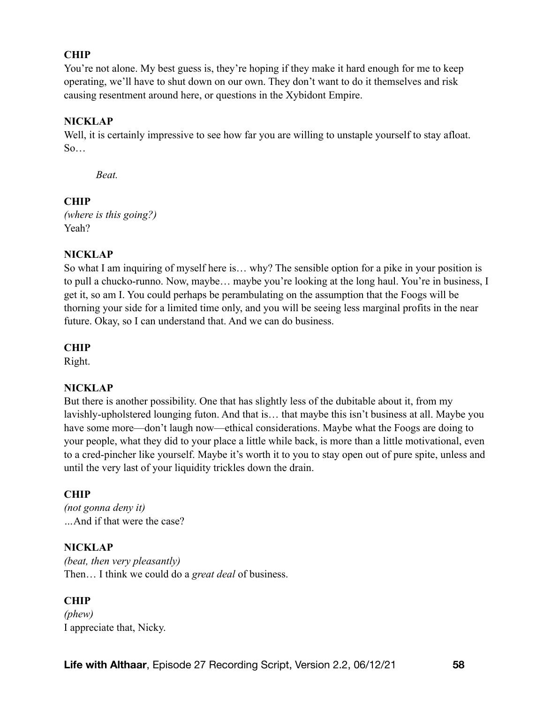## **CHIP**

You're not alone. My best guess is, they're hoping if they make it hard enough for me to keep operating, we'll have to shut down on our own. They don't want to do it themselves and risk causing resentment around here, or questions in the Xybidont Empire.

### **NICKLAP**

Well, it is certainly impressive to see how far you are willing to unstaple yourself to stay afloat. So…

*Beat.* 

#### **CHIP**

*(where is this going?)*  Yeah?

#### **NICKLAP**

So what I am inquiring of myself here is… why? The sensible option for a pike in your position is to pull a chucko-runno. Now, maybe… maybe you're looking at the long haul. You're in business, I get it, so am I. You could perhaps be perambulating on the assumption that the Foogs will be thorning your side for a limited time only, and you will be seeing less marginal profits in the near future. Okay, so I can understand that. And we can do business.

### **CHIP**

Right.

#### **NICKLAP**

But there is another possibility. One that has slightly less of the dubitable about it, from my lavishly-upholstered lounging futon. And that is… that maybe this isn't business at all. Maybe you have some more—don't laugh now—ethical considerations. Maybe what the Foogs are doing to your people, what they did to your place a little while back, is more than a little motivational, even to a cred-pincher like yourself. Maybe it's worth it to you to stay open out of pure spite, unless and until the very last of your liquidity trickles down the drain.

#### **CHIP**

*(not gonna deny it) …*And if that were the case?

#### **NICKLAP**

*(beat, then very pleasantly)*  Then… I think we could do a *great deal* of business.

#### **CHIP**

*(phew)*  I appreciate that, Nicky.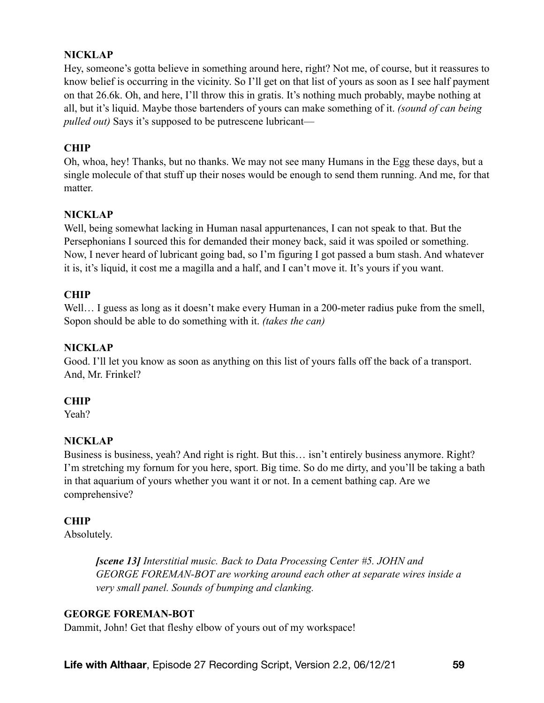## **NICKLAP**

Hey, someone's gotta believe in something around here, right? Not me, of course, but it reassures to know belief is occurring in the vicinity. So I'll get on that list of yours as soon as I see half payment on that 26.6k. Oh, and here, I'll throw this in gratis. It's nothing much probably, maybe nothing at all, but it's liquid. Maybe those bartenders of yours can make something of it. *(sound of can being pulled out)* Says it's supposed to be putrescene lubricant—

## **CHIP**

Oh, whoa, hey! Thanks, but no thanks. We may not see many Humans in the Egg these days, but a single molecule of that stuff up their noses would be enough to send them running. And me, for that matter.

## **NICKLAP**

Well, being somewhat lacking in Human nasal appurtenances, I can not speak to that. But the Persephonians I sourced this for demanded their money back, said it was spoiled or something. Now, I never heard of lubricant going bad, so I'm figuring I got passed a bum stash. And whatever it is, it's liquid, it cost me a magilla and a half, and I can't move it. It's yours if you want.

## **CHIP**

Well... I guess as long as it doesn't make every Human in a 200-meter radius puke from the smell, Sopon should be able to do something with it. *(takes the can)* 

## **NICKLAP**

Good. I'll let you know as soon as anything on this list of yours falls off the back of a transport. And, Mr. Frinkel?

## **CHIP**

Yeah?

## **NICKLAP**

Business is business, yeah? And right is right. But this… isn't entirely business anymore. Right? I'm stretching my fornum for you here, sport. Big time. So do me dirty, and you'll be taking a bath in that aquarium of yours whether you want it or not. In a cement bathing cap. Are we comprehensive?

## **CHIP**

Absolutely.

*[scene 13] Interstitial music. Back to Data Processing Center #5. JOHN and GEORGE FOREMAN-BOT are working around each other at separate wires inside a very small panel. Sounds of bumping and clanking.* 

## **GEORGE FOREMAN-BOT**

Dammit, John! Get that fleshy elbow of yours out of my workspace!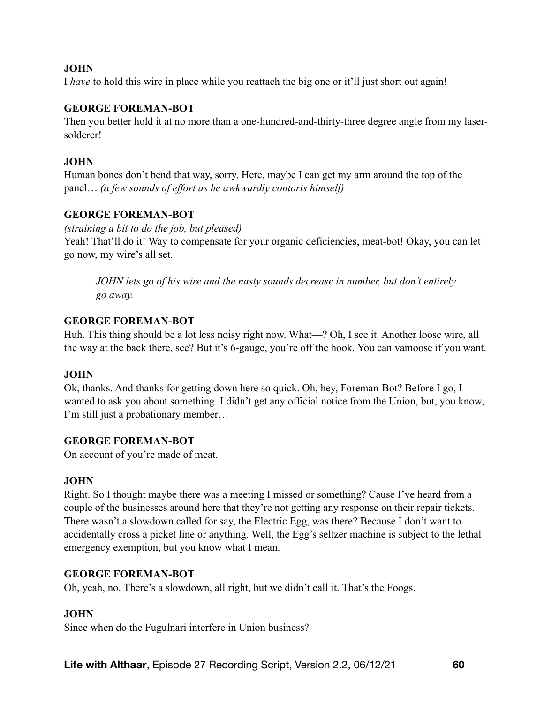I *have* to hold this wire in place while you reattach the big one or it'll just short out again!

#### **GEORGE FOREMAN-BOT**

Then you better hold it at no more than a one-hundred-and-thirty-three degree angle from my lasersolderer!

#### **JOHN**

Human bones don't bend that way, sorry. Here, maybe I can get my arm around the top of the panel… *(a few sounds of effort as he awkwardly contorts himself)*

### **GEORGE FOREMAN-BOT**

*(straining a bit to do the job, but pleased)* 

Yeah! That'll do it! Way to compensate for your organic deficiencies, meat-bot! Okay, you can let go now, my wire's all set.

*JOHN lets go of his wire and the nasty sounds decrease in number, but don't entirely go away.* 

#### **GEORGE FOREMAN-BOT**

Huh. This thing should be a lot less noisy right now. What—? Oh, I see it. Another loose wire, all the way at the back there, see? But it's 6-gauge, you're off the hook. You can vamoose if you want.

#### **JOHN**

Ok, thanks. And thanks for getting down here so quick. Oh, hey, Foreman-Bot? Before I go, I wanted to ask you about something. I didn't get any official notice from the Union, but, you know, I'm still just a probationary member…

#### **GEORGE FOREMAN-BOT**

On account of you're made of meat.

#### **JOHN**

Right. So I thought maybe there was a meeting I missed or something? Cause I've heard from a couple of the businesses around here that they're not getting any response on their repair tickets. There wasn't a slowdown called for say, the Electric Egg, was there? Because I don't want to accidentally cross a picket line or anything. Well, the Egg's seltzer machine is subject to the lethal emergency exemption, but you know what I mean.

#### **GEORGE FOREMAN-BOT**

Oh, yeah, no. There's a slowdown, all right, but we didn't call it. That's the Foogs.

#### **JOHN**

Since when do the Fugulnari interfere in Union business?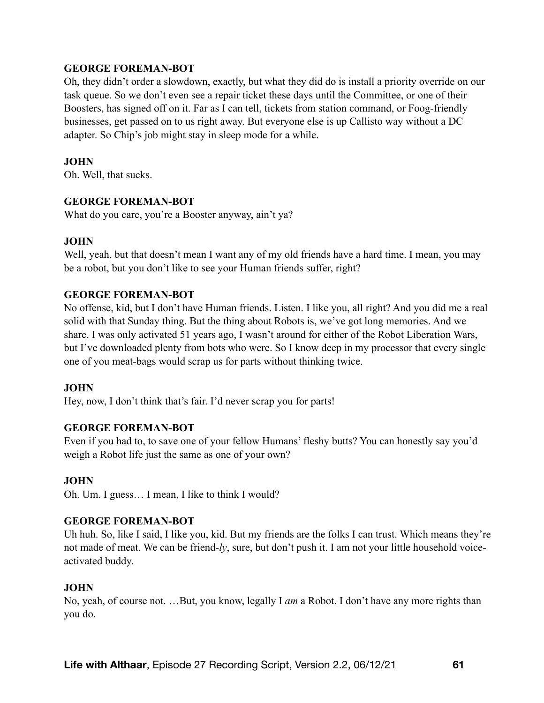#### **GEORGE FOREMAN-BOT**

Oh, they didn't order a slowdown, exactly, but what they did do is install a priority override on our task queue. So we don't even see a repair ticket these days until the Committee, or one of their Boosters, has signed off on it. Far as I can tell, tickets from station command, or Foog-friendly businesses, get passed on to us right away. But everyone else is up Callisto way without a DC adapter. So Chip's job might stay in sleep mode for a while.

### **JOHN**

Oh. Well, that sucks.

### **GEORGE FOREMAN-BOT**

What do you care, you're a Booster anyway, ain't ya?

#### **JOHN**

Well, yeah, but that doesn't mean I want any of my old friends have a hard time. I mean, you may be a robot, but you don't like to see your Human friends suffer, right?

#### **GEORGE FOREMAN-BOT**

No offense, kid, but I don't have Human friends. Listen. I like you, all right? And you did me a real solid with that Sunday thing. But the thing about Robots is, we've got long memories. And we share. I was only activated 51 years ago, I wasn't around for either of the Robot Liberation Wars, but I've downloaded plenty from bots who were. So I know deep in my processor that every single one of you meat-bags would scrap us for parts without thinking twice.

#### **JOHN**

Hey, now, I don't think that's fair. I'd never scrap you for parts!

## **GEORGE FOREMAN-BOT**

Even if you had to, to save one of your fellow Humans' fleshy butts? You can honestly say you'd weigh a Robot life just the same as one of your own?

#### **JOHN**

Oh. Um. I guess… I mean, I like to think I would?

#### **GEORGE FOREMAN-BOT**

Uh huh. So, like I said, I like you, kid. But my friends are the folks I can trust. Which means they're not made of meat. We can be friend-*ly*, sure, but don't push it. I am not your little household voiceactivated buddy.

#### **JOHN**

No, yeah, of course not. …But, you know, legally I *am* a Robot. I don't have any more rights than you do.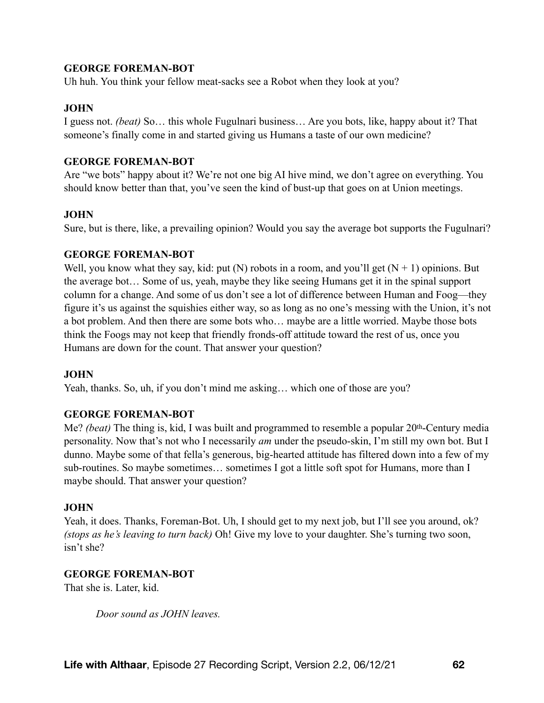#### **GEORGE FOREMAN-BOT**

Uh huh. You think your fellow meat-sacks see a Robot when they look at you?

#### **JOHN**

I guess not. *(beat)* So… this whole Fugulnari business… Are you bots, like, happy about it? That someone's finally come in and started giving us Humans a taste of our own medicine?

#### **GEORGE FOREMAN-BOT**

Are "we bots" happy about it? We're not one big AI hive mind, we don't agree on everything. You should know better than that, you've seen the kind of bust-up that goes on at Union meetings.

#### **JOHN**

Sure, but is there, like, a prevailing opinion? Would you say the average bot supports the Fugulnari?

#### **GEORGE FOREMAN-BOT**

Well, you know what they say, kid: put (N) robots in a room, and you'll get  $(N + 1)$  opinions. But the average bot… Some of us, yeah, maybe they like seeing Humans get it in the spinal support column for a change. And some of us don't see a lot of difference between Human and Foog—they figure it's us against the squishies either way, so as long as no one's messing with the Union, it's not a bot problem. And then there are some bots who… maybe are a little worried. Maybe those bots think the Foogs may not keep that friendly fronds-off attitude toward the rest of us, once you Humans are down for the count. That answer your question?

#### **JOHN**

Yeah, thanks. So, uh, if you don't mind me asking... which one of those are you?

#### **GEORGE FOREMAN-BOT**

Me? *(beat)* The thing is, kid, I was built and programmed to resemble a popular 20th-Century media personality. Now that's not who I necessarily *am* under the pseudo-skin, I'm still my own bot. But I dunno. Maybe some of that fella's generous, big-hearted attitude has filtered down into a few of my sub-routines. So maybe sometimes… sometimes I got a little soft spot for Humans, more than I maybe should. That answer your question?

#### **JOHN**

Yeah, it does. Thanks, Foreman-Bot. Uh, I should get to my next job, but I'll see you around, ok? *(stops as he's leaving to turn back)* Oh! Give my love to your daughter. She's turning two soon, isn't she?

#### **GEORGE FOREMAN-BOT**

That she is. Later, kid.

*Door sound as JOHN leaves.*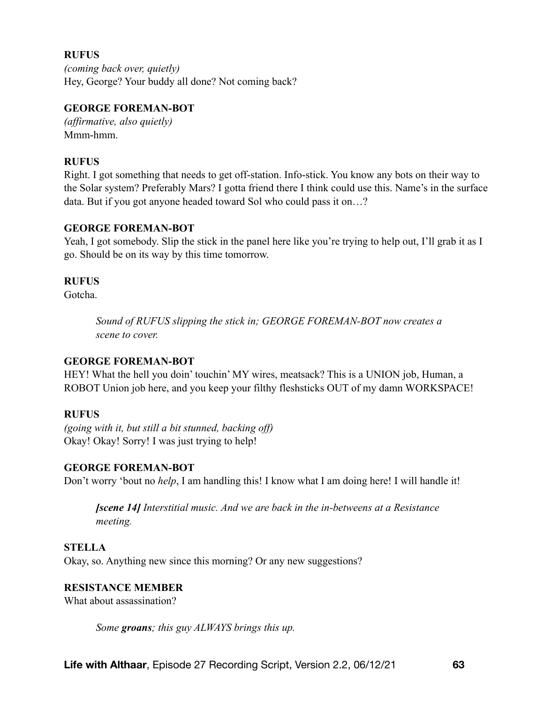#### **RUFUS**

*(coming back over, quietly)*  Hey, George? Your buddy all done? Not coming back?

#### **GEORGE FOREMAN-BOT**

*(affirmative, also quietly)*  Mmm-hmm.

#### **RUFUS**

Right. I got something that needs to get off-station. Info-stick. You know any bots on their way to the Solar system? Preferably Mars? I gotta friend there I think could use this. Name's in the surface data. But if you got anyone headed toward Sol who could pass it on…?

#### **GEORGE FOREMAN-BOT**

Yeah, I got somebody. Slip the stick in the panel here like you're trying to help out, I'll grab it as I go. Should be on its way by this time tomorrow.

#### **RUFUS**

Gotcha.

*Sound of RUFUS slipping the stick in; GEORGE FOREMAN-BOT now creates a scene to cover.* 

#### **GEORGE FOREMAN-BOT**

HEY! What the hell you doin' touchin' MY wires, meatsack? This is a UNION job, Human, a ROBOT Union job here, and you keep your filthy fleshsticks OUT of my damn WORKSPACE!

#### **RUFUS**

*(going with it, but still a bit stunned, backing off)*  Okay! Okay! Sorry! I was just trying to help!

#### **GEORGE FOREMAN-BOT**

Don't worry 'bout no *help*, I am handling this! I know what I am doing here! I will handle it!

*[scene 14] Interstitial music. And we are back in the in-betweens at a Resistance meeting.* 

#### **STELLA**

Okay, so. Anything new since this morning? Or any new suggestions?

#### **RESISTANCE MEMBER**

What about assassination?

*Some groans; this guy ALWAYS brings this up.*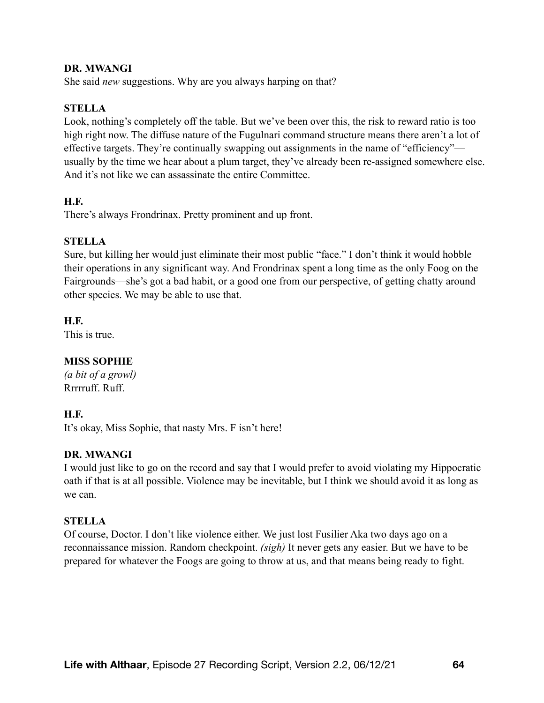#### **DR. MWANGI**

She said *new* suggestions. Why are you always harping on that?

#### **STELLA**

Look, nothing's completely off the table. But we've been over this, the risk to reward ratio is too high right now. The diffuse nature of the Fugulnari command structure means there aren't a lot of effective targets. They're continually swapping out assignments in the name of "efficiency" usually by the time we hear about a plum target, they've already been re-assigned somewhere else. And it's not like we can assassinate the entire Committee.

#### **H.F.**

There's always Frondrinax. Pretty prominent and up front.

#### **STELLA**

Sure, but killing her would just eliminate their most public "face." I don't think it would hobble their operations in any significant way. And Frondrinax spent a long time as the only Foog on the Fairgrounds—she's got a bad habit, or a good one from our perspective, of getting chatty around other species. We may be able to use that.

**H.F.** 

This is true.

#### **MISS SOPHIE**

*(a bit of a growl)*  Rrrrruff. Ruff.

#### **H.F.**

It's okay, Miss Sophie, that nasty Mrs. F isn't here!

#### **DR. MWANGI**

I would just like to go on the record and say that I would prefer to avoid violating my Hippocratic oath if that is at all possible. Violence may be inevitable, but I think we should avoid it as long as we can.

#### **STELLA**

Of course, Doctor. I don't like violence either. We just lost Fusilier Aka two days ago on a reconnaissance mission. Random checkpoint. *(sigh)* It never gets any easier. But we have to be prepared for whatever the Foogs are going to throw at us, and that means being ready to fight.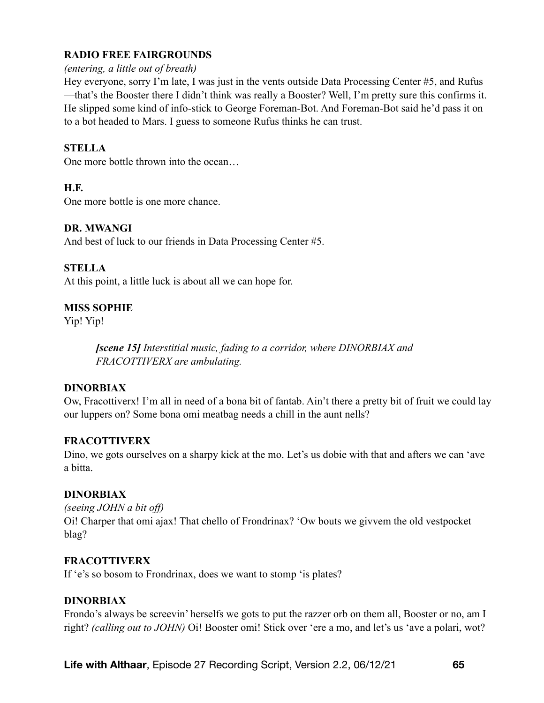## **RADIO FREE FAIRGROUNDS**

#### *(entering, a little out of breath)*

Hey everyone, sorry I'm late, I was just in the vents outside Data Processing Center #5, and Rufus —that's the Booster there I didn't think was really a Booster? Well, I'm pretty sure this confirms it. He slipped some kind of info-stick to George Foreman-Bot. And Foreman-Bot said he'd pass it on to a bot headed to Mars. I guess to someone Rufus thinks he can trust.

#### **STELLA**

One more bottle thrown into the ocean…

#### **H.F.**

One more bottle is one more chance.

### **DR. MWANGI**

And best of luck to our friends in Data Processing Center #5.

### **STELLA**

At this point, a little luck is about all we can hope for.

### **MISS SOPHIE**

Yip! Yip!

*[scene 15] Interstitial music, fading to a corridor, where DINORBIAX and FRACOTTIVERX are ambulating.* 

#### **DINORBIAX**

Ow, Fracottiverx! I'm all in need of a bona bit of fantab. Ain't there a pretty bit of fruit we could lay our luppers on? Some bona omi meatbag needs a chill in the aunt nells?

#### **FRACOTTIVERX**

Dino, we gots ourselves on a sharpy kick at the mo. Let's us dobie with that and afters we can 'ave a bitta.

#### **DINORBIAX**

*(seeing JOHN a bit off)*  Oi! Charper that omi ajax! That chello of Frondrinax? 'Ow bouts we givvem the old vestpocket blag?

#### **FRACOTTIVERX**

If 'e's so bosom to Frondrinax, does we want to stomp 'is plates?

#### **DINORBIAX**

Frondo's always be screevin' herselfs we gots to put the razzer orb on them all, Booster or no, am I right? *(calling out to JOHN)* Oi! Booster omi! Stick over 'ere a mo, and let's us 'ave a polari, wot?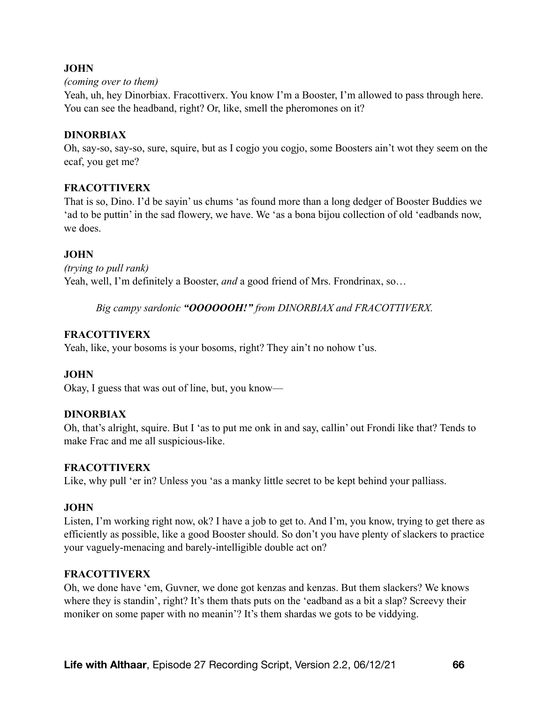#### *(coming over to them)*

Yeah, uh, hey Dinorbiax. Fracottiverx. You know I'm a Booster, I'm allowed to pass through here. You can see the headband, right? Or, like, smell the pheromones on it?

#### **DINORBIAX**

Oh, say-so, say-so, sure, squire, but as I cogjo you cogjo, some Boosters ain't wot they seem on the ecaf, you get me?

#### **FRACOTTIVERX**

That is so, Dino. I'd be sayin' us chums 'as found more than a long dedger of Booster Buddies we 'ad to be puttin' in the sad flowery, we have. We 'as a bona bijou collection of old 'eadbands now, we does.

### **JOHN**

*(trying to pull rank)*  Yeah, well, I'm definitely a Booster, *and* a good friend of Mrs. Frondrinax, so…

*Big campy sardonic "OOOOOOH!" from DINORBIAX and FRACOTTIVERX.* 

#### **FRACOTTIVERX**

Yeah, like, your bosoms is your bosoms, right? They ain't no nohow t'us.

#### **JOHN**

Okay, I guess that was out of line, but, you know—

#### **DINORBIAX**

Oh, that's alright, squire. But I 'as to put me onk in and say, callin' out Frondi like that? Tends to make Frac and me all suspicious-like.

#### **FRACOTTIVERX**

Like, why pull 'er in? Unless you 'as a manky little secret to be kept behind your palliass.

#### **JOHN**

Listen, I'm working right now, ok? I have a job to get to. And I'm, you know, trying to get there as efficiently as possible, like a good Booster should. So don't you have plenty of slackers to practice your vaguely-menacing and barely-intelligible double act on?

#### **FRACOTTIVERX**

Oh, we done have 'em, Guvner, we done got kenzas and kenzas. But them slackers? We knows where they is standin', right? It's them thats puts on the 'eadband as a bit a slap? Screevy their moniker on some paper with no meanin'? It's them shardas we gots to be viddying.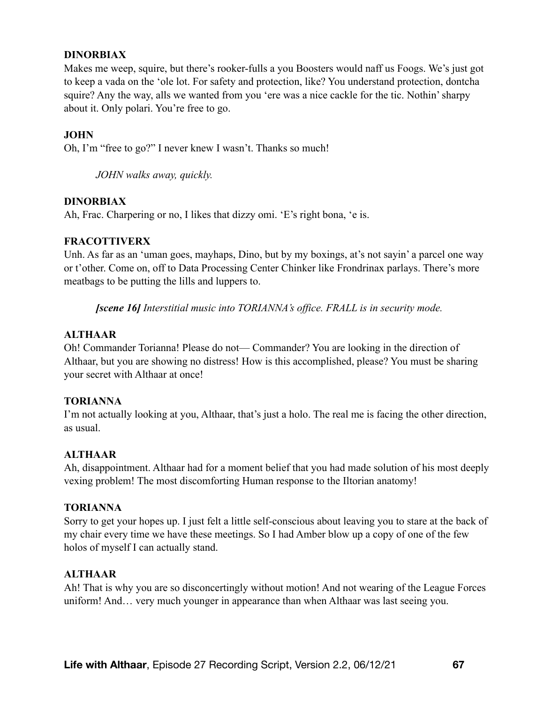#### **DINORBIAX**

Makes me weep, squire, but there's rooker-fulls a you Boosters would naff us Foogs. We's just got to keep a vada on the 'ole lot. For safety and protection, like? You understand protection, dontcha squire? Any the way, alls we wanted from you 'ere was a nice cackle for the tic. Nothin' sharpy about it. Only polari. You're free to go.

#### **JOHN**

Oh, I'm "free to go?" I never knew I wasn't. Thanks so much!

*JOHN walks away, quickly.* 

#### **DINORBIAX**

Ah, Frac. Charpering or no, I likes that dizzy omi. 'E's right bona, 'e is.

#### **FRACOTTIVERX**

Unh. As far as an 'uman goes, mayhaps, Dino, but by my boxings, at's not sayin' a parcel one way or t'other. Come on, off to Data Processing Center Chinker like Frondrinax parlays. There's more meatbags to be putting the lills and luppers to.

*[scene 16] Interstitial music into TORIANNA's office. FRALL is in security mode.* 

#### **ALTHAAR**

Oh! Commander Torianna! Please do not— Commander? You are looking in the direction of Althaar, but you are showing no distress! How is this accomplished, please? You must be sharing your secret with Althaar at once!

#### **TORIANNA**

I'm not actually looking at you, Althaar, that's just a holo. The real me is facing the other direction, as usual.

#### **ALTHAAR**

Ah, disappointment. Althaar had for a moment belief that you had made solution of his most deeply vexing problem! The most discomforting Human response to the Iltorian anatomy!

#### **TORIANNA**

Sorry to get your hopes up. I just felt a little self-conscious about leaving you to stare at the back of my chair every time we have these meetings. So I had Amber blow up a copy of one of the few holos of myself I can actually stand.

#### **ALTHAAR**

Ah! That is why you are so disconcertingly without motion! And not wearing of the League Forces uniform! And… very much younger in appearance than when Althaar was last seeing you.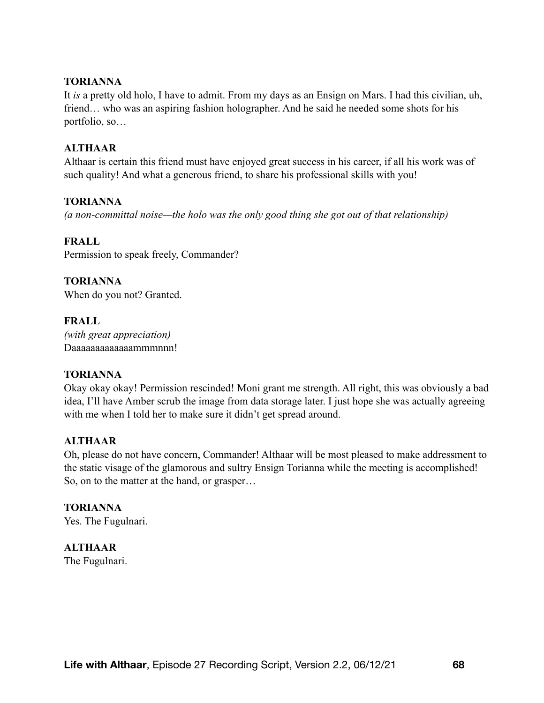#### **TORIANNA**

It *is* a pretty old holo, I have to admit. From my days as an Ensign on Mars. I had this civilian, uh, friend… who was an aspiring fashion holographer. And he said he needed some shots for his portfolio, so…

#### **ALTHAAR**

Althaar is certain this friend must have enjoyed great success in his career, if all his work was of such quality! And what a generous friend, to share his professional skills with you!

#### **TORIANNA**

*(a non-committal noise—the holo was the only good thing she got out of that relationship)*

#### **FRALL**

Permission to speak freely, Commander?

**TORIANNA**  When do you not? Granted.

**FRALL**  *(with great appreciation)*  Daaaaaaaaaaaaammmnnn!

#### **TORIANNA**

Okay okay okay! Permission rescinded! Moni grant me strength. All right, this was obviously a bad idea, I'll have Amber scrub the image from data storage later. I just hope she was actually agreeing with me when I told her to make sure it didn't get spread around.

#### **ALTHAAR**

Oh, please do not have concern, Commander! Althaar will be most pleased to make addressment to the static visage of the glamorous and sultry Ensign Torianna while the meeting is accomplished! So, on to the matter at the hand, or grasper…

**TORIANNA**  Yes. The Fugulnari.

**ALTHAAR** 

The Fugulnari.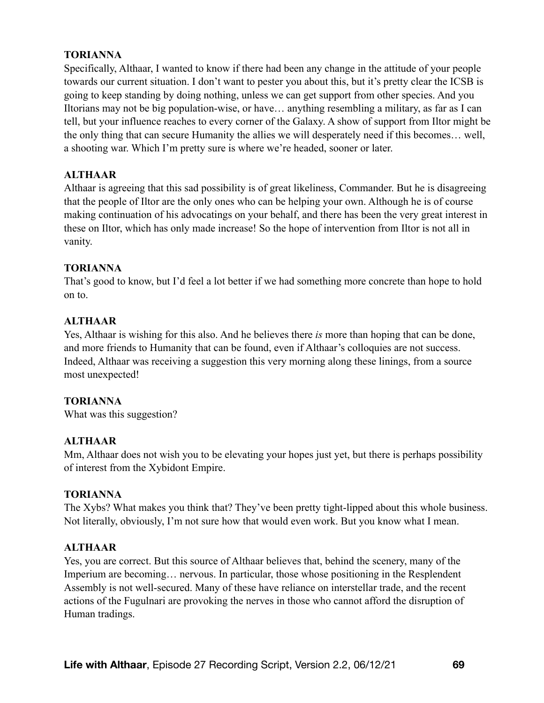#### **TORIANNA**

Specifically, Althaar, I wanted to know if there had been any change in the attitude of your people towards our current situation. I don't want to pester you about this, but it's pretty clear the ICSB is going to keep standing by doing nothing, unless we can get support from other species. And you Iltorians may not be big population-wise, or have… anything resembling a military, as far as I can tell, but your influence reaches to every corner of the Galaxy. A show of support from Iltor might be the only thing that can secure Humanity the allies we will desperately need if this becomes… well, a shooting war. Which I'm pretty sure is where we're headed, sooner or later.

### **ALTHAAR**

Althaar is agreeing that this sad possibility is of great likeliness, Commander. But he is disagreeing that the people of Iltor are the only ones who can be helping your own. Although he is of course making continuation of his advocatings on your behalf, and there has been the very great interest in these on Iltor, which has only made increase! So the hope of intervention from Iltor is not all in vanity.

#### **TORIANNA**

That's good to know, but I'd feel a lot better if we had something more concrete than hope to hold on to.

### **ALTHAAR**

Yes, Althaar is wishing for this also. And he believes there *is* more than hoping that can be done, and more friends to Humanity that can be found, even if Althaar's colloquies are not success. Indeed, Althaar was receiving a suggestion this very morning along these linings, from a source most unexpected!

#### **TORIANNA**

What was this suggestion?

#### **ALTHAAR**

Mm, Althaar does not wish you to be elevating your hopes just yet, but there is perhaps possibility of interest from the Xybidont Empire.

#### **TORIANNA**

The Xybs? What makes you think that? They've been pretty tight-lipped about this whole business. Not literally, obviously, I'm not sure how that would even work. But you know what I mean.

#### **ALTHAAR**

Yes, you are correct. But this source of Althaar believes that, behind the scenery, many of the Imperium are becoming… nervous. In particular, those whose positioning in the Resplendent Assembly is not well-secured. Many of these have reliance on interstellar trade, and the recent actions of the Fugulnari are provoking the nerves in those who cannot afford the disruption of Human tradings.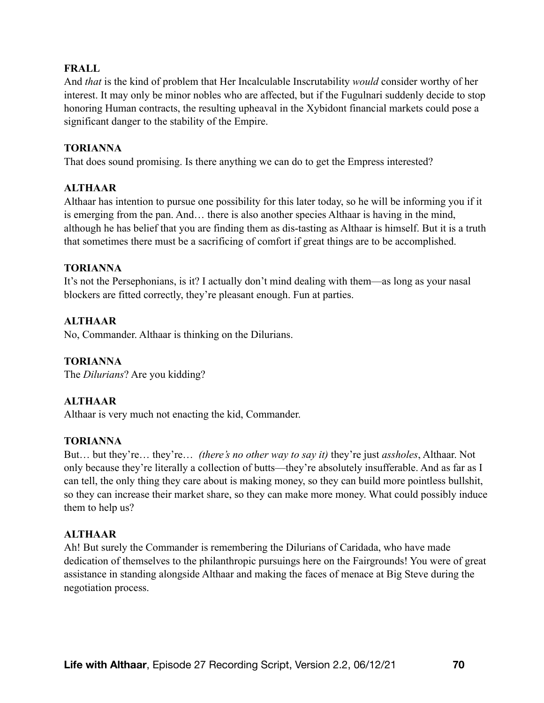#### **FRALL**

And *that* is the kind of problem that Her Incalculable Inscrutability *would* consider worthy of her interest. It may only be minor nobles who are affected, but if the Fugulnari suddenly decide to stop honoring Human contracts, the resulting upheaval in the Xybidont financial markets could pose a significant danger to the stability of the Empire.

#### **TORIANNA**

That does sound promising. Is there anything we can do to get the Empress interested?

## **ALTHAAR**

Althaar has intention to pursue one possibility for this later today, so he will be informing you if it is emerging from the pan. And… there is also another species Althaar is having in the mind, although he has belief that you are finding them as dis-tasting as Althaar is himself. But it is a truth that sometimes there must be a sacrificing of comfort if great things are to be accomplished.

#### **TORIANNA**

It's not the Persephonians, is it? I actually don't mind dealing with them—as long as your nasal blockers are fitted correctly, they're pleasant enough. Fun at parties.

## **ALTHAAR**

No, Commander. Althaar is thinking on the Dilurians.

#### **TORIANNA**

The *Dilurians*? Are you kidding?

#### **ALTHAAR**

Althaar is very much not enacting the kid, Commander.

#### **TORIANNA**

But… but they're… they're… *(there's no other way to say it)* they're just *assholes*, Althaar. Not only because they're literally a collection of butts—they're absolutely insufferable. And as far as I can tell, the only thing they care about is making money, so they can build more pointless bullshit, so they can increase their market share, so they can make more money. What could possibly induce them to help us?

#### **ALTHAAR**

Ah! But surely the Commander is remembering the Dilurians of Caridada, who have made dedication of themselves to the philanthropic pursuings here on the Fairgrounds! You were of great assistance in standing alongside Althaar and making the faces of menace at Big Steve during the negotiation process.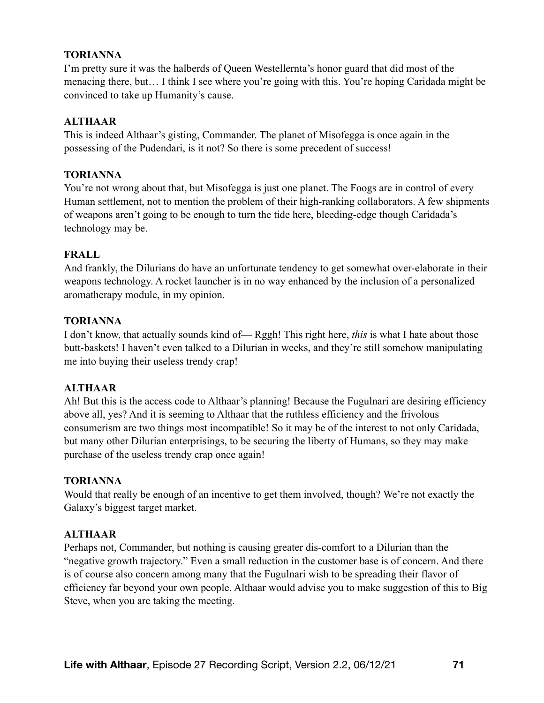#### **TORIANNA**

I'm pretty sure it was the halberds of Queen Westellernta's honor guard that did most of the menacing there, but… I think I see where you're going with this. You're hoping Caridada might be convinced to take up Humanity's cause.

### **ALTHAAR**

This is indeed Althaar's gisting, Commander. The planet of Misofegga is once again in the possessing of the Pudendari, is it not? So there is some precedent of success!

### **TORIANNA**

You're not wrong about that, but Misofegga is just one planet. The Foogs are in control of every Human settlement, not to mention the problem of their high-ranking collaborators. A few shipments of weapons aren't going to be enough to turn the tide here, bleeding-edge though Caridada's technology may be.

### **FRALL**

And frankly, the Dilurians do have an unfortunate tendency to get somewhat over-elaborate in their weapons technology. A rocket launcher is in no way enhanced by the inclusion of a personalized aromatherapy module, in my opinion.

### **TORIANNA**

I don't know, that actually sounds kind of— Rggh! This right here, *this* is what I hate about those butt-baskets! I haven't even talked to a Dilurian in weeks, and they're still somehow manipulating me into buying their useless trendy crap!

#### **ALTHAAR**

Ah! But this is the access code to Althaar's planning! Because the Fugulnari are desiring efficiency above all, yes? And it is seeming to Althaar that the ruthless efficiency and the frivolous consumerism are two things most incompatible! So it may be of the interest to not only Caridada, but many other Dilurian enterprisings, to be securing the liberty of Humans, so they may make purchase of the useless trendy crap once again!

#### **TORIANNA**

Would that really be enough of an incentive to get them involved, though? We're not exactly the Galaxy's biggest target market.

## **ALTHAAR**

Perhaps not, Commander, but nothing is causing greater dis-comfort to a Dilurian than the "negative growth trajectory." Even a small reduction in the customer base is of concern. And there is of course also concern among many that the Fugulnari wish to be spreading their flavor of efficiency far beyond your own people. Althaar would advise you to make suggestion of this to Big Steve, when you are taking the meeting.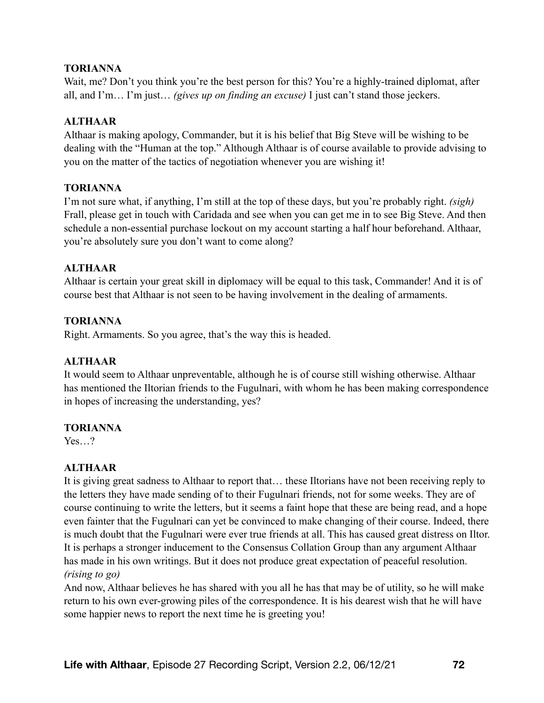#### **TORIANNA**

Wait, me? Don't you think you're the best person for this? You're a highly-trained diplomat, after all, and I'm… I'm just… *(gives up on finding an excuse)* I just can't stand those jeckers.

### **ALTHAAR**

Althaar is making apology, Commander, but it is his belief that Big Steve will be wishing to be dealing with the "Human at the top." Although Althaar is of course available to provide advising to you on the matter of the tactics of negotiation whenever you are wishing it!

### **TORIANNA**

I'm not sure what, if anything, I'm still at the top of these days, but you're probably right. *(sigh)* Frall, please get in touch with Caridada and see when you can get me in to see Big Steve. And then schedule a non-essential purchase lockout on my account starting a half hour beforehand. Althaar, you're absolutely sure you don't want to come along?

### **ALTHAAR**

Althaar is certain your great skill in diplomacy will be equal to this task, Commander! And it is of course best that Althaar is not seen to be having involvement in the dealing of armaments.

### **TORIANNA**

Right. Armaments. So you agree, that's the way this is headed.

## **ALTHAAR**

It would seem to Althaar unpreventable, although he is of course still wishing otherwise. Althaar has mentioned the Iltorian friends to the Fugulnari, with whom he has been making correspondence in hopes of increasing the understanding, yes?

#### **TORIANNA**

Yes<sup>?</sup>

## **ALTHAAR**

It is giving great sadness to Althaar to report that… these Iltorians have not been receiving reply to the letters they have made sending of to their Fugulnari friends, not for some weeks. They are of course continuing to write the letters, but it seems a faint hope that these are being read, and a hope even fainter that the Fugulnari can yet be convinced to make changing of their course. Indeed, there is much doubt that the Fugulnari were ever true friends at all. This has caused great distress on Iltor. It is perhaps a stronger inducement to the Consensus Collation Group than any argument Althaar has made in his own writings. But it does not produce great expectation of peaceful resolution. *(rising to go)* 

And now, Althaar believes he has shared with you all he has that may be of utility, so he will make return to his own ever-growing piles of the correspondence. It is his dearest wish that he will have some happier news to report the next time he is greeting you!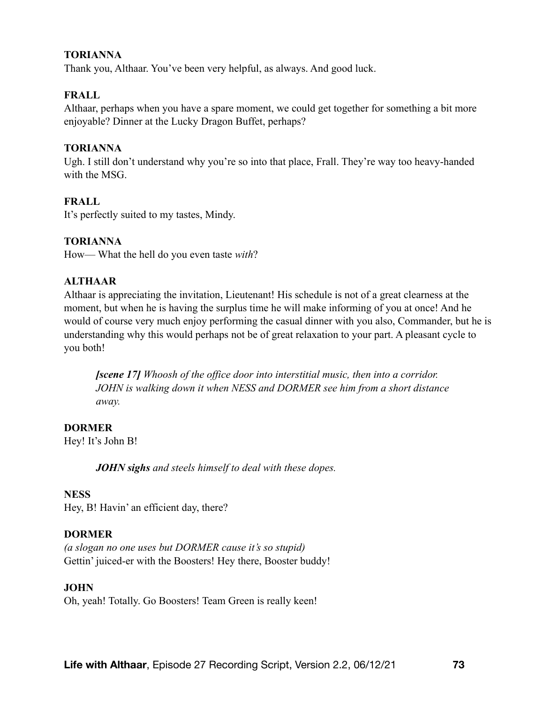#### **TORIANNA**

Thank you, Althaar. You've been very helpful, as always. And good luck.

## **FRALL**

Althaar, perhaps when you have a spare moment, we could get together for something a bit more enjoyable? Dinner at the Lucky Dragon Buffet, perhaps?

### **TORIANNA**

Ugh. I still don't understand why you're so into that place, Frall. They're way too heavy-handed with the MSG.

## **FRALL**

It's perfectly suited to my tastes, Mindy.

#### **TORIANNA**

How— What the hell do you even taste *with*?

## **ALTHAAR**

Althaar is appreciating the invitation, Lieutenant! His schedule is not of a great clearness at the moment, but when he is having the surplus time he will make informing of you at once! And he would of course very much enjoy performing the casual dinner with you also, Commander, but he is understanding why this would perhaps not be of great relaxation to your part. A pleasant cycle to you both!

*[scene 17] Whoosh of the office door into interstitial music, then into a corridor. JOHN is walking down it when NESS and DORMER see him from a short distance away.* 

# **DORMER**

Hey! It's John B!

*JOHN sighs and steels himself to deal with these dopes.* 

#### **NESS**

Hey, B! Havin' an efficient day, there?

#### **DORMER**

*(a slogan no one uses but DORMER cause it's so stupid)*  Gettin' juiced-er with the Boosters! Hey there, Booster buddy!

#### **JOHN**

Oh, yeah! Totally. Go Boosters! Team Green is really keen!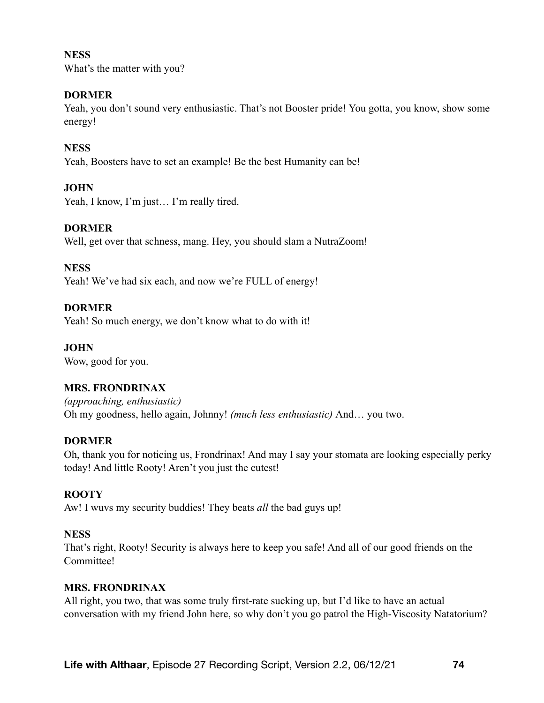#### **NESS**

What's the matter with you?

### **DORMER**

Yeah, you don't sound very enthusiastic. That's not Booster pride! You gotta, you know, show some energy!

### **NESS**

Yeah, Boosters have to set an example! Be the best Humanity can be!

## **JOHN**

Yeah, I know, I'm just… I'm really tired.

## **DORMER**

Well, get over that schness, mang. Hey, you should slam a NutraZoom!

#### **NESS**

Yeah! We've had six each, and now we're FULL of energy!

## **DORMER**

Yeah! So much energy, we don't know what to do with it!

## **JOHN**

Wow, good for you.

# **MRS. FRONDRINAX**

*(approaching, enthusiastic)*  Oh my goodness, hello again, Johnny! *(much less enthusiastic)* And… you two.

#### **DORMER**

Oh, thank you for noticing us, Frondrinax! And may I say your stomata are looking especially perky today! And little Rooty! Aren't you just the cutest!

# **ROOTY**

Aw! I wuvs my security buddies! They beats *all* the bad guys up!

#### **NESS**

That's right, Rooty! Security is always here to keep you safe! And all of our good friends on the Committee!

#### **MRS. FRONDRINAX**

All right, you two, that was some truly first-rate sucking up, but I'd like to have an actual conversation with my friend John here, so why don't you go patrol the High-Viscosity Natatorium?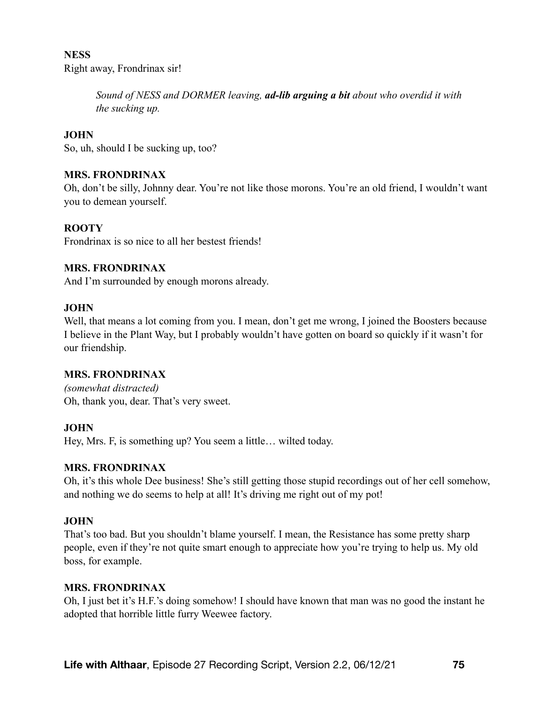# **NESS**  Right away, Frondrinax sir!

*Sound of NESS and DORMER leaving, ad-lib arguing a bit about who overdid it with the sucking up.* 

## **JOHN**

So, uh, should I be sucking up, too?

### **MRS. FRONDRINAX**

Oh, don't be silly, Johnny dear. You're not like those morons. You're an old friend, I wouldn't want you to demean yourself.

## **ROOTY**

Frondrinax is so nice to all her bestest friends!

#### **MRS. FRONDRINAX**

And I'm surrounded by enough morons already.

#### **JOHN**

Well, that means a lot coming from you. I mean, don't get me wrong, I joined the Boosters because I believe in the Plant Way, but I probably wouldn't have gotten on board so quickly if it wasn't for our friendship.

#### **MRS. FRONDRINAX**

*(somewhat distracted)*  Oh, thank you, dear. That's very sweet.

#### **JOHN**

Hey, Mrs. F, is something up? You seem a little… wilted today.

#### **MRS. FRONDRINAX**

Oh, it's this whole Dee business! She's still getting those stupid recordings out of her cell somehow, and nothing we do seems to help at all! It's driving me right out of my pot!

# **JOHN**

That's too bad. But you shouldn't blame yourself. I mean, the Resistance has some pretty sharp people, even if they're not quite smart enough to appreciate how you're trying to help us. My old boss, for example.

#### **MRS. FRONDRINAX**

Oh, I just bet it's H.F.'s doing somehow! I should have known that man was no good the instant he adopted that horrible little furry Weewee factory.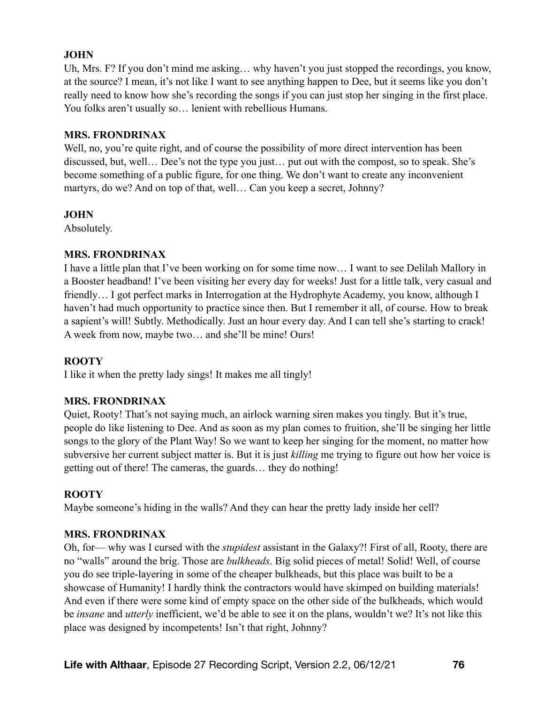Uh, Mrs. F? If you don't mind me asking… why haven't you just stopped the recordings, you know, at the source? I mean, it's not like I want to see anything happen to Dee, but it seems like you don't really need to know how she's recording the songs if you can just stop her singing in the first place. You folks aren't usually so… lenient with rebellious Humans.

#### **MRS. FRONDRINAX**

Well, no, you're quite right, and of course the possibility of more direct intervention has been discussed, but, well… Dee's not the type you just… put out with the compost, so to speak. She's become something of a public figure, for one thing. We don't want to create any inconvenient martyrs, do we? And on top of that, well… Can you keep a secret, Johnny?

## **JOHN**

Absolutely.

# **MRS. FRONDRINAX**

I have a little plan that I've been working on for some time now… I want to see Delilah Mallory in a Booster headband! I've been visiting her every day for weeks! Just for a little talk, very casual and friendly… I got perfect marks in Interrogation at the Hydrophyte Academy, you know, although I haven't had much opportunity to practice since then. But I remember it all, of course. How to break a sapient's will! Subtly. Methodically. Just an hour every day. And I can tell she's starting to crack! A week from now, maybe two… and she'll be mine! Ours!

# **ROOTY**

I like it when the pretty lady sings! It makes me all tingly!

# **MRS. FRONDRINAX**

Quiet, Rooty! That's not saying much, an airlock warning siren makes you tingly. But it's true, people do like listening to Dee. And as soon as my plan comes to fruition, she'll be singing her little songs to the glory of the Plant Way! So we want to keep her singing for the moment, no matter how subversive her current subject matter is. But it is just *killing* me trying to figure out how her voice is getting out of there! The cameras, the guards… they do nothing!

# **ROOTY**

Maybe someone's hiding in the walls? And they can hear the pretty lady inside her cell?

#### **MRS. FRONDRINAX**

Oh, for— why was I cursed with the *stupidest* assistant in the Galaxy?! First of all, Rooty, there are no "walls" around the brig. Those are *bulkheads*. Big solid pieces of metal! Solid! Well, of course you do see triple-layering in some of the cheaper bulkheads, but this place was built to be a showcase of Humanity! I hardly think the contractors would have skimped on building materials! And even if there were some kind of empty space on the other side of the bulkheads, which would be *insane* and *utterly* inefficient, we'd be able to see it on the plans, wouldn't we? It's not like this place was designed by incompetents! Isn't that right, Johnny?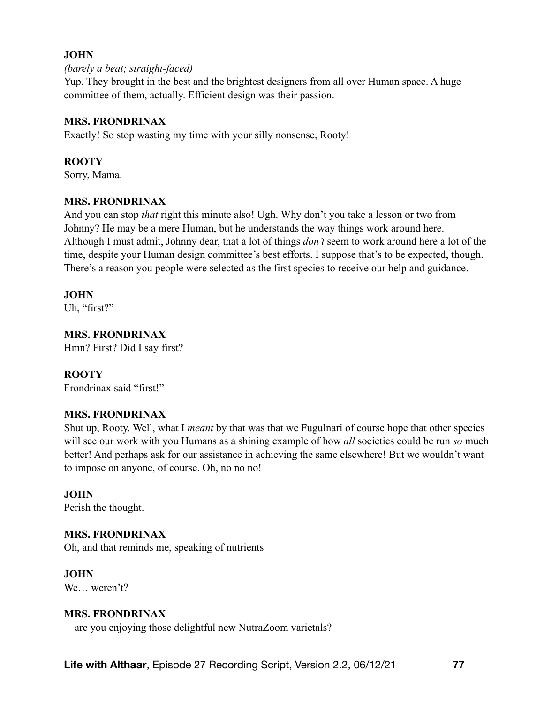#### *(barely a beat; straight-faced)*

Yup. They brought in the best and the brightest designers from all over Human space. A huge committee of them, actually. Efficient design was their passion.

#### **MRS. FRONDRINAX**

Exactly! So stop wasting my time with your silly nonsense, Rooty!

#### **ROOTY**

Sorry, Mama.

## **MRS. FRONDRINAX**

And you can stop *that* right this minute also! Ugh. Why don't you take a lesson or two from Johnny? He may be a mere Human, but he understands the way things work around here. Although I must admit, Johnny dear, that a lot of things *don't* seem to work around here a lot of the time, despite your Human design committee's best efforts. I suppose that's to be expected, though. There's a reason you people were selected as the first species to receive our help and guidance.

#### **JOHN**

Uh, "first?"

## **MRS. FRONDRINAX**

Hmn? First? Did I say first?

#### **ROOTY**

Frondrinax said "first!"

#### **MRS. FRONDRINAX**

Shut up, Rooty. Well, what I *meant* by that was that we Fugulnari of course hope that other species will see our work with you Humans as a shining example of how *all* societies could be run *so* much better! And perhaps ask for our assistance in achieving the same elsewhere! But we wouldn't want to impose on anyone, of course. Oh, no no no!

#### **JOHN**

Perish the thought.

#### **MRS. FRONDRINAX**

Oh, and that reminds me, speaking of nutrients—

#### **JOHN**

We weren't?

#### **MRS. FRONDRINAX**

—are you enjoying those delightful new NutraZoom varietals?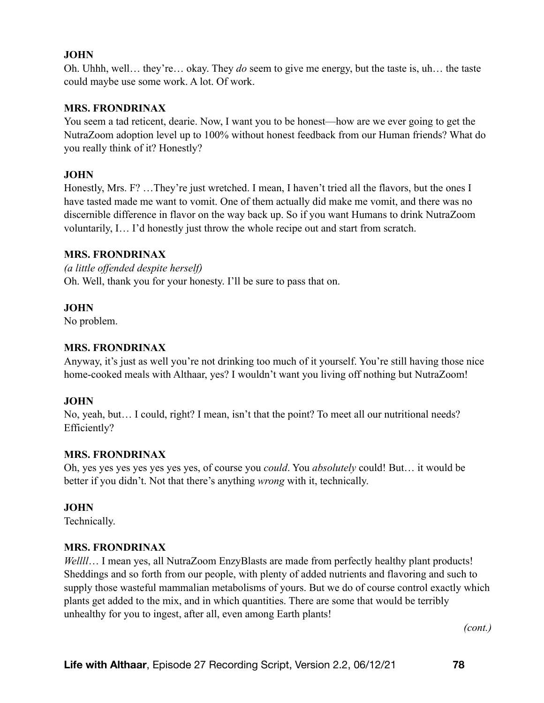Oh. Uhhh, well… they're… okay. They *do* seem to give me energy, but the taste is, uh… the taste could maybe use some work. A lot. Of work.

#### **MRS. FRONDRINAX**

You seem a tad reticent, dearie. Now, I want you to be honest—how are we ever going to get the NutraZoom adoption level up to 100% without honest feedback from our Human friends? What do you really think of it? Honestly?

#### **JOHN**

Honestly, Mrs. F? …They're just wretched. I mean, I haven't tried all the flavors, but the ones I have tasted made me want to vomit. One of them actually did make me vomit, and there was no discernible difference in flavor on the way back up. So if you want Humans to drink NutraZoom voluntarily, I… I'd honestly just throw the whole recipe out and start from scratch.

#### **MRS. FRONDRINAX**

*(a little offended despite herself)* Oh. Well, thank you for your honesty. I'll be sure to pass that on.

#### **JOHN**

No problem.

## **MRS. FRONDRINAX**

Anyway, it's just as well you're not drinking too much of it yourself. You're still having those nice home-cooked meals with Althaar, yes? I wouldn't want you living off nothing but NutraZoom!

#### **JOHN**

No, yeah, but… I could, right? I mean, isn't that the point? To meet all our nutritional needs? Efficiently?

#### **MRS. FRONDRINAX**

Oh, yes yes yes yes yes yes yes, of course you *could*. You *absolutely* could! But… it would be better if you didn't. Not that there's anything *wrong* with it, technically.

#### **JOHN**

Technically.

#### **MRS. FRONDRINAX**

*Wellll*… I mean yes, all NutraZoom EnzyBlasts are made from perfectly healthy plant products! Sheddings and so forth from our people, with plenty of added nutrients and flavoring and such to supply those wasteful mammalian metabolisms of yours. But we do of course control exactly which plants get added to the mix, and in which quantities. There are some that would be terribly unhealthy for you to ingest, after all, even among Earth plants!

*(cont.)*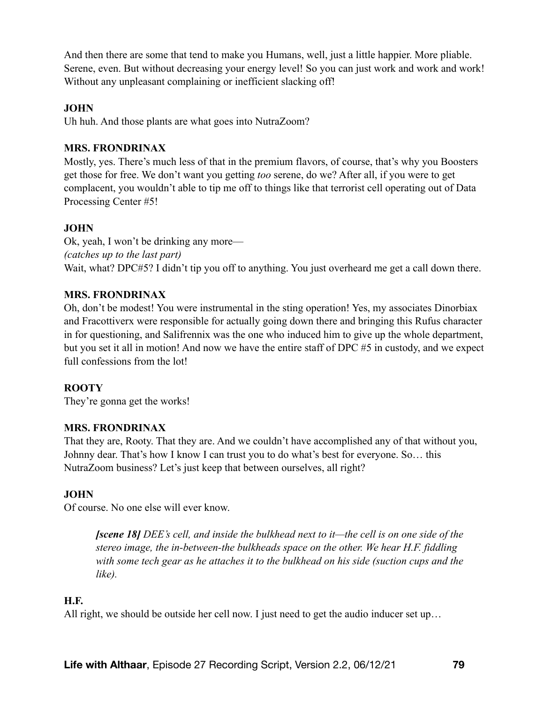And then there are some that tend to make you Humans, well, just a little happier. More pliable. Serene, even. But without decreasing your energy level! So you can just work and work and work! Without any unpleasant complaining or inefficient slacking off!

#### **JOHN**

Uh huh. And those plants are what goes into NutraZoom?

#### **MRS. FRONDRINAX**

Mostly, yes. There's much less of that in the premium flavors, of course, that's why you Boosters get those for free. We don't want you getting *too* serene, do we? After all, if you were to get complacent, you wouldn't able to tip me off to things like that terrorist cell operating out of Data Processing Center #5!

#### **JOHN**

Ok, yeah, I won't be drinking any more— *(catches up to the last part)*  Wait, what? DPC#5? I didn't tip you off to anything. You just overheard me get a call down there.

#### **MRS. FRONDRINAX**

Oh, don't be modest! You were instrumental in the sting operation! Yes, my associates Dinorbiax and Fracottiverx were responsible for actually going down there and bringing this Rufus character in for questioning, and Salifrennix was the one who induced him to give up the whole department, but you set it all in motion! And now we have the entire staff of DPC #5 in custody, and we expect full confessions from the lot!

#### **ROOTY**

They're gonna get the works!

#### **MRS. FRONDRINAX**

That they are, Rooty. That they are. And we couldn't have accomplished any of that without you, Johnny dear. That's how I know I can trust you to do what's best for everyone. So… this NutraZoom business? Let's just keep that between ourselves, all right?

#### **JOHN**

Of course. No one else will ever know.

*[scene 18] DEE's cell, and inside the bulkhead next to it—the cell is on one side of the stereo image, the in-between-the bulkheads space on the other. We hear H.F. fiddling with some tech gear as he attaches it to the bulkhead on his side (suction cups and the like).* 

#### **H.F.**

All right, we should be outside her cell now. I just need to get the audio inducer set up…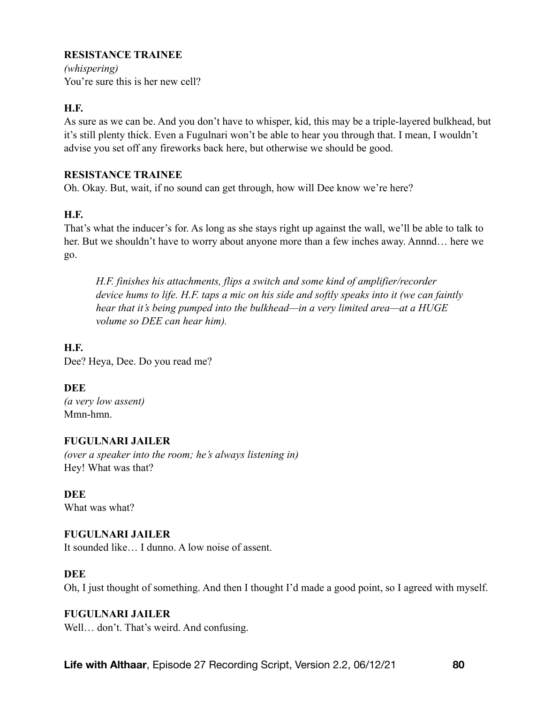# **RESISTANCE TRAINEE**

*(whispering)* You're sure this is her new cell?

## **H.F.**

As sure as we can be. And you don't have to whisper, kid, this may be a triple-layered bulkhead, but it's still plenty thick. Even a Fugulnari won't be able to hear you through that. I mean, I wouldn't advise you set off any fireworks back here, but otherwise we should be good.

#### **RESISTANCE TRAINEE**

Oh. Okay. But, wait, if no sound can get through, how will Dee know we're here?

# **H.F.**

That's what the inducer's for. As long as she stays right up against the wall, we'll be able to talk to her. But we shouldn't have to worry about anyone more than a few inches away. Annnd… here we go.

*H.F. finishes his attachments, flips a switch and some kind of amplifier/recorder device hums to life. H.F. taps a mic on his side and softly speaks into it (we can faintly hear that it's being pumped into the bulkhead—in a very limited area—at a HUGE volume so DEE can hear him).* 

# **H.F.**

Dee? Heya, Dee. Do you read me?

# **DEE**

*(a very low assent)*  Mmn-hmn.

# **FUGULNARI JAILER**

*(over a speaker into the room; he's always listening in)*  Hey! What was that?

**DEE**  What was what?

# **FUGULNARI JAILER**

It sounded like… I dunno. A low noise of assent.

# **DEE**

Oh, I just thought of something. And then I thought I'd made a good point, so I agreed with myself.

# **FUGULNARI JAILER**

Well… don't. That's weird. And confusing.

**Life with Althaar**, Episode 27 Recording Script, Version 2.2, 06/12/21 **80**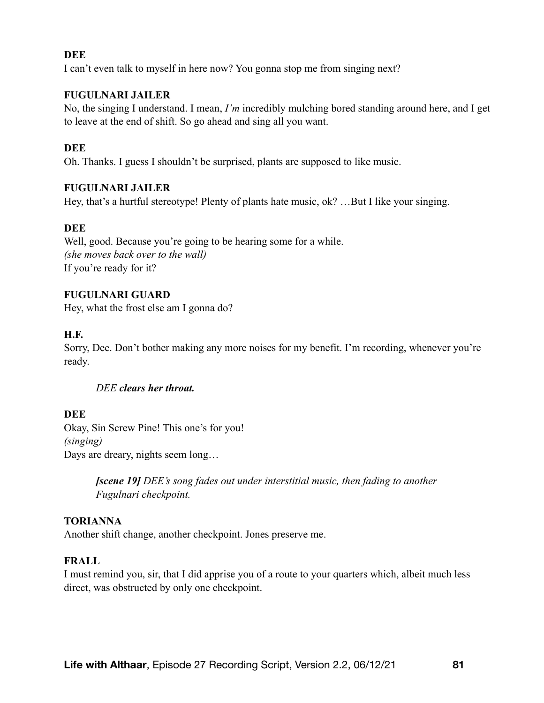#### **DEE**

I can't even talk to myself in here now? You gonna stop me from singing next?

#### **FUGULNARI JAILER**

No, the singing I understand. I mean, *I'm* incredibly mulching bored standing around here, and I get to leave at the end of shift. So go ahead and sing all you want.

### **DEE**

Oh. Thanks. I guess I shouldn't be surprised, plants are supposed to like music.

#### **FUGULNARI JAILER**

Hey, that's a hurtful stereotype! Plenty of plants hate music, ok? ...But I like your singing.

#### **DEE**

Well, good. Because you're going to be hearing some for a while. *(she moves back over to the wall)*  If you're ready for it?

#### **FUGULNARI GUARD**

Hey, what the frost else am I gonna do?

#### **H.F.**

Sorry, Dee. Don't bother making any more noises for my benefit. I'm recording, whenever you're ready.

#### *DEE clears her throat.*

#### **DEE**

Okay, Sin Screw Pine! This one's for you! *(singing)*  Days are dreary, nights seem long…

> *[scene 19] DEE's song fades out under interstitial music, then fading to another Fugulnari checkpoint.*

#### **TORIANNA**

Another shift change, another checkpoint. Jones preserve me.

#### **FRALL**

I must remind you, sir, that I did apprise you of a route to your quarters which, albeit much less direct, was obstructed by only one checkpoint.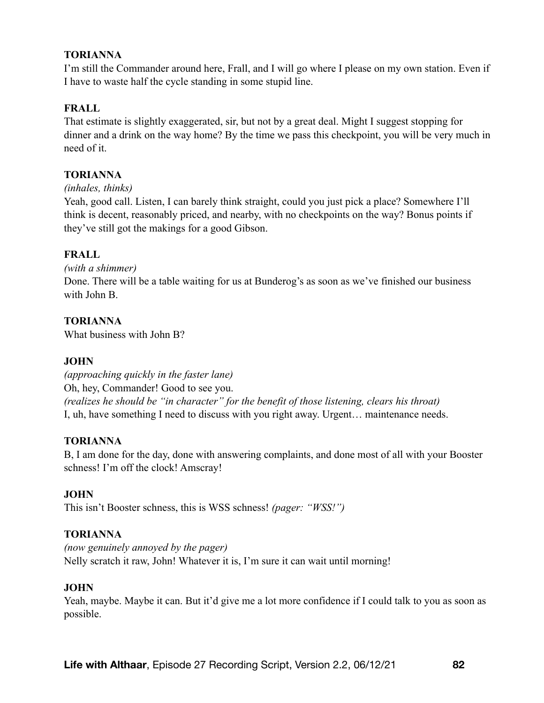## **TORIANNA**

I'm still the Commander around here, Frall, and I will go where I please on my own station. Even if I have to waste half the cycle standing in some stupid line.

## **FRALL**

That estimate is slightly exaggerated, sir, but not by a great deal. Might I suggest stopping for dinner and a drink on the way home? By the time we pass this checkpoint, you will be very much in need of it.

## **TORIANNA**

*(inhales, thinks)* 

Yeah, good call. Listen, I can barely think straight, could you just pick a place? Somewhere I'll think is decent, reasonably priced, and nearby, with no checkpoints on the way? Bonus points if they've still got the makings for a good Gibson.

#### **FRALL**

#### *(with a shimmer)*

Done. There will be a table waiting for us at Bunderog's as soon as we've finished our business with John B.

#### **TORIANNA**

What business with John B?

#### **JOHN**

*(approaching quickly in the faster lane)*  Oh, hey, Commander! Good to see you. *(realizes he should be "in character" for the benefit of those listening, clears his throat)*  I, uh, have something I need to discuss with you right away. Urgent… maintenance needs.

#### **TORIANNA**

B, I am done for the day, done with answering complaints, and done most of all with your Booster schness! I'm off the clock! Amscray!

#### **JOHN**

This isn't Booster schness, this is WSS schness! *(pager: "WSS!")* 

#### **TORIANNA**

*(now genuinely annoyed by the pager)*  Nelly scratch it raw, John! Whatever it is, I'm sure it can wait until morning!

#### **JOHN**

Yeah, maybe. Maybe it can. But it'd give me a lot more confidence if I could talk to you as soon as possible.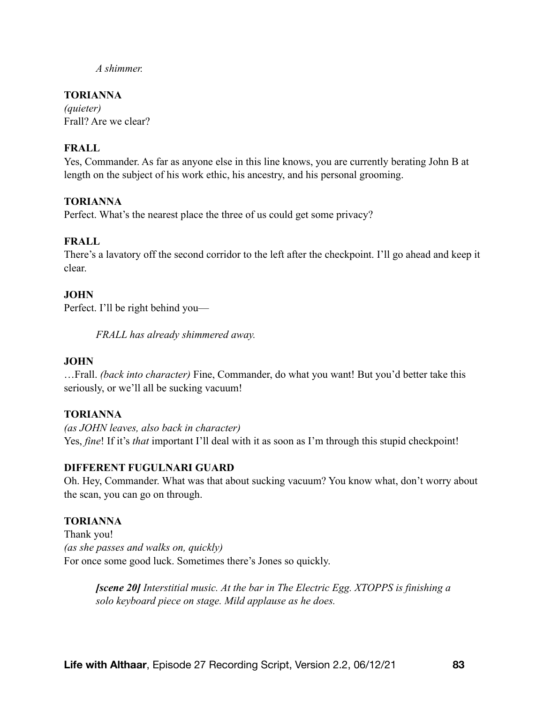*A shimmer.* 

## **TORIANNA**

*(quieter)*  Frall? Are we clear?

## **FRALL**

Yes, Commander. As far as anyone else in this line knows, you are currently berating John B at length on the subject of his work ethic, his ancestry, and his personal grooming.

#### **TORIANNA**

Perfect. What's the nearest place the three of us could get some privacy?

## **FRALL**

There's a lavatory off the second corridor to the left after the checkpoint. I'll go ahead and keep it clear.

#### **JOHN**

Perfect. I'll be right behind you—

*FRALL has already shimmered away.* 

#### **JOHN**

…Frall. *(back into character)* Fine, Commander, do what you want! But you'd better take this seriously, or we'll all be sucking vacuum!

#### **TORIANNA**

*(as JOHN leaves, also back in character)*  Yes, *fine*! If it's *that* important I'll deal with it as soon as I'm through this stupid checkpoint!

#### **DIFFERENT FUGULNARI GUARD**

Oh. Hey, Commander. What was that about sucking vacuum? You know what, don't worry about the scan, you can go on through.

#### **TORIANNA**

Thank you! *(as she passes and walks on, quickly)*  For once some good luck. Sometimes there's Jones so quickly.

> *[scene 20] Interstitial music. At the bar in The Electric Egg. XTOPPS is finishing a solo keyboard piece on stage. Mild applause as he does.*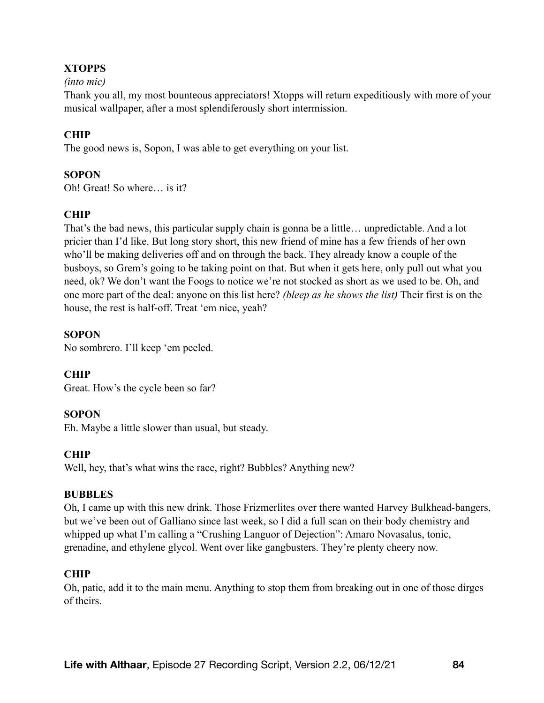# **XTOPPS**

#### *(into mic)*

Thank you all, my most bounteous appreciators! Xtopps will return expeditiously with more of your musical wallpaper, after a most splendiferously short intermission.

## **CHIP**

The good news is, Sopon, I was able to get everything on your list.

#### **SOPON**

Oh! Great! So where… is it?

# **CHIP**

That's the bad news, this particular supply chain is gonna be a little… unpredictable. And a lot pricier than I'd like. But long story short, this new friend of mine has a few friends of her own who'll be making deliveries off and on through the back. They already know a couple of the busboys, so Grem's going to be taking point on that. But when it gets here, only pull out what you need, ok? We don't want the Foogs to notice we're not stocked as short as we used to be. Oh, and one more part of the deal: anyone on this list here? *(bleep as he shows the list)* Their first is on the house, the rest is half-off. Treat 'em nice, yeah?

#### **SOPON**

No sombrero. I'll keep 'em peeled.

#### **CHIP**

Great. How's the cycle been so far?

#### **SOPON**

Eh. Maybe a little slower than usual, but steady.

#### **CHIP**

Well, hey, that's what wins the race, right? Bubbles? Anything new?

#### **BUBBLES**

Oh, I came up with this new drink. Those Frizmerlites over there wanted Harvey Bulkhead-bangers, but we've been out of Galliano since last week, so I did a full scan on their body chemistry and whipped up what I'm calling a "Crushing Languor of Dejection": Amaro Novasalus, tonic, grenadine, and ethylene glycol. Went over like gangbusters. They're plenty cheery now.

#### **CHIP**

Oh, patic, add it to the main menu. Anything to stop them from breaking out in one of those dirges of theirs.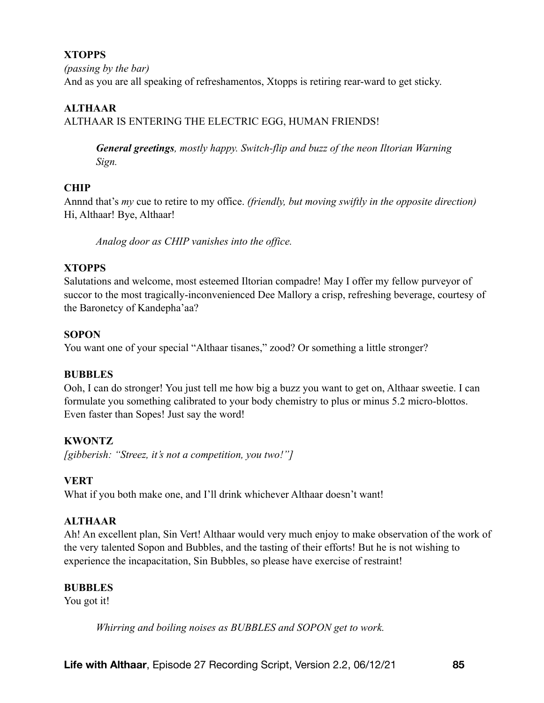# **XTOPPS**

*(passing by the bar)*  And as you are all speaking of refreshamentos, Xtopps is retiring rear-ward to get sticky.

# **ALTHAAR**

ALTHAAR IS ENTERING THE ELECTRIC EGG, HUMAN FRIENDS!

*General greetings, mostly happy. Switch-flip and buzz of the neon Iltorian Warning Sign.* 

# **CHIP**

Annnd that's *my* cue to retire to my office. *(friendly, but moving swiftly in the opposite direction)* Hi, Althaar! Bye, Althaar!

*Analog door as CHIP vanishes into the office.* 

# **XTOPPS**

Salutations and welcome, most esteemed Iltorian compadre! May I offer my fellow purveyor of succor to the most tragically-inconvenienced Dee Mallory a crisp, refreshing beverage, courtesy of the Baronetcy of Kandepha'aa?

# **SOPON**

You want one of your special "Althaar tisanes," zood? Or something a little stronger?

# **BUBBLES**

Ooh, I can do stronger! You just tell me how big a buzz you want to get on, Althaar sweetie. I can formulate you something calibrated to your body chemistry to plus or minus 5.2 micro-blottos. Even faster than Sopes! Just say the word!

# **KWONTZ**

*[gibberish: "Streez, it's not a competition, you two!"]* 

# **VERT**

What if you both make one, and I'll drink whichever Althaar doesn't want!

# **ALTHAAR**

Ah! An excellent plan, Sin Vert! Althaar would very much enjoy to make observation of the work of the very talented Sopon and Bubbles, and the tasting of their efforts! But he is not wishing to experience the incapacitation, Sin Bubbles, so please have exercise of restraint!

# **BUBBLES**

You got it!

*Whirring and boiling noises as BUBBLES and SOPON get to work.*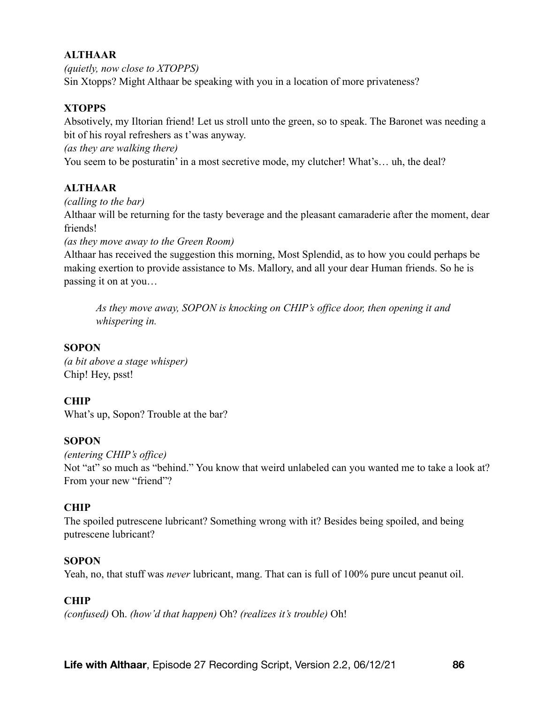# **ALTHAAR**

*(quietly, now close to XTOPPS)*  Sin Xtopps? Might Althaar be speaking with you in a location of more privateness?

# **XTOPPS**

Absotively, my Iltorian friend! Let us stroll unto the green, so to speak. The Baronet was needing a bit of his royal refreshers as t'was anyway.

*(as they are walking there)* 

You seem to be posturatin' in a most secretive mode, my clutcher! What's… uh, the deal?

## **ALTHAAR**

#### *(calling to the bar)*

Althaar will be returning for the tasty beverage and the pleasant camaraderie after the moment, dear friends!

*(as they move away to the Green Room)* 

Althaar has received the suggestion this morning, Most Splendid, as to how you could perhaps be making exertion to provide assistance to Ms. Mallory, and all your dear Human friends. So he is passing it on at you…

*As they move away, SOPON is knocking on CHIP's office door, then opening it and whispering in.* 

#### **SOPON**

*(a bit above a stage whisper)*  Chip! Hey, psst!

#### **CHIP**

What's up, Sopon? Trouble at the bar?

#### **SOPON**

*(entering CHIP's office)*  Not "at" so much as "behind." You know that weird unlabeled can you wanted me to take a look at? From your new "friend"?

#### **CHIP**

The spoiled putrescene lubricant? Something wrong with it? Besides being spoiled, and being putrescene lubricant?

#### **SOPON**

Yeah, no, that stuff was *never* lubricant, mang. That can is full of 100% pure uncut peanut oil.

#### **CHIP**

*(confused)* Oh. *(how'd that happen)* Oh? *(realizes it's trouble)* Oh!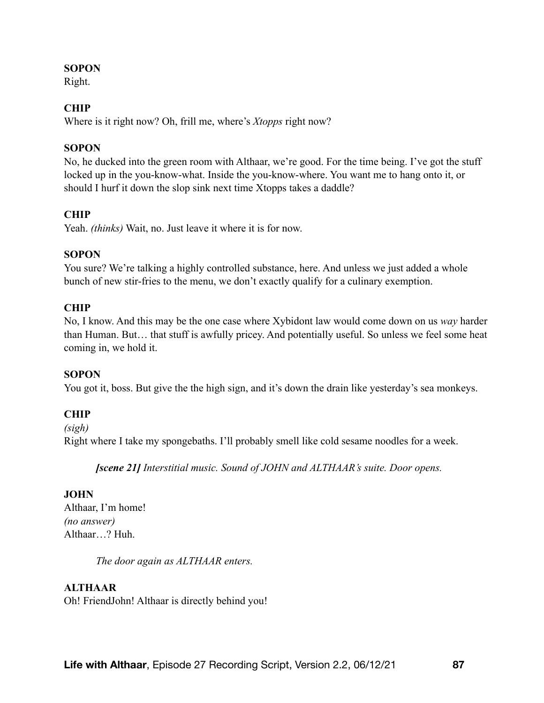### **SOPON**

Right.

## **CHIP**

Where is it right now? Oh, frill me, where's *Xtopps* right now?

### **SOPON**

No, he ducked into the green room with Althaar, we're good. For the time being. I've got the stuff locked up in the you-know-what. Inside the you-know-where. You want me to hang onto it, or should I hurf it down the slop sink next time Xtopps takes a daddle?

# **CHIP**

Yeah. *(thinks)* Wait, no. Just leave it where it is for now.

## **SOPON**

You sure? We're talking a highly controlled substance, here. And unless we just added a whole bunch of new stir-fries to the menu, we don't exactly qualify for a culinary exemption.

## **CHIP**

No, I know. And this may be the one case where Xybidont law would come down on us *way* harder than Human. But… that stuff is awfully pricey. And potentially useful. So unless we feel some heat coming in, we hold it.

#### **SOPON**

You got it, boss. But give the the high sign, and it's down the drain like yesterday's sea monkeys.

# **CHIP**

*(sigh)*  Right where I take my spongebaths. I'll probably smell like cold sesame noodles for a week.

*[scene 21] Interstitial music. Sound of JOHN and ALTHAAR's suite. Door opens.* 

# **JOHN**

Althaar, I'm home! *(no answer)*  Althaar…? Huh.

*The door again as ALTHAAR enters.* 

# **ALTHAAR**

Oh! FriendJohn! Althaar is directly behind you!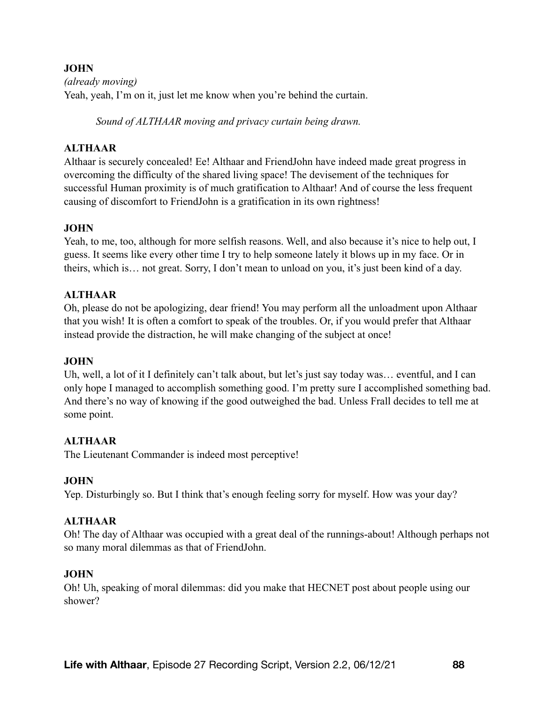*(already moving)*  Yeah, yeah, I'm on it, just let me know when you're behind the curtain.

*Sound of ALTHAAR moving and privacy curtain being drawn.* 

# **ALTHAAR**

Althaar is securely concealed! Ee! Althaar and FriendJohn have indeed made great progress in overcoming the difficulty of the shared living space! The devisement of the techniques for successful Human proximity is of much gratification to Althaar! And of course the less frequent causing of discomfort to FriendJohn is a gratification in its own rightness!

## **JOHN**

Yeah, to me, too, although for more selfish reasons. Well, and also because it's nice to help out, I guess. It seems like every other time I try to help someone lately it blows up in my face. Or in theirs, which is… not great. Sorry, I don't mean to unload on you, it's just been kind of a day.

## **ALTHAAR**

Oh, please do not be apologizing, dear friend! You may perform all the unloadment upon Althaar that you wish! It is often a comfort to speak of the troubles. Or, if you would prefer that Althaar instead provide the distraction, he will make changing of the subject at once!

#### **JOHN**

Uh, well, a lot of it I definitely can't talk about, but let's just say today was… eventful, and I can only hope I managed to accomplish something good. I'm pretty sure I accomplished something bad. And there's no way of knowing if the good outweighed the bad. Unless Frall decides to tell me at some point.

# **ALTHAAR**

The Lieutenant Commander is indeed most perceptive!

#### **JOHN**

Yep. Disturbingly so. But I think that's enough feeling sorry for myself. How was your day?

#### **ALTHAAR**

Oh! The day of Althaar was occupied with a great deal of the runnings-about! Although perhaps not so many moral dilemmas as that of FriendJohn.

#### **JOHN**

Oh! Uh, speaking of moral dilemmas: did you make that HECNET post about people using our shower?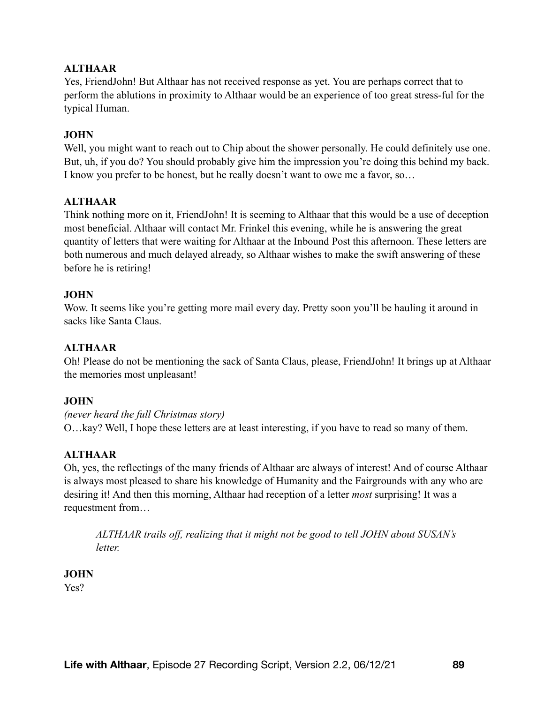## **ALTHAAR**

Yes, FriendJohn! But Althaar has not received response as yet. You are perhaps correct that to perform the ablutions in proximity to Althaar would be an experience of too great stress-ful for the typical Human.

#### **JOHN**

Well, you might want to reach out to Chip about the shower personally. He could definitely use one. But, uh, if you do? You should probably give him the impression you're doing this behind my back. I know you prefer to be honest, but he really doesn't want to owe me a favor, so…

#### **ALTHAAR**

Think nothing more on it, FriendJohn! It is seeming to Althaar that this would be a use of deception most beneficial. Althaar will contact Mr. Frinkel this evening, while he is answering the great quantity of letters that were waiting for Althaar at the Inbound Post this afternoon. These letters are both numerous and much delayed already, so Althaar wishes to make the swift answering of these before he is retiring!

#### **JOHN**

Wow. It seems like you're getting more mail every day. Pretty soon you'll be hauling it around in sacks like Santa Claus.

# **ALTHAAR**

Oh! Please do not be mentioning the sack of Santa Claus, please, FriendJohn! It brings up at Althaar the memories most unpleasant!

#### **JOHN**

*(never heard the full Christmas story)*  O…kay? Well, I hope these letters are at least interesting, if you have to read so many of them.

#### **ALTHAAR**

Oh, yes, the reflectings of the many friends of Althaar are always of interest! And of course Althaar is always most pleased to share his knowledge of Humanity and the Fairgrounds with any who are desiring it! And then this morning, Althaar had reception of a letter *most* surprising! It was a requestment from…

*ALTHAAR trails off, realizing that it might not be good to tell JOHN about SUSAN's letter.* 

**JOHN**  Yes?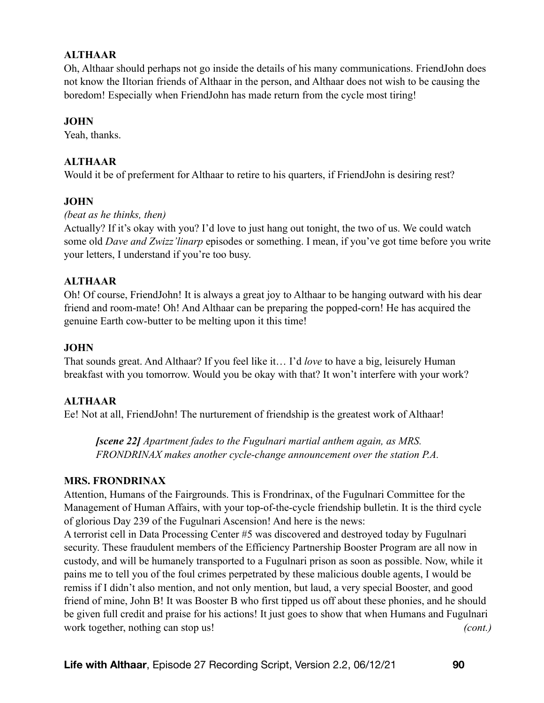## **ALTHAAR**

Oh, Althaar should perhaps not go inside the details of his many communications. FriendJohn does not know the Iltorian friends of Althaar in the person, and Althaar does not wish to be causing the boredom! Especially when FriendJohn has made return from the cycle most tiring!

### **JOHN**

Yeah, thanks.

## **ALTHAAR**

Would it be of preferment for Althaar to retire to his quarters, if FriendJohn is desiring rest?

#### **JOHN**

#### *(beat as he thinks, then)*

Actually? If it's okay with you? I'd love to just hang out tonight, the two of us. We could watch some old *Dave and Zwizz'linarp* episodes or something. I mean, if you've got time before you write your letters, I understand if you're too busy.

#### **ALTHAAR**

Oh! Of course, FriendJohn! It is always a great joy to Althaar to be hanging outward with his dear friend and room-mate! Oh! And Althaar can be preparing the popped-corn! He has acquired the genuine Earth cow-butter to be melting upon it this time!

## **JOHN**

That sounds great. And Althaar? If you feel like it… I'd *love* to have a big, leisurely Human breakfast with you tomorrow. Would you be okay with that? It won't interfere with your work?

#### **ALTHAAR**

Ee! Not at all, FriendJohn! The nurturement of friendship is the greatest work of Althaar!

*[scene 22] Apartment fades to the Fugulnari martial anthem again, as MRS. FRONDRINAX makes another cycle-change announcement over the station P.A.* 

#### **MRS. FRONDRINAX**

Attention, Humans of the Fairgrounds. This is Frondrinax, of the Fugulnari Committee for the Management of Human Affairs, with your top-of-the-cycle friendship bulletin. It is the third cycle of glorious Day 239 of the Fugulnari Ascension! And here is the news:

A terrorist cell in Data Processing Center #5 was discovered and destroyed today by Fugulnari security. These fraudulent members of the Efficiency Partnership Booster Program are all now in custody, and will be humanely transported to a Fugulnari prison as soon as possible. Now, while it pains me to tell you of the foul crimes perpetrated by these malicious double agents, I would be remiss if I didn't also mention, and not only mention, but laud, a very special Booster, and good friend of mine, John B! It was Booster B who first tipped us off about these phonies, and he should be given full credit and praise for his actions! It just goes to show that when Humans and Fugulnari work together, nothing can stop us! *(cont.)*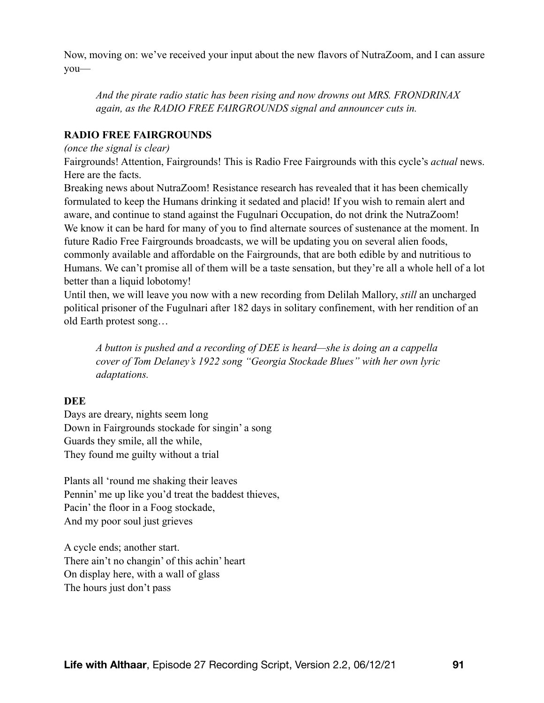Now, moving on: we've received your input about the new flavors of NutraZoom, and I can assure you—

*And the pirate radio static has been rising and now drowns out MRS. FRONDRINAX again, as the RADIO FREE FAIRGROUNDS signal and announcer cuts in.* 

### **RADIO FREE FAIRGROUNDS**

#### *(once the signal is clear)*

Fairgrounds! Attention, Fairgrounds! This is Radio Free Fairgrounds with this cycle's *actual* news. Here are the facts.

Breaking news about NutraZoom! Resistance research has revealed that it has been chemically formulated to keep the Humans drinking it sedated and placid! If you wish to remain alert and aware, and continue to stand against the Fugulnari Occupation, do not drink the NutraZoom! We know it can be hard for many of you to find alternate sources of sustenance at the moment. In future Radio Free Fairgrounds broadcasts, we will be updating you on several alien foods, commonly available and affordable on the Fairgrounds, that are both edible by and nutritious to Humans. We can't promise all of them will be a taste sensation, but they're all a whole hell of a lot better than a liquid lobotomy!

Until then, we will leave you now with a new recording from Delilah Mallory, *still* an uncharged political prisoner of the Fugulnari after 182 days in solitary confinement, with her rendition of an old Earth protest song…

*A button is pushed and a recording of DEE is heard—she is doing an a cappella cover of Tom Delaney's 1922 song "Georgia Stockade Blues" with her own lyric adaptations.* 

#### **DEE**

Days are dreary, nights seem long Down in Fairgrounds stockade for singin' a song Guards they smile, all the while, They found me guilty without a trial

Plants all 'round me shaking their leaves Pennin' me up like you'd treat the baddest thieves, Pacin' the floor in a Foog stockade, And my poor soul just grieves

A cycle ends; another start. There ain't no changin' of this achin' heart On display here, with a wall of glass The hours just don't pass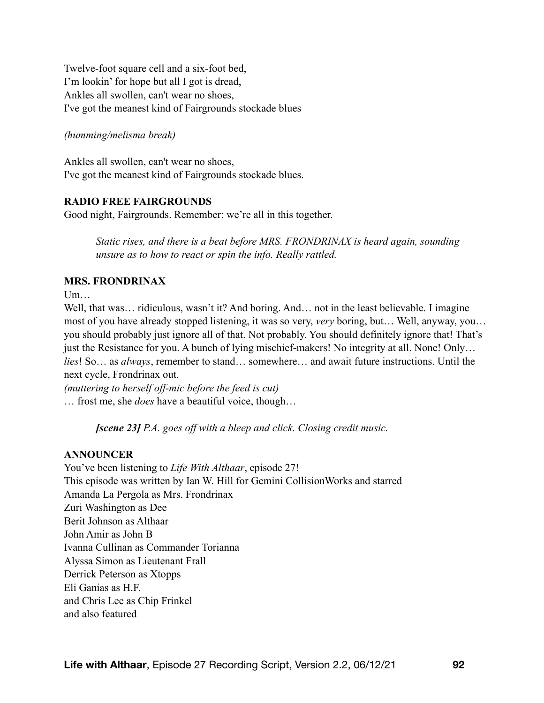Twelve-foot square cell and a six-foot bed, I'm lookin' for hope but all I got is dread, Ankles all swollen, can't wear no shoes, I've got the meanest kind of Fairgrounds stockade blues

### *(humming/melisma break)*

Ankles all swollen, can't wear no shoes, I've got the meanest kind of Fairgrounds stockade blues.

## **RADIO FREE FAIRGROUNDS**

Good night, Fairgrounds. Remember: we're all in this together.

*Static rises, and there is a beat before MRS. FRONDRINAX is heard again, sounding unsure as to how to react or spin the info. Really rattled.* 

## **MRS. FRONDRINAX**

 $U<sub>m</sub>$ 

Well, that was… ridiculous, wasn't it? And boring. And… not in the least believable. I imagine most of you have already stopped listening, it was so very, *very* boring, but… Well, anyway, you… you should probably just ignore all of that. Not probably. You should definitely ignore that! That's just the Resistance for you. A bunch of lying mischief-makers! No integrity at all. None! Only... *lies*! So… as *always*, remember to stand… somewhere… and await future instructions. Until the next cycle, Frondrinax out.

*(muttering to herself off-mic before the feed is cut)*  … frost me, she *does* have a beautiful voice, though…

*[scene 23] P.A. goes off with a bleep and click. Closing credit music.* 

# **ANNOUNCER**

You've been listening to *Life With Althaar*, episode 27! This episode was written by Ian W. Hill for Gemini CollisionWorks and starred Amanda La Pergola as Mrs. Frondrinax Zuri Washington as Dee Berit Johnson as Althaar John Amir as John B Ivanna Cullinan as Commander Torianna Alyssa Simon as Lieutenant Frall Derrick Peterson as Xtopps Eli Ganias as H.F. and Chris Lee as Chip Frinkel and also featured